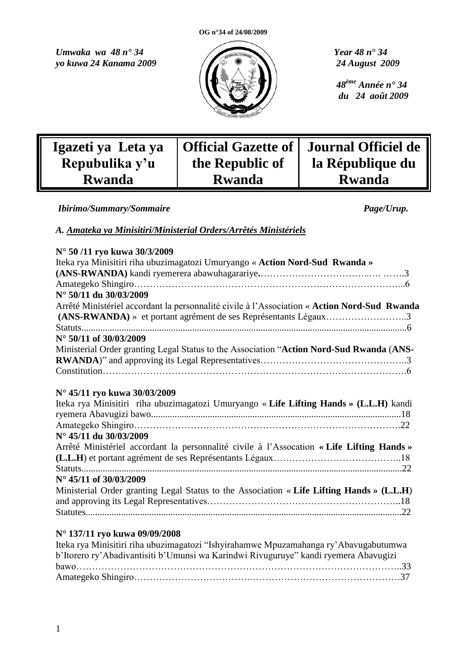*Umwaka wa 48 n° 34 Year 48 n° 34 yo kuwa 24 Kanama 2009 24 August 2009*



 *48ème Année n° 34 du 24 août 2009*

| Igazeti ya Leta ya | <b>Official Gazette of</b> | Journal Officiel de |
|--------------------|----------------------------|---------------------|
| Repubulika y'u     | the Republic of            | la République du    |
| <b>Rwanda</b>      | <b>Rwanda</b>              | <b>Rwanda</b>       |

*Ibirimo/Summary/Sommaire**Page/Urup.*

# *A. Amateka ya Minisitiri/Ministerial Orders/Arrêtés Ministériels*

|  |  | N° 50/11 ryo kuwa 30/3/2009 |
|--|--|-----------------------------|
|  |  |                             |

| Iteka rya Minisitiri riha ubuzimagatozi Umuryango « Action Nord-Sud Rwanda »                                                                                    |
|-----------------------------------------------------------------------------------------------------------------------------------------------------------------|
|                                                                                                                                                                 |
|                                                                                                                                                                 |
| N° 50/11 du 30/03/2009                                                                                                                                          |
| Arrêté Ministériel accordant la personnalité civile à l'Association « Action Nord-Sud Rwanda<br>(ANS-RWANDA) » et portant agrément de ses Représentants Légaux3 |
|                                                                                                                                                                 |
| $N^{\circ}$ 50/11 of 30/03/2009                                                                                                                                 |
| Ministerial Order granting Legal Status to the Association "Action Nord-Sud Rwanda (ANS-                                                                        |
|                                                                                                                                                                 |
|                                                                                                                                                                 |
|                                                                                                                                                                 |
| N° 45/11 ryo kuwa 30/03/2009                                                                                                                                    |
| Iteka rya Minisitiri riha ubuzimagatozi Umuryango «Life Lifting Hands » (L.L.H) kandi                                                                           |
|                                                                                                                                                                 |
|                                                                                                                                                                 |
| $N^{\circ}$ 45/11 du 30/03/2009                                                                                                                                 |
| Arrêté Ministériel accordant la personnalité civile à l'Assocation « Life Lifting Hands »                                                                       |
|                                                                                                                                                                 |
|                                                                                                                                                                 |
| $N^{\circ}$ 45/11 of 30/03/2009                                                                                                                                 |
| Ministerial Order granting Legal Status to the Association « Life Lifting Hands » (L.L.H)                                                                       |
|                                                                                                                                                                 |
|                                                                                                                                                                 |
|                                                                                                                                                                 |
| N° 137/11 ryo kuwa 09/09/2008                                                                                                                                   |

| Iteka rya Minisitiri riha ubuzimagatozi "Ishyirahamwe Mpuzamahanga ry'Abavugabutumwa |  |
|--------------------------------------------------------------------------------------|--|
| b'Itorero ry'Abadivantisiti b'Umunsi wa Karindwi Rivuguruye" kandi ryemera Abavugizi |  |
|                                                                                      |  |
|                                                                                      |  |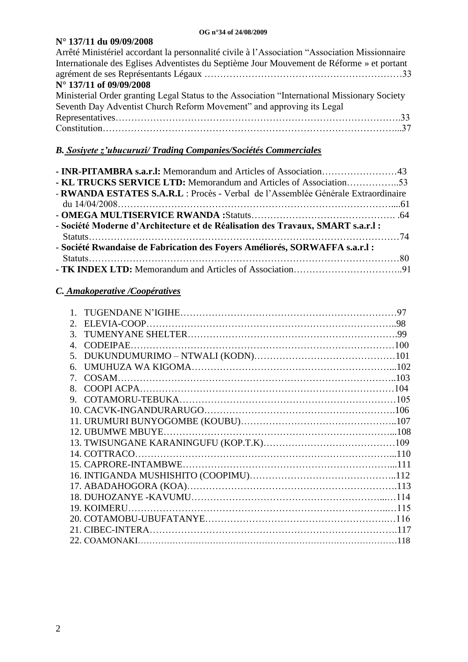# **N° 137/11 du 09/09/2008**

| Arrêté Ministériel accordant la personnalité civile à l'Association "Association Missionnaire |
|-----------------------------------------------------------------------------------------------|
| Internationale des Eglises Adventistes du Septième Jour Mouvement de Réforme » et portant     |
|                                                                                               |
| N° 137/11 of 09/09/2008                                                                       |
| Ministerial Order granting Legal Status to the Association "International Missionary Society" |
| Seventh Day Adventist Church Reform Movement" and approving its Legal                         |
|                                                                                               |
|                                                                                               |
|                                                                                               |

# *B. Sosiyete z'ubucuruzi/ Trading Companies/Sociétés Commerciales*

| <b>- KL TRUCKS SERVICE LTD:</b> Memorandum and Articles of Association53          |  |
|-----------------------------------------------------------------------------------|--|
| - RWANDA ESTATES S.A.R.L : Procès - Verbal de l'Assemblée Générale Extraordinaire |  |
|                                                                                   |  |
|                                                                                   |  |
| - Société Moderne d'Architecture et de Réalisation des Travaux, SMART s.a.r.l :   |  |
|                                                                                   |  |
| - Société Rwandaise de Fabrication des Foyers Améliorés, SORWAFFA s.a.r.l :       |  |
|                                                                                   |  |
|                                                                                   |  |

# *C. Amakoperative /Coopératives*

|                             | 97 |
|-----------------------------|----|
| $\mathcal{D}_{\mathcal{L}}$ |    |
| $\mathcal{F}$               |    |
| $\overline{4}$              |    |
| .5                          |    |
| б.                          |    |
| 7                           |    |
| 8 <sup>1</sup>              |    |
| 9.                          |    |
|                             |    |
|                             |    |
|                             |    |
|                             |    |
|                             |    |
|                             |    |
|                             |    |
|                             |    |
|                             |    |
| 19. KOIMERU.                |    |
|                             |    |
|                             |    |
|                             |    |
|                             |    |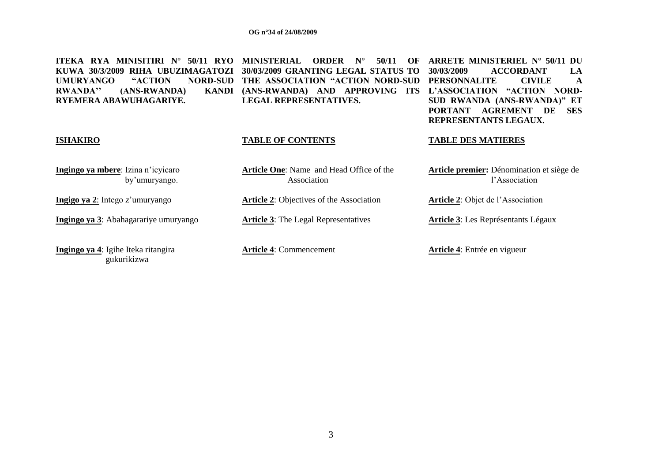gukurikizwa

| MINISITIRI N°<br>50/11 RYO<br>ITEKA<br>RYA<br>RIHA UBUZIMAGATOZI<br>KUWA 30/3/2009<br>"ACTION"<br><b>UMURYANGO</b><br><b>NORD-SUD</b><br><b>RWANDA</b> "<br>(ANS-RWANDA)<br><b>KANDI</b><br>RYEMERA ABAWUHAGARIYE. | <b>MINISTERIAL</b><br><b>ORDER</b><br>$N^{\circ}$<br>50/11<br>OF<br>30/03/2009 GRANTING LEGAL STATUS TO<br>THE ASSOCIATION "ACTION NORD-SUD<br>(ANS-RWANDA) AND APPROVING<br><b>ITS</b><br><b>LEGAL REPRESENTATIVES.</b> | ARRETE MINISTERIEL N° 50/11 DU<br><b>ACCORDANT</b><br>30/03/2009<br>LA<br><b>CIVILE</b><br><b>PERSONNALITE</b><br>A<br><b>NORD-</b><br>L'ASSOCIATION "ACTION<br>SUD RWANDA (ANS-RWANDA)" ET<br><b>AGREMENT</b><br><b>PORTANT</b><br><b>SES</b><br>DE<br>REPRESENTANTS LEGAUX. |
|--------------------------------------------------------------------------------------------------------------------------------------------------------------------------------------------------------------------|--------------------------------------------------------------------------------------------------------------------------------------------------------------------------------------------------------------------------|-------------------------------------------------------------------------------------------------------------------------------------------------------------------------------------------------------------------------------------------------------------------------------|
| <b>ISHAKIRO</b>                                                                                                                                                                                                    | <b>TABLE OF CONTENTS</b>                                                                                                                                                                                                 | <b>TABLE DES MATIERES</b>                                                                                                                                                                                                                                                     |
| Ingingo ya mbere: Izina n'icyicaro<br>by'umuryango.                                                                                                                                                                | <b>Article One:</b> Name and Head Office of the<br>Association                                                                                                                                                           | Article premier: Dénomination et siège de<br>l'Association                                                                                                                                                                                                                    |
| Ingigo ya 2: Intego z'umuryango                                                                                                                                                                                    | <b>Article 2: Objectives of the Association</b>                                                                                                                                                                          | <b>Article 2:</b> Objet de l'Association                                                                                                                                                                                                                                      |
| Ingingo ya 3: Abahagarariye umuryango                                                                                                                                                                              | <b>Article 3:</b> The Legal Representatives                                                                                                                                                                              | <b>Article 3:</b> Les Représentants Légaux                                                                                                                                                                                                                                    |
| Ingingo ya 4: Igihe Iteka ritangira                                                                                                                                                                                | <b>Article 4: Commencement</b>                                                                                                                                                                                           | <b>Article 4:</b> Entrée en vigueur                                                                                                                                                                                                                                           |

3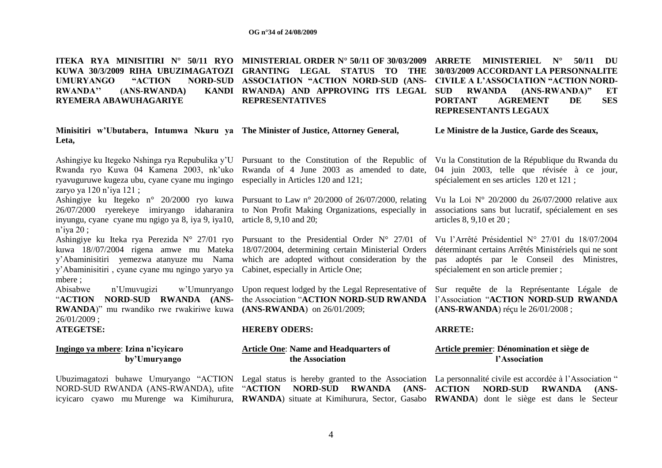**ITEKA RYA MINISITIRI N° 50/11 RYO MINISTERIAL ORDER N° 50/11 OF 30/03/2009 ARRETE MINISTERIEL N° 50/11 DU KUWA 30/3/2009 RIHA UBUZIMAGATOZI GRANTING LEGAL STATUS TO THE 30/03/2009 ACCORDANT LA PERSONNALITE UMURYANGO "ACTION" RWANDA''** (ANS-RWANDA) **RYEMERA ABAWUHAGARIYE NORD-SUD ASSOCIATION "ACTION NORD-SUD (ANS-RWANDA) AND APPROVING ITS LEGAL REPRESENTATIVES CIVILE A L'ASSOCIATION "ACTION NORD-SUD RWANDA (ANS-RWANDA)" ET PORTANT AGREMENT DE SES** 

#### **Minisitiri w'Ubutabera, Intumwa Nkuru ya The Minister of Justice, Attorney General, Leta,**

ryavuguruwe kugeza ubu, cyane cyane mu ingingo especially in Articles 120 and 121; zaryo ya 120 n'iya 121 ;

inyungu, cyane cyane mu ngigo ya 8, iya 9, iya10, article 8, 9,10 and 20; n"iya 20 ;

y"Abaminisitiri , cyane cyane mu ngingo yaryo ya Cabinet, especially in Article One; mbere ;

**RWANDA**)" mu rwandiko rwe rwakiriwe kuwa **(ANS-RWANDA**) on 26/01/2009; 26/01/2009 ;

#### **Ingingo ya mbere**: **Izina n'icyicaro by'Umuryango**

Ashingiye ku Itegeko n° 20/2000 ryo kuwa Pursuant to Law n° 20/2000 of 26/07/2000, relating Vu la Loi N° 20/2000 du 26/07/2000 relative aux 26/07/2000 ryerekeye imiryango idaharanira to Non Profit Making Organizations, especially in associations sans but lucratif, spécialement en ses

kuwa 18//07/2004 rigena amwe mu Mateka 18/07/2004, determining certain Ministerial Orders y"Abaminisitiri yemezwa atanyuze mu Nama which are adopted without consideration by the

Abisabwe n"Umuvugizi w"Umunryango Upon request lodged by the Legal Representative of Sur requête de la Représentante Légale de "**ACTION NORD-SUD RWANDA (ANS-**the Association "**ACTION NORD-SUD RWANDA**  l"Association "**ACTION NORD-SUD RWANDA** 

#### **ATEGETSE: HEREBY ODERS: ARRETE:**

#### **Article One**: **Name and Headquarters of the Association**

**REPRESENTANTS LEGAUX**

**Le Ministre de la Justice, Garde des Sceaux,**

Ashingiye ku Itegeko Nshinga rya Repubulika y"U Pursuant to the Constitution of the Republic of Vu la Constitution de la République du Rwanda du Rwanda ryo Kuwa 04 Kamena 2003, nk'uko Rwanda of 4 June 2003 as amended to date, 04 juin 2003, telle que révisée à ce jour, spécialement en ses articles 120 et 121 ;

articles 8, 9,10 et 20 ;

Ashingiye ku Iteka rya Perezida N° 27/01 ryo Pursuant to the Presidential Order N° 27/01 of Vu l"Arrêté Présidentiel N° 27/01 du 18/07/2004 déterminant certains Arrêtés Ministériels qui ne sont pas adoptés par le Conseil des Ministres, spécialement en son article premier ;

**(ANS-RWANDA**) réçu le 26/01/2008 ;

#### **Article premier**: **Dénomination et siège de l'Association**

Ubuzimagatozi buhawe Umuryango "ACTION Legal status is hereby granted to the Association La personnalité civile est accordée à l'Association " NORD-SUD RWANDA (ANS-RWANDA), ufite "**ACTION NORD-SUD RWANDA (ANS-ACTION NORD-SUD RWANDA (ANS**icyicaro cyawo mu Murenge wa Kimihurura, **RWANDA**) situate at Kimihurura, Sector, Gasabo **RWANDA**) dont le siège est dans le Secteur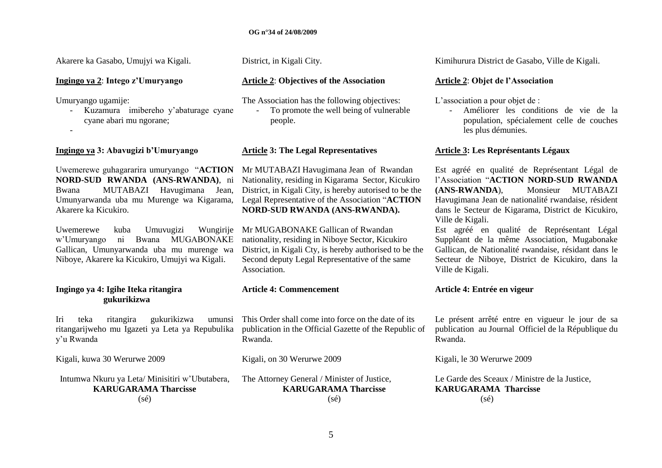#### **Ingingo ya 2**: **Intego z'Umuryango**

Umuryango ugamije:

-

- Kuzamura imibereho y"abaturage cyane cyane abari mu ngorane;

#### **Ingingo ya 3: Abavugizi b'Umuryango Article 3: The Legal Representatives Article 3: Les Représentants Légaux**

Uwemerewe guhagararira umuryango "**ACTION**  Mr MUTABAZI Havugimana Jean of Rwandan **NORD-SUD RWANDA (ANS-RWANDA)**, ni Bwana MUTABAZI Havugimana Jean, Umunyarwanda uba mu Murenge wa Kigarama, Akarere ka Kicukiro.

Uwemerewe kuba Umuvugizi w"Umuryango ni Bwana MUGABONAKE Gallican, Umunyarwanda uba mu murenge wa Niboye, Akarere ka Kicukiro, Umujyi wa Kigali.

## **Ingingo ya 4: Igihe Iteka ritangira gukurikizwa**

Iri teka ritangira gukurikizwa ritangarijweho mu Igazeti ya Leta ya Repubulika y"u Rwanda

Kigali, kuwa 30 Werurwe 2009

Intumwa Nkuru ya Leta/ Minisitiri w"Ubutabera, **KARUGARAMA Tharcisse**  $(s\acute{e})$ 

#### **Article 2**: **Objectives of the Association**

The Association has the following objectives: - To promote the well being of vulnerable

people.

Nationality, residing in Kigarama Sector, Kicukiro District, in Kigali City, is hereby autorised to be the Legal Representative of the Association "**ACTION NORD-SUD RWANDA (ANS-RWANDA).**

Wungirije Mr MUGABONAKE Gallican of Rwandan nationality, residing in Niboye Sector, Kicukiro District, in Kigali Cty, is hereby authorised to be the Second deputy Legal Representative of the same Association.

#### **Article 4: Commencement**

This Order shall come into force on the date of its publication in the Official Gazette of the Republic of Rwanda.

Kigali, on 30 Werurwe 2009

The Attorney General / Minister of Justice, **KARUGARAMA Tharcisse**  $(s\acute{e})$ 

Akarere ka Gasabo, Umujyi wa Kigali. District, in Kigali City. 
akarere ka Gasabo, Ville de Kigali.

## **Article 2**: **Objet de l'Association**

L'association a pour objet de :

- Améliorer les conditions de vie de la population, spécialement celle de couches les plus démunies.

Est agréé en qualité de Représentant Légal de l"Association "**ACTION NORD-SUD RWANDA (ANS-RWANDA**), Monsieur MUTABAZI Havugimana Jean de nationalité rwandaise, résident dans le Secteur de Kigarama, District de Kicukiro, Ville de Kigali.

Est agréé en qualité de Représentant Légal Suppléant de la même Association, Mugabonake Gallican, de Nationalité rwandaise, résidant dans le Secteur de Niboye, District de Kicukiro, dans la Ville de Kigali.

#### **Article 4: Entrée en vigeur**

Le présent arrêté entre en vigueur le jour de sa publication au Journal Officiel de la République du Rwanda.

Kigali, le 30 Werurwe 2009

Le Garde des Sceaux / Ministre de la Justice, **KARUGARAMA Tharcisse**  $(s<sub>é</sub>)$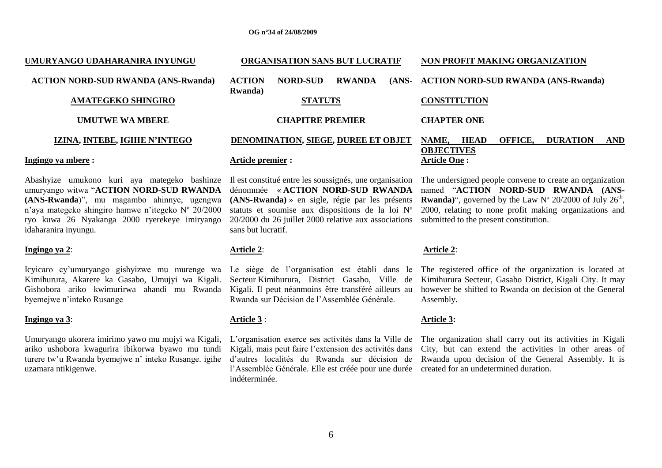#### **UMURYANGO UDAHARANIRA INYUNGU ACTION NORD-SUD RWANDA (ANS-Rwanda) AMATEGEKO SHINGIRO UMUTWE WA MBERE IZINA, INTEBE, IGIHE N'INTEGO Ingingo ya mbere : ORGANISATION SANS BUT LUCRATIF ACTION NORD-SUD RWANDA Rwanda) STATUTS CHAPITRE PREMIER DENOMINATION, SIEGE, DUREE ET OBJET Article premier : NON PROFIT MAKING ORGANIZATION ACTION NORD-SUD RWANDA (ANS-Rwanda) CONSTITUTION CHAPTER ONE NAME, HEAD OFFICE, DURATION AND OBJECTIVES Article One :**

Abashyize umukono kuri aya mategeko bashinze umuryango witwa "**ACTION NORD-SUD RWANDA (ANS-Rwanda**)", mu magambo ahinnye, ugengwa n"aya mategeko shingiro hamwe n"itegeko Nº 20/2000 ryo kuwa 26 Nyakanga 2000 ryerekeye imiryango idaharanira inyungu. Il est constitué entre les soussignés, une organisation

#### **Ingingo ya 2**:

Kimihurura, Akarere ka Gasabo, Umujyi wa Kigali. Secteur Kimihurura, District Gasabo, Ville de Gishobora ariko kwimurirwa ahandi mu Rwanda Kigali. Il peut néanmoins être transféré ailleurs au byemejwe n"inteko Rusange

#### **Ingingo ya 3**:

Umuryango ukorera imirimo yawo mu mujyi wa Kigali, L"organisation exerce ses activités dans la Ville de turere tw"u Rwanda byemejwe n" inteko Rusange. igihe uzamara ntikigenwe.

# **Article 2**:

sans but lucratif.

Rwanda sur Décision de l"Assemblée Générale.

dénommée « **ACTION NORD-SUD RWANDA (ANS-Rwanda)** » en sigle, régie par les présents statuts et soumise aux dispositions de la loi Nº 20/2000 du 26 juillet 2000 relative aux associations

#### **Article 3** :

l'Assemblée Générale. Elle est créée pour une durée created for an undetermined duration. indéterminée.

## The undersigned people convene to create an organization named "ACTION NORD-SUD RWANDA (ANS-**Rwanda**)", governed by the Law  $N^{\circ}$  20/2000 of July 26<sup>th</sup>, 2000, relating to none profit making organizations and submitted to the present constitution.

#### **Article 2**:

Icyicaro cy'umuryango gishyizwe mu murenge wa Le siège de l'organisation est établi dans le The registered office of the organization is located at Kimihurura Secteur, Gasabo District, Kigali City. It may however be shifted to Rwanda on decision of the General Assembly.

#### **Article 3:**

ariko ushobora kwagurira ibikorwa byawo mu tundi Kigali, mais peut faire l"extension des activités dans City, but can extend the activities in other areas of d"autres localités du Rwanda sur décision de Rwanda upon decision of the General Assembly. It is The organization shall carry out its activities in Kigali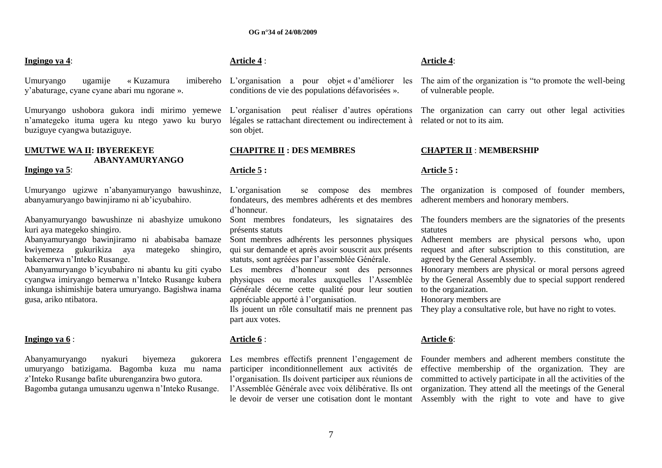#### **Ingingo ya 4**:

Umuryango ugamije «Kuzamura y"abaturage, cyane cyane abari mu ngorane ».

Umuryango ushobora gukora indi mirimo yemewe L'organisation peut réaliser d'autres opérations n"amategeko ituma ugera ku ntego yawo ku buryo buziguye cyangwa butaziguye.

# **UMUTWE WA II: IBYEREKEYE ABANYAMURYANGO**

#### **Ingingo ya 5**:

Umuryango ugizwe n"abanyamuryango bawushinze, abanyamuryango bawinjiramo ni ab"icyubahiro.

Abanyamuryango bawushinze ni abashyize umukono kuri aya mategeko shingiro.

Abanyamuryango bawinjiramo ni ababisaba bamaze kwiyemeza gukurikiza aya mategeko shingiro, bakemerwa n"Inteko Rusange.

Abanyamuryango b"icyubahiro ni abantu ku giti cyabo cyangwa imiryango bemerwa n"Inteko Rusange kubera inkunga ishimishije batera umuryango. Bagishwa inama gusa, ariko ntibatora.

#### **Ingingo ya 6** :

Abanyamuryango nyakuri biyemeza umuryango batizigama. Bagomba kuza mu nama z"Inteko Rusange bafite uburenganzira bwo gutora. Bagomba gutanga umusanzu ugenwa n"Inteko Rusange.

## **Article 4** :

L"organisation a pour objet « d"améliorer les conditions de vie des populations défavorisées ».

> légales se rattachant directement ou indirectement à son objet.

#### **CHAPITRE II : DES MEMBRES**

#### **Article 5 :**

L"organisation se compose des membres fondateurs, des membres adhérents et des membres d"honneur.

présents statuts

Sont membres adhérents les personnes physiques qui sur demande et après avoir souscrit aux présents statuts, sont agréées par l"assemblée Générale.

Les membres d"honneur sont des personnes physiques ou morales auxquelles l"Assemblée Générale décerne cette qualité pour leur soutien appréciable apporté à l"organisation.

Ils jouent un rôle consultatif mais ne prennent pas part aux votes.

#### **Article 6** :

participer inconditionnellement aux activités de l"organisation. Ils doivent participer aux réunions de l"Assemblée Générale avec voix délibérative. Ils ont

#### **Article 4**:

The aim of the organization is "to promote the well-being of vulnerable people.

The organization can carry out other legal activities related or not to its aim.

#### **CHAPTER II** : **MEMBERSHIP**

#### **Article 5 :**

The organization is composed of founder members, adherent members and honorary members.

Sont membres fondateurs, les signataires des The founders members are the signatories of the presents statutes

> Adherent members are physical persons who, upon request and after subscription to this constitution, are agreed by the General Assembly.

> Honorary members are physical or moral persons agreed by the General Assembly due to special support rendered to the organization.

Honorary members are

They play a consultative role, but have no right to votes.

#### **Article 6**:

Les membres effectifs prennent l'engagement de Founder members and adherent members constitute the le devoir de verser une cotisation dont le montant Assembly with the right to vote and have to give effective membership of the organization. They are committed to actively participate in all the activities of the organization. They attend all the meetings of the General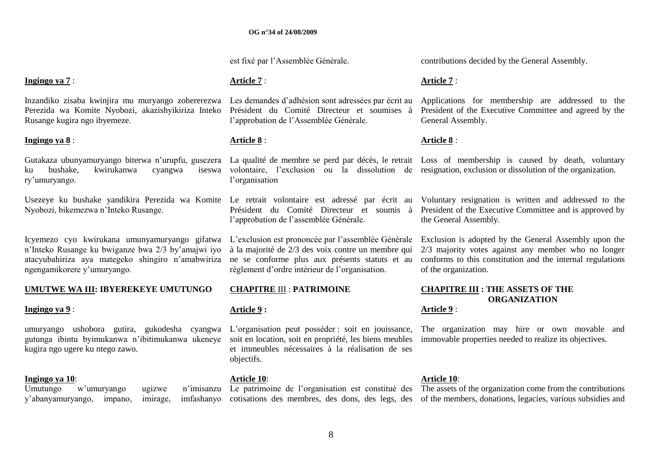est fixé par l"Assemblée Générale.

#### **Ingingo ya 7** :

Inzandiko zisaba kwinjira mu muryango zohererezwa Les demandes d"adhésion sont adressées par écrit au Perezida wa Komite Nyobozi, akazishyikiriza Inteko Rusange kugira ngo ibyemeze.

#### **Ingingo ya 8** :

ku bushake, kwirukanwa cyangwa ry"umuryango.

Nyobozi, bikemezwa n"Inteko Rusange.

Icyemezo cyo kwirukana umunyamuryango gifatwa L'exclusion est prononcée par l'assemblée Générale n"Inteko Rusange ku bwiganze bwa 2/3 by"amajwi iyo atacyubahiriza aya mategeko shingiro n"amabwiriza ngengamikorere y"umuryango.

#### **UMUTWE WA III: IBYEREKEYE UMUTUNGO**

#### **Ingingo ya 9** :

umuryango ushobora gutira, gukodesha cyangwa L"organisation peut posséder : soit en jouissance, gutunga ibintu byimukanwa n"ibitimukanwa ukeneye soit en location, soit en propriété, les biens meubles kugira ngo ugere ku ntego zawo.

#### **Ingingo ya 10**:

Umutungo w'umuryango ugizwe y'abanyamuryango, impano, imirage,

## **Article 7** :

Président du Comité Directeur et soumises à l"approbation de l"Assemblée Générale.

## **Article 8** :

l"organisation

l"approbation de l"assemblée Générale.

à la majorité de 2/3 des voix contre un membre qui ne se conforme plus aux présents statuts et au règlement d"ordre intérieur de l"organisation.

#### **CHAPITRE** III : **PATRIMOINE**

#### **Article 9 :**

et immeubles nécessaires à la réalisation de ses objectifs.

#### **Article 10**:

contributions decided by the General Assembly.

#### **Article 7** :

Applications for membership are addressed to the President of the Executive Committee and agreed by the General Assembly.

#### **Article 8** :

Gutakaza ubunyamuryango biterwa n'urupfu, gusezera La qualité de membre se perd par décès, le retrait Loss of membership is caused by death, voluntary volontaire, l"exclusion ou la dissolution de resignation, exclusion or dissolution of the organization.

Usezeye ku bushake yandikira Perezida wa Komite Le retrait volontaire est adressé par écrit au Voluntary resignation is written and addressed to the Président du Comité Directeur et soumis à President of the Executive Committee and is approved by the General Assembly.

> Exclusion is adopted by the General Assembly upon the 2/3 majority votes against any member who no longer conforms to this constitution and the internal regulations of the organization.

# **CHAPITRE III : THE ASSETS OF THE ORGANIZATION**

#### **Article 9** :

The organization may hire or own movable and immovable properties needed to realize its objectives.

#### **Article 10**:

Le patrimoine de l'organisation est constitué des The assets of the organization come from the contributions cotisations des membres, des dons, des legs, des of the members, donations, legacies, various subsidies and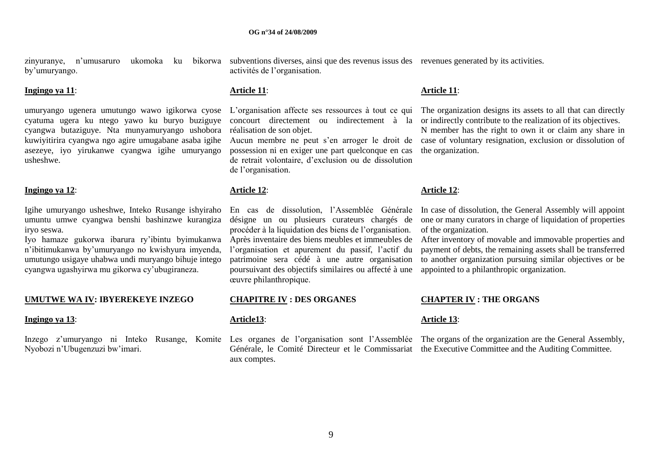by"umuryango.

#### **Ingingo ya 11**:

umuryango ugenera umutungo wawo igikorwa cyose L"organisation affecte ses ressources à tout ce qui cyatuma ugera ku ntego yawo ku buryo buziguye cyangwa butaziguye. Nta munyamuryango ushobora kuwiyitirira cyangwa ngo agire umugabane asaba igihe asezeye, iyo yirukanwe cyangwa igihe umuryango usheshwe.

#### **Ingingo ya 12**:

Igihe umuryango usheshwe, Inteko Rusange ishyiraho umuntu umwe cyangwa benshi bashinzwe kurangiza iryo seswa.

Iyo hamaze gukorwa ibarura ry"ibintu byimukanwa n"ibitimukanwa by"umuryango no kwishyura imyenda, umutungo usigaye uhabwa undi muryango bihuje intego cyangwa ugashyirwa mu gikorwa cy"ubugiraneza.

#### **UMUTWE WA IV: IBYEREKEYE INZEGO**

#### **Ingingo ya 13**:

Nyobozi n"Ubugenzuzi bw"imari.

zinyuranye, n'umusaruro ukomoka ku bikorwa subventions diverses, ainsi que des revenus issus des revenues generated by its activities. activités de l"organisation.

#### **Article 11**:

concourt directement ou indirectement à la réalisation de son objet.

Aucun membre ne peut s"en arroger le droit de possession ni en exiger une part quelconque en cas de retrait volontaire, d"exclusion ou de dissolution de l"organisation.

#### **Article 12**:

En cas de dissolution, l"Assemblée Générale désigne un ou plusieurs curateurs chargés de procéder à la liquidation des biens de l"organisation. Après inventaire des biens meubles et immeubles de l"organisation et apurement du passif, l"actif du patrimoine sera cédé à une autre organisation poursuivant des objectifs similaires ou affecté à une œuvre philanthropique.

#### **CHAPITRE IV : DES ORGANES**

#### **Article13**:

aux comptes.

#### **Article 11**:

The organization designs its assets to all that can directly or indirectly contribute to the realization of its objectives. N member has the right to own it or claim any share in case of voluntary resignation, exclusion or dissolution of the organization.

#### **Article 12**:

In case of dissolution, the General Assembly will appoint one or many curators in charge of liquidation of properties of the organization.

After inventory of movable and immovable properties and payment of debts, the remaining assets shall be transferred to another organization pursuing similar objectives or be appointed to a philanthropic organization.

#### **CHAPTER IV : THE ORGANS**

#### **Article 13**:

Inzego z'umuryango ni Inteko Rusange, Komite Les organes de l'organisation sont l'Assemblée The organisation are the General Assembly, Générale, le Comité Directeur et le Commissariat the Executive Committee and the Auditing Committee.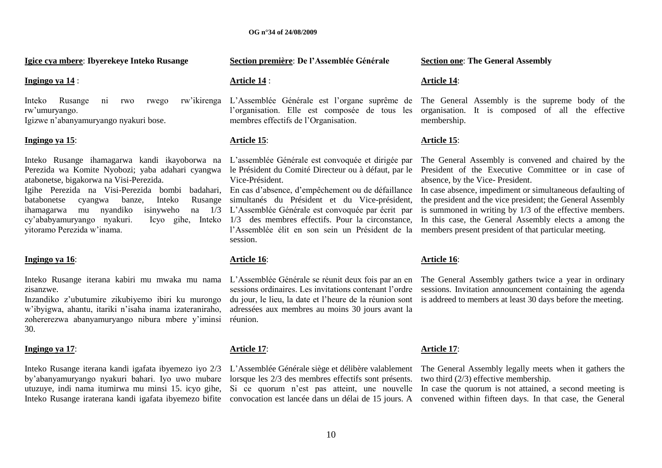**Igice cya mbere**: **Ibyerekeye Inteko Rusange**

#### **Ingingo ya 14** :

Inteko Rusange ni rwo rwego rw"umuryango.

Igizwe n"abanyamuryango nyakuri bose.

#### **Ingingo ya 15**:

Inteko Rusange ihamagarwa kandi ikayoborwa na L"assemblée Générale est convoquée et dirigée par Perezida wa Komite Nyobozi; yaba adahari cyangwa le Président du Comité Directeur ou à défaut, par le atabonetse, bigakorwa na Visi-Perezida. Igihe Perezida na Visi-Perezida bombi badahari, En cas d"absence, d"empêchement ou de défaillance batabonetse cyangwa banze, Inteko ihamagarwa mu nyandiko isinyweho cy'ababyamuryango nyakuri. yitoramo Perezida w"inama.

#### **Ingingo ya 16**:

Inteko Rusange iterana kabiri mu mwaka mu nama L"Assemblée Générale se réunit deux fois par an en zisanzwe.

Inzandiko z"ubutumire zikubiyemo ibiri ku murongo w"ibyigwa, ahantu, itariki n"isaha inama izateraniraho, zohererezwa abanyamuryango nibura mbere y"iminsi 30.

#### **Ingingo ya 17**:

Inteko Rusange iterana kandi igafata ibyemezo iyo 2/3 L'Assemblée Générale siège et délibère valablement The General Assembly legally meets when it gathers the by"abanyamuryango nyakuri bahari. Iyo uwo mubare lorsque les 2/3 des membres effectifs sont présents. utuzuye, indi nama itumirwa mu minsi 15. icyo gihe, Si ce quorum n"est pas atteint, une nouvelle

#### **Section première**: **De l'Assemblée Générale**

#### **Article 14** :

L"Assemblée Générale est l"organe suprême de l"organisation. Elle est composée de tous les membres effectifs de l"Organisation.

#### **Article 15**:

Vice-Président.

simultanés du Président et du Vice-président, na  $1/3$  L'Assemblée Générale est convoquée par écrit par 1/3 des membres effectifs. Pour la circonstance, l"Assemblée élit en son sein un Président de la session.

#### **Article 16**:

sessions ordinaires. Les invitations contenant l"ordre du jour, le lieu, la date et l"heure de la réunion sont adressées aux membres au moins 30 jours avant la réunion.

#### **Article 17**:

#### **Section one**: **The General Assembly**

#### **Article 14**:

The General Assembly is the supreme body of the organisation. It is composed of all the effective membership.

#### **Article 15**:

The General Assembly is convened and chaired by the President of the Executive Committee or in case of absence, by the Vice- President.

In case absence, impediment or simultaneous defaulting of the president and the vice president; the General Assembly is summoned in writing by 1/3 of the effective members. In this case, the General Assembly elects a among the members present president of that particular meeting.

#### **Article 16**:

The General Assembly gathers twice a year in ordinary sessions. Invitation announcement containing the agenda is addreed to members at least 30 days before the meeting.

#### **Article 17**:

two third (2/3) effective membership.

Inteko Rusange iraterana kandi igafata ibyemezo bifite convocation est lancée dans un délai de 15 jours. A convened within fifteen days. In that case, the General In case the quorum is not attained, a second meeting is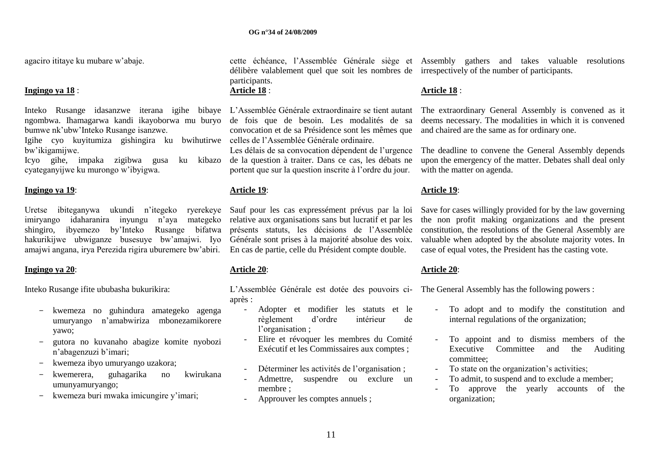agaciro ititaye ku mubare w"abaje.

#### **Ingingo ya 18** :

Inteko Rusange idasanzwe iterana igihe bibaye L"Assemblée Générale extraordinaire se tient autant ngombwa. Ihamagarwa kandi ikayoborwa mu buryo bumwe nk"ubw"Inteko Rusange isanzwe.

Igihe cyo kuyitumiza gishingira ku bwihutirwe celles de l"Assemblée Générale ordinaire. bw"ikigamijwe.

Icyo gihe, impaka zigibwa gusa ku kibazo cyateganyijwe ku murongo w"ibyigwa.

#### **Ingingo ya 19**:

Uretse ibiteganywa ukundi n"itegeko ryerekeye Sauf pour les cas expressément prévus par la loi imiryango idaharanira inyungu n"aya mategeko relative aux organisations sans but lucratif et par les shingiro, ibyemezo by"Inteko Rusange bifatwa présents statuts, les décisions de l"Assemblée hakurikijwe ubwiganze busesuye bw"amajwi. Iyo Générale sont prises à la majorité absolue des voix. amajwi angana, irya Perezida rigira uburemere bw"abiri. En cas de partie, celle du Président compte double.

#### **Ingingo ya 20**:

Inteko Rusange ifite ububasha bukurikira:

- kwemeza no guhindura amategeko agenga umuryango n"amabwiriza mbonezamikorere yawo;
- gutora no kuvanaho abagize komite nyobozi n"abagenzuzi b"imari;
- kwemeza ibyo umuryango uzakora;
- kwemerera, guhagarika no kwirukana umunyamuryango;
- kwemeza buri mwaka imicungire y"imari;

délibère valablement quel que soit les nombres de irrespectively of the number of participants. participants.

# **Article 18** :

de fois que de besoin. Les modalités de sa convocation et de sa Présidence sont les mêmes que

Les délais de sa convocation dépendent de l'urgence de la question à traiter. Dans ce cas, les débats ne portent que sur la question inscrite à l"ordre du jour.

#### **Article 19**:

#### **Article 20**:

L'Assemblée Générale est dotée des pouvoirs ci- The General Assembly has the following powers : après :

- Adopter et modifier les statuts et le règlement d"ordre intérieur de l'organisation;
- Elire et révoquer les membres du Comité Exécutif et les Commissaires aux comptes ;
- Déterminer les activités de l'organisation ;
- Admettre, suspendre ou exclure un membre ;
- Approuver les comptes annuels ;

cette échéance, l"Assemblée Générale siège et Assembly gathers and takes valuable resolutions

#### **Article 18** :

The extraordinary General Assembly is convened as it deems necessary. The modalities in which it is convened and chaired are the same as for ordinary one.

The deadline to convene the General Assembly depends upon the emergency of the matter. Debates shall deal only with the matter on agenda.

#### **Article 19**:

Save for cases willingly provided for by the law governing the non profit making organizations and the present constitution, the resolutions of the General Assembly are valuable when adopted by the absolute majority votes. In case of equal votes, the President has the casting vote.

#### **Article 20**:

- To adopt and to modify the constitution and internal regulations of the organization;
- To appoint and to dismiss members of the Executive Committee and the Auditing committee;
- To state on the organization"s activities;
- To admit, to suspend and to exclude a member;
- To approve the yearly accounts of the organization;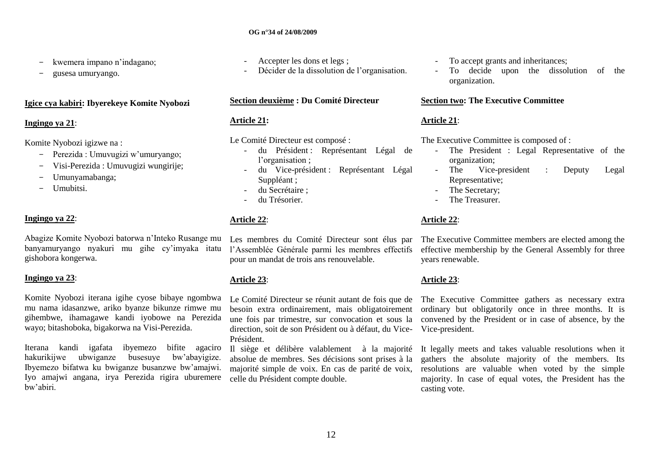- kwemera impano n'indagano:
- gusesa umuryango.

#### **Igice cya kabiri: Ibyerekeye Komite Nyobozi**

#### **Ingingo ya 21**:

Komite Nyobozi igizwe na :

- Perezida : Umuvugizi w"umuryango;
- Visi-Perezida : Umuvugizi wungirije;
- Umunyamabanga;
- Umubitsi.

## **Ingingo ya 22**:

Abagize Komite Nyobozi batorwa n"Inteko Rusange mu banyamuryango nyakuri mu gihe cy"imyaka itatu gishobora kongerwa.

#### **Ingingo ya 23**:

Komite Nyobozi iterana igihe cyose bibaye ngombwa mu nama idasanzwe, ariko byanze bikunze rimwe mu gihembwe, ihamagawe kandi iyobowe na Perezida wayo; bitashoboka, bigakorwa na Visi-Perezida.

Iterana kandi igafata ibyemezo bifite agaciro hakurikijwe ubwiganze busesuye bw"abayigize. Ibyemezo bifatwa ku bwiganze busanzwe bw"amajwi. Iyo amajwi angana, irya Perezida rigira uburemere bw"abiri.

- Accepter les dons et legs ;
- Décider de la dissolution de l'organisation.

## **Section deuxième : Du Comité Directeur**

## **Article 21:**

Le Comité Directeur est composé :

- du Président : Représentant Légal de l'organisation ;
- du Vice-président : Représentant Légal Suppléant ;
- du Secrétaire ;
- du Trésorier.

## **Article 22**:

Les membres du Comité Directeur sont élus par l"Assemblée Générale parmi les membres effectifs pour un mandat de trois ans renouvelable.

## **Article 23**:

besoin extra ordinairement, mais obligatoirement une fois par trimestre, sur convocation et sous la direction, soit de son Président ou à défaut, du Vice-Vice-president. Président.

Il siège et délibère valablement à la majorité absolue de membres. Ses décisions sont prises à la majorité simple de voix. En cas de parité de voix, celle du Président compte double.

- To accept grants and inheritances;
- To decide upon the dissolution of the organization.

## **Section two: The Executive Committee**

## **Article 21**:

The Executive Committee is composed of :

- The President : Legal Representative of the organization;
- The Vice-president : Deputy Legal Representative;
- The Secretary;
- The Treasurer.

## **Article 22**:

The Executive Committee members are elected among the effective membership by the General Assembly for three years renewable.

## **Article 23**:

Le Comité Directeur se réunit autant de fois que de The Executive Committee gathers as necessary extra ordinary but obligatorily once in three months. It is convened by the President or in case of absence, by the

> It legally meets and takes valuable resolutions when it gathers the absolute majority of the members. Its resolutions are valuable when voted by the simple majority. In case of equal votes, the President has the casting vote.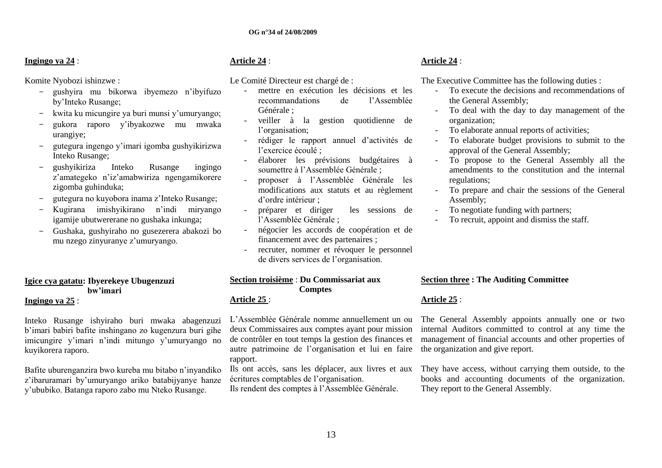## **Ingingo ya 24** :

Komite Nyobozi ishinzwe :

- gushyira mu bikorwa ibyemezo n"ibyifuzo by"Inteko Rusange;
- kwita ku micungire ya buri munsi y"umuryango;
- gukora raporo y"ibyakozwe mu mwaka urangiye;
- gutegura ingengo y"imari igomba gushyikirizwa Inteko Rusange;
- gushyikiriza Inteko Rusange ingingo z"amategeko n"iz"amabwiriza ngengamikorere zigomba guhinduka;
- gutegura no kuyobora inama z"Inteko Rusange;
- Kugirana imishyikirano n"indi miryango igamije ubutwererane no gushaka inkunga;
- Gushaka, gushyiraho no gusezerera abakozi bo mu nzego zinyuranye z"umuryango.

## **Igice cya gatatu: Ibyerekeye Ubugenzuzi bw'imari**

#### **Ingingo ya 25** :

Inteko Rusange ishyiraho buri mwaka abagenzuzi b"imari babiri bafite inshingano zo kugenzura buri gihe imicungire y'imari n'indi mitungo y'umuryango no kuyikorera raporo.

Bafite uburenganzira bwo kureba mu bitabo n"inyandiko z"ibaruramari by"umuryango ariko batabijyanye hanze y"ububiko. Batanga raporo zabo mu Nteko Rusange.

## **Article 24** :

Le Comité Directeur est chargé de :

- mettre en exécution les décisions et les recommandations de l"Assemblée Générale ;
- veiller à la gestion quotidienne de l'organisation:
- rédiger le rapport annuel d"activités de l"exercice écoulé ;
- élaborer les prévisions budgétaires à soumettre à l"Assemblée Générale ;
- proposer à l"Assemblée Générale les modifications aux statuts et au règlement d"ordre intérieur ;
- préparer et diriger les sessions de l"Assemblée Générale ;
- négocier les accords de coopération et de financement avec des partenaires ;
- recruter, nommer et révoquer le personnel de divers services de l"organisation.

# **Section troisième** : **Du Commissariat aux Comptes**

## **Article 25** :

L"Assemblée Générale nomme annuellement un ou deux Commissaires aux comptes ayant pour mission de contrôler en tout temps la gestion des finances et autre patrimoine de l"organisation et lui en faire rapport.

Ils ont accès, sans les déplacer, aux livres et aux écritures comptables de l"organisation.

Ils rendent des comptes à l"Assemblée Générale.

## **Article 24** :

The Executive Committee has the following duties :

- To execute the decisions and recommendations of the General Assembly;
- To deal with the day to day management of the organization;
- To elaborate annual reports of activities;
- To elaborate budget provisions to submit to the approval of the General Assembly;
- To propose to the General Assembly all the amendments to the constitution and the internal regulations;
- To prepare and chair the sessions of the General Assembly;
- To negotiate funding with partners;
- To recruit, appoint and dismiss the staff.

## **Section three : The Auditing Committee**

## **Article 25** :

The General Assembly appoints annually one or two internal Auditors committed to control at any time the management of financial accounts and other properties of the organization and give report.

They have access, without carrying them outside, to the books and accounting documents of the organization. They report to the General Assembly.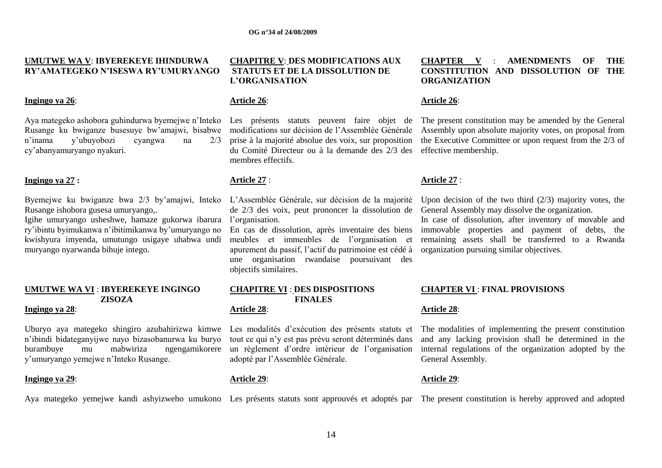#### **UMUTWE WA V**: **IBYEREKEYE IHINDURWA RY'AMATEGEKO N'ISESWA RY'UMURYANGO**

#### **Ingingo ya 26**:

Aya mategeko ashobora guhindurwa byemejwe n"Inteko Les présents statuts peuvent faire objet de n"inama y"ubuyobozi cyangwa na 2/3 cy"abanyamuryango nyakuri.

#### **Ingingo ya 27 :**

Byemejwe ku bwiganze bwa 2/3 by"amajwi, Inteko L"Assemblée Générale, sur décision de la majorité Rusange ishobora gusesa umuryango,.

Igihe umuryango usheshwe, hamaze gukorwa ibarura ry"ibintu byimukanwa n"ibitimikanwa by"umuryango no kwishyura imyenda, umutungo usigaye uhabwa undi muryango nyarwanda bihuje intego.

#### **UMUTWE WA VI** : **IBYEREKEYE INGINGO ZISOZA**

#### **Ingingo ya 28**:

Uburyo aya mategeko shingiro azubahirizwa kimwe n"ibindi bidateganyijwe nayo bizasobanurwa ku buryo burambuye mu mabwiriza ngengamikorere y"umuryango yemejwe n"Inteko Rusange.

#### **Ingingo ya 29**:

#### **CHAPITRE V**: **DES MODIFICATIONS AUX STATUTS ET DE LA DISSOLUTION DE L'ORGANISATION**

#### **Article 26**:

prise à la majorité absolue des voix, sur proposition du Comité Directeur ou à la demande des 2/3 des membres effectifs.

#### **Article 27** :

de 2/3 des voix, peut prononcer la dissolution de l'organisation.

En cas de dissolution, après inventaire des biens meubles et immeubles de l"organisation et apurement du passif, l"actif du patrimoine est cédé à une organisation rwandaise poursuivant des objectifs similaires.

# **CHAPITRE VI** : **DES DISPOSITIONS FINALES**

#### **Article 28**:

Les modalités d"exécution des présents statuts et tout ce qui n"y est pas prévu seront déterminés dans un règlement d"ordre intérieur de l"organisation adopté par l"Assemblée Générale.

#### **Article 29**:

## **CHAPTER V** : **AMENDMENTS OF THE CONSTITUTION AND DISSOLUTION OF THE ORGANIZATION**

## **Article 26**:

Rusange ku bwiganze busesuye bw"amajwi, bisabwe modifications sur décision de l"Assemblée Générale Assembly upon absolute majority votes, on proposal from The present constitution may be amended by the General the Executive Committee or upon request from the 2/3 of effective membership.

## **Article 27** :

Upon decision of the two third  $(2/3)$  majority votes, the General Assembly may dissolve the organization.

In case of dissolution, after inventory of movable and immovable properties and payment of debts, the remaining assets shall be transferred to a Rwanda organization pursuing similar objectives.

## **CHAPTER VI** : **FINAL PROVISIONS**

#### **Article 28**:

The modalities of implementing the present constitution and any lacking provision shall be determined in the internal regulations of the organization adopted by the General Assembly.

#### **Article 29**:

Aya mategeko yemejwe kandi ashyizweho umukono Les présents statuts sont approuvés et adoptés par The present constitution is hereby approved and adopted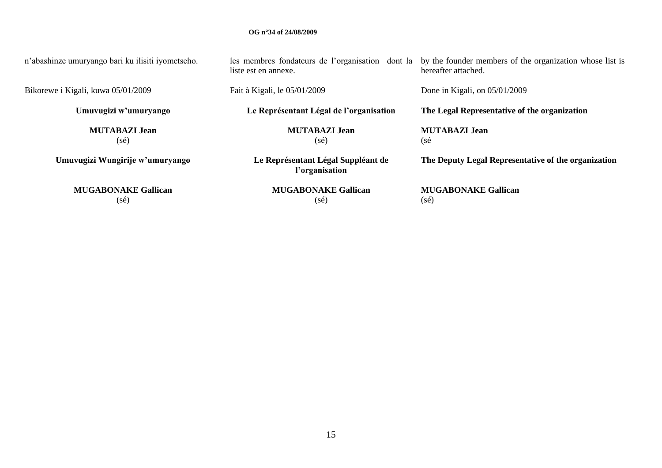n"abashinze umuryango bari ku ilisiti iyometseho.

Bikorewe i Kigali, kuwa 05/01/2009

**Umuvugizi w'umuryango**

**MUTABAZI Jean** (sé)

**Umuvugizi Wungirije w'umuryango**

**MUGABONAKE Gallican** (sé)

les membres fondateurs de l"organisation dont la liste est en annexe.

Fait à Kigali, le 05/01/2009

**Le Représentant Légal de l'organisation**

**MUTABAZI Jean** (sé)

**Le Représentant Légal Suppléant de l'organisation**

> **MUGABONAKE Gallican** (sé)

by the founder members of the organization whose list is hereafter attached.

Done in Kigali, on 05/01/2009

**The Legal Representative of the organization**

**MUTABAZI Jean** (sé

**The Deputy Legal Representative of the organization**

**MUGABONAKE Gallican** (sé)

15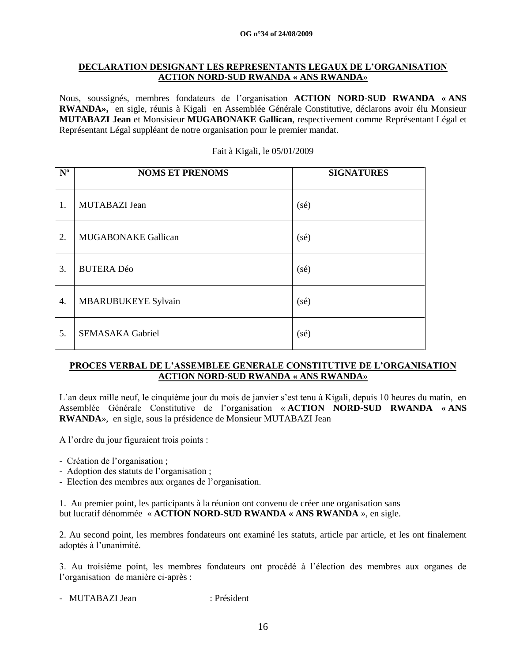## **DECLARATION DESIGNANT LES REPRESENTANTS LEGAUX DE L'ORGANISATION ACTION NORD-SUD RWANDA « ANS RWANDA**»

Nous, soussignés, membres fondateurs de l"organisation **ACTION NORD-SUD RWANDA « ANS RWANDA»,** en sigle, réunis à Kigali en Assemblée Générale Constitutive, déclarons avoir élu Monsieur **MUTABAZI Jean** et Monsisieur **MUGABONAKE Gallican**, respectivement comme Représentant Légal et Représentant Légal suppléant de notre organisation pour le premier mandat.

| $N^{\rm o}$ | <b>NOMS ET PRENOMS</b>     | <b>SIGNATURES</b> |
|-------------|----------------------------|-------------------|
| 1.          | MUTABAZI Jean              | (sé)              |
| 2.          | <b>MUGABONAKE Gallican</b> | (sé)              |
| 3.          | <b>BUTERA Déo</b>          | (sé)              |
| 4.          | <b>MBARUBUKEYE Sylvain</b> | (sé)              |
| 5.          | <b>SEMASAKA Gabriel</b>    | (sé)              |

#### Fait à Kigali, le 05/01/2009

## **PROCES VERBAL DE L'ASSEMBLEE GENERALE CONSTITUTIVE DE L'ORGANISATION ACTION NORD-SUD RWANDA « ANS RWANDA**»

L'an deux mille neuf, le cinquième jour du mois de janvier s'est tenu à Kigali, depuis 10 heures du matin, en Assemblée Générale Constitutive de l"organisation « **ACTION NORD-SUD RWANDA « ANS RWANDA**», en sigle, sous la présidence de Monsieur MUTABAZI Jean

A l"ordre du jour figuraient trois points :

- Création de l"organisation ;
- Adoption des statuts de l"organisation ;
- Election des membres aux organes de l"organisation.

1. Au premier point, les participants à la réunion ont convenu de créer une organisation sans but lucratif dénommée « **ACTION NORD-SUD RWANDA « ANS RWANDA** », en sigle.

2. Au second point, les membres fondateurs ont examiné les statuts, article par article, et les ont finalement adoptés à l"unanimité.

3. Au troisième point, les membres fondateurs ont procédé à l"élection des membres aux organes de l"organisation de manière ci-après :

- MUTABAZI Jean : Président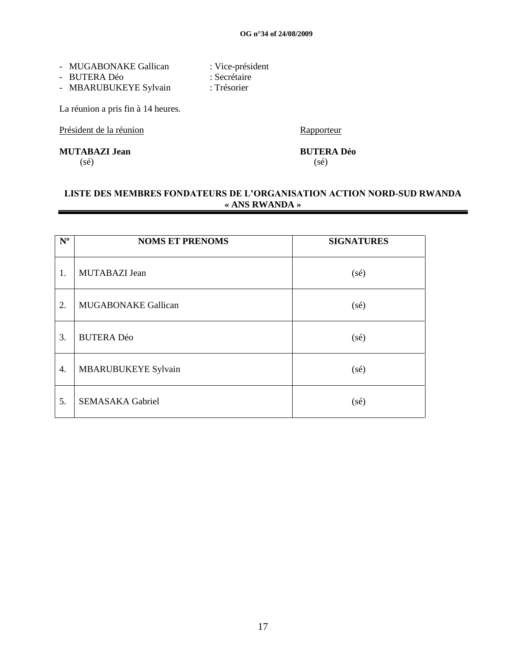- 
- MUGABONAKE Gallican : Vice-président<br>- BUTERA Déo : Secrétaire - BUTERA Déo
- MBARUBUKEYE Sylvain : Trésorier

La réunion a pris fin à 14 heures.

Président de la réunion de la commune de la réunion de la commune de la commune de la Rapporteur

**MUTABAZI Jean BUTERA Déo**

 $(s\acute{e})$  (sé)

## **LISTE DES MEMBRES FONDATEURS DE L'ORGANISATION ACTION NORD-SUD RWANDA « ANS RWANDA »**

| $N^{\rm o}$ | <b>NOMS ET PRENOMS</b>     | <b>SIGNATURES</b> |
|-------------|----------------------------|-------------------|
| 1.          | MUTABAZI Jean              | $(s\acute{e})$    |
| 2.          | <b>MUGABONAKE Gallican</b> | $(s\acute{e})$    |
| 3.          | <b>BUTERA Déo</b>          | $(s\acute{e})$    |
| 4.          | <b>MBARUBUKEYE Sylvain</b> | $(s\acute{e})$    |
| 5.          | <b>SEMASAKA Gabriel</b>    | $(s\acute{e})$    |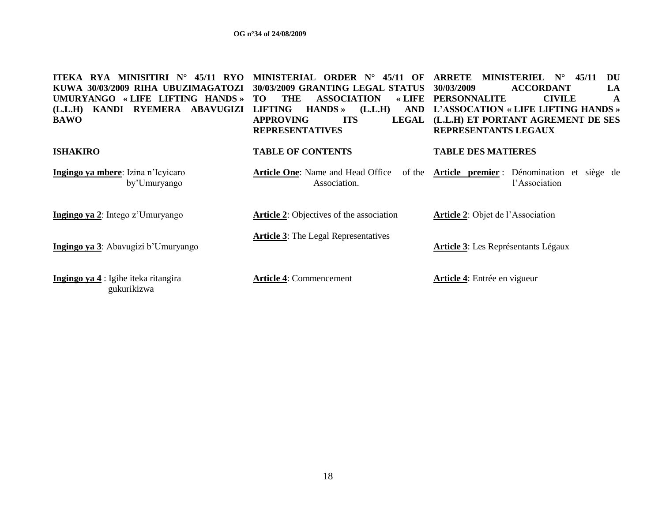| <b>MINISITIRI N°</b><br>45/11 RYO<br>ITEKA<br>RYA<br>KUWA 30/03/2009 RIHA UBUZIMAGATOZI<br>«LIFE LIFTING HANDS»<br><b>UMURYANGO</b><br>RYEMERA<br><b>ABAVUGIZI</b><br>KANDI<br>(L.L.H)<br><b>BAWO</b> | MINISTERIAL ORDER N°<br>45/11<br>$\Omega$<br>30/03/2009 GRANTING LEGAL STATUS<br><b>THE</b><br><b>ASSOCIATION</b><br>$\star$ LIFE<br>TO.<br><b>LIFTING</b><br>$HANDS \rightarrow$<br>(L.L.H)<br><b>AND</b><br><b>APPROVING</b><br><b>ITS</b><br><b>LEGAL</b><br><b>REPRESENTATIVES</b> | <b>ARRETE</b><br><b>MINISTERIEL</b><br><b>DU</b><br>$N^{\circ}$<br>45/11<br>LA<br>30/03/2009<br><b>ACCORDANT</b><br><b>PERSONNALITE</b><br><b>CIVILE</b><br>A<br>L'ASSOCATION « LIFE LIFTING HANDS »<br>(L.L.H) ET PORTANT AGREMENT DE SES<br>REPRESENTANTS LEGAUX |
|-------------------------------------------------------------------------------------------------------------------------------------------------------------------------------------------------------|----------------------------------------------------------------------------------------------------------------------------------------------------------------------------------------------------------------------------------------------------------------------------------------|--------------------------------------------------------------------------------------------------------------------------------------------------------------------------------------------------------------------------------------------------------------------|
| <b>ISHAKIRO</b>                                                                                                                                                                                       | <b>TABLE OF CONTENTS</b>                                                                                                                                                                                                                                                               | <b>TABLE DES MATIERES</b>                                                                                                                                                                                                                                          |
| Ingingo ya mbere: Izina n'Icyicaro<br>by'Umuryango                                                                                                                                                    | <b>Article One:</b> Name and Head Office<br>of the<br>Association.                                                                                                                                                                                                                     | Article premier : Dénomination et siège de<br>l'Association                                                                                                                                                                                                        |
| Ingingo ya 2: Intego z'Umuryango                                                                                                                                                                      | <b>Article 2:</b> Objectives of the association                                                                                                                                                                                                                                        | Article 2: Objet de l'Association                                                                                                                                                                                                                                  |
| Ingingo ya 3: Abavugizi b'Umuryango                                                                                                                                                                   | <b>Article 3:</b> The Legal Representatives                                                                                                                                                                                                                                            | <b>Article 3:</b> Les Représentants Légaux                                                                                                                                                                                                                         |
| Ingingo ya 4 : Igihe iteka ritangira<br>gukurikizwa                                                                                                                                                   | <b>Article 4: Commencement</b>                                                                                                                                                                                                                                                         | <b>Article 4:</b> Entrée en vigueur                                                                                                                                                                                                                                |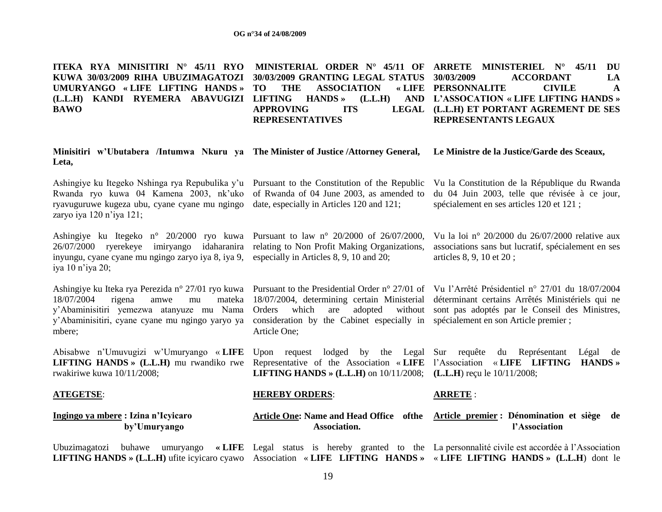**ITEKA RYA MINISITIRI N° 45/11 RYO KUWA 30/03/2009 RIHA UBUZIMAGATOZI 30/03/2009 GRANTING LEGAL STATUS UMURYANGO « LIFE LIFTING HANDS » (L.L.H) KANDI RYEMERA ABAVUGIZI LIFTING HANDS » (L.L.H) AND BAWO MINISTERIAL ORDER N° 45/11 OF ARRETE MINISTERIEL N° 45/11 DU**  THE ASSOCIATION APPROVING **ITS REPRESENTATIVES 30/03/2009 ACCORDANT LA PERSONNALITE CIVILE A L'ASSOCATION « LIFE LIFTING HANDS » (L.L.H) ET PORTANT AGREMENT DE SES REPRESENTANTS LEGAUX**

**Minisitiri w'Ubutabera /Intumwa Nkuru ya The Minister of Justice /Attorney General, Leta, Le Ministre de la Justice/Garde des Sceaux,**

of Rwanda of 04 June 2003, as amended to

Ashingiye ku Itegeko Nshinga rya Repubulika y'u Pursuant to the Constitution of the Republic Rwanda ryo kuwa 04 Kamena 2003, nk"uko ryavuguruwe kugeza ubu, cyane cyane mu ngingo date, especially in Articles 120 and 121; zaryo iya 120 n"iya 121;

Ashingiye ku Itegeko n° 20/2000 ryo kuwa Pursuant to law n° 20/2000 of 26/07/2000, 26/07/2000 ryerekeye imiryango idaharanira relating to Non Profit Making Organizations, inyungu, cyane cyane mu ngingo zaryo iya 8, iya 9, especially in Articles 8, 9, 10 and 20; iya 10 n"iya 20;

Ashingiye ku Iteka rya Perezida n° 27/01 ryo kuwa Pursuant to the Presidential Order n° 27/01 of Vu l"Arrêté Présidentiel n° 27/01 du 18/07/2004  $18/07/2004$  rigena amwe mu y"Abaminisitiri yemezwa atanyuze mu Nama y"Abaminisitiri, cyane cyane mu ngingo yaryo ya mbere;

Abisabwe n"Umuvugizi w"Umuryango « **LIFE**  Upon request lodged by the Legal Sur requête du Représentant Légal de **LIFTING HANDS » (L.L.H)** mu rwandiko rwe rwakiriwe kuwa 10/11/2008;

 **by'Umuryango**

**Ingingo ya mbere : Izina n'Icyicaro** 

**ATEGETSE**:

#### **HEREBY ORDERS**:

Article One;

**ARRETE** :

#### **Article One: Name and Head Office ofthe Article premier : Dénomination et siège de Association.**

Ubuzimagatozi buhawe umuryango **« LIFE**  Legal status is hereby granted to the La personnalité civile est accordée à l"Association **LIFTING HANDS » (L.L.H)** ufite icyicaro cyawo Association « **LIFE LIFTING HANDS »**  « **LIFE LIFTING HANDS » (L.L.H**) dont le

18/07/2004, determining certain Ministerial déterminant certains Arrêtés Ministériels qui ne Orders which are adopted without sont pas adoptés par le Conseil des Ministres, consideration by the Cabinet especially in spécialement en son Article premier ;

Representative of the Association « **LIFE**  l"Association « **LIFE LIFTING HANDS » LIFTING HANDS » (L.L.H)** on 10/11/2008; **(L.L.H**) reçu le 10/11/2008;

**l'Association**

Vu la Constitution de la République du Rwanda du 04 Juin 2003, telle que révisée à ce jour, spécialement en ses articles 120 et 121 ;

Vu la loi n° 20/2000 du 26/07/2000 relative aux associations sans but lucratif, spécialement en ses articles 8, 9, 10 et 20 ;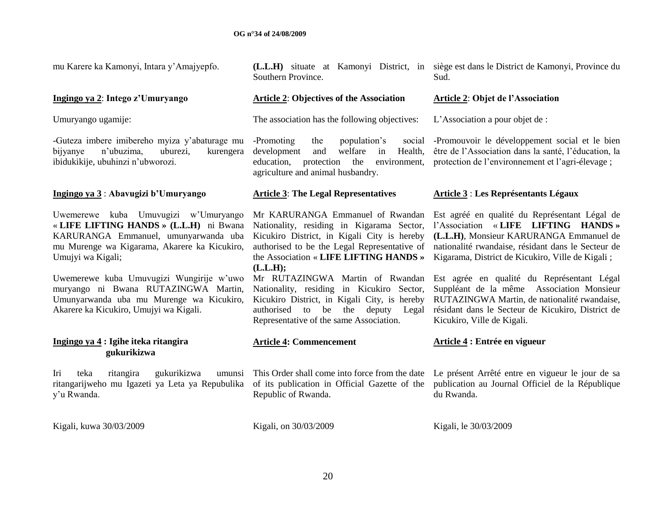| mu Karere ka Kamonyi, Intara y'Amajyepfo.                                                                                                                                                                                                                                                                                                                              | Southern Province.                                                                                                                                                                                                                                                                                                                                                                                                                                       | (L.L.H) situate at Kamonyi District, in siège est dans le District de Kamonyi, Province du<br>Sud.                                                                                                                                                                                                                                                                                                                                                                       |
|------------------------------------------------------------------------------------------------------------------------------------------------------------------------------------------------------------------------------------------------------------------------------------------------------------------------------------------------------------------------|----------------------------------------------------------------------------------------------------------------------------------------------------------------------------------------------------------------------------------------------------------------------------------------------------------------------------------------------------------------------------------------------------------------------------------------------------------|--------------------------------------------------------------------------------------------------------------------------------------------------------------------------------------------------------------------------------------------------------------------------------------------------------------------------------------------------------------------------------------------------------------------------------------------------------------------------|
| Ingingo ya 2: Intego z'Umuryango                                                                                                                                                                                                                                                                                                                                       | <b>Article 2: Objectives of the Association</b>                                                                                                                                                                                                                                                                                                                                                                                                          | <b>Article 2: Objet de l'Association</b>                                                                                                                                                                                                                                                                                                                                                                                                                                 |
| Umuryango ugamije:                                                                                                                                                                                                                                                                                                                                                     | The association has the following objectives:                                                                                                                                                                                                                                                                                                                                                                                                            | L'Association a pour objet de :                                                                                                                                                                                                                                                                                                                                                                                                                                          |
| -Guteza imbere imibereho myiza y'abaturage mu<br>uburezi,<br>bijyanye<br>n'ubuzima,<br>kurengera<br>ibidukikije, ubuhinzi n'ubworozi.                                                                                                                                                                                                                                  | -Promoting<br>the<br>population's<br>social<br>development<br>welfare<br>in<br>Health,<br>and<br>education,<br>protection<br>the<br>environment,<br>agriculture and animal husbandry.                                                                                                                                                                                                                                                                    | -Promouvoir le développement social et le bien<br>être de l'Association dans la santé, l'éducation, la<br>protection de l'environnement et l'agri-élevage;                                                                                                                                                                                                                                                                                                               |
| Ingingo ya 3: Abavugizi b'Umuryango                                                                                                                                                                                                                                                                                                                                    | <b>Article 3: The Legal Representatives</b>                                                                                                                                                                                                                                                                                                                                                                                                              | <b>Article 3: Les Représentants Légaux</b>                                                                                                                                                                                                                                                                                                                                                                                                                               |
| Uwemerewe kuba Umuvugizi w'Umuryango<br>« LIFE LIFTING HANDS » (L.L.H) ni Bwana<br>KARURANGA Emmanuel, umunyarwanda uba<br>mu Murenge wa Kigarama, Akarere ka Kicukiro,<br>Umujyi wa Kigali;<br>Uwemerewe kuba Umuvugizi Wungirije w'uwo<br>muryango ni Bwana RUTAZINGWA Martin,<br>Umunyarwanda uba mu Murenge wa Kicukiro,<br>Akarere ka Kicukiro, Umujyi wa Kigali. | Mr KARURANGA Emmanuel of Rwandan<br>Nationality, residing in Kigarama Sector,<br>Kicukiro District, in Kigali City is hereby<br>authorised to be the Legal Representative of<br>the Association « LIFE LIFTING HANDS »<br>(L.L.H);<br>Mr RUTAZINGWA Martin of Rwandan<br>Nationality, residing in Kicukiro Sector,<br>Kicukiro District, in Kigali City, is hereby<br>be the deputy Legal<br>authorised<br>to<br>Representative of the same Association. | Est agréé en qualité du Représentant Légal de<br>l'Association « LIFE LIFTING HANDS »<br>(L.L.H), Monsieur KARURANGA Emmanuel de<br>nationalité rwandaise, résidant dans le Secteur de<br>Kigarama, District de Kicukiro, Ville de Kigali;<br>Est agrée en qualité du Représentant Légal<br>Suppléant de la même Association Monsieur<br>RUTAZINGWA Martin, de nationalité rwandaise,<br>résidant dans le Secteur de Kicukiro, District de<br>Kicukiro, Ville de Kigali. |
| Ingingo ya 4 : Igihe iteka ritangira<br>gukurikizwa                                                                                                                                                                                                                                                                                                                    | <b>Article 4: Commencement</b>                                                                                                                                                                                                                                                                                                                                                                                                                           | Article 4 : Entrée en vigueur                                                                                                                                                                                                                                                                                                                                                                                                                                            |
| ritangira<br>gukurikizwa<br>Iri<br>teka<br>umunsi<br>ritangarijweho mu Igazeti ya Leta ya Repubulika<br>y'u Rwanda.                                                                                                                                                                                                                                                    | This Order shall come into force from the date<br>of its publication in Official Gazette of the<br>Republic of Rwanda.                                                                                                                                                                                                                                                                                                                                   | Le présent Arrêté entre en vigueur le jour de sa<br>publication au Journal Officiel de la République<br>du Rwanda.                                                                                                                                                                                                                                                                                                                                                       |
| Kigali, kuwa 30/03/2009                                                                                                                                                                                                                                                                                                                                                | Kigali, on 30/03/2009                                                                                                                                                                                                                                                                                                                                                                                                                                    | Kigali, le 30/03/2009                                                                                                                                                                                                                                                                                                                                                                                                                                                    |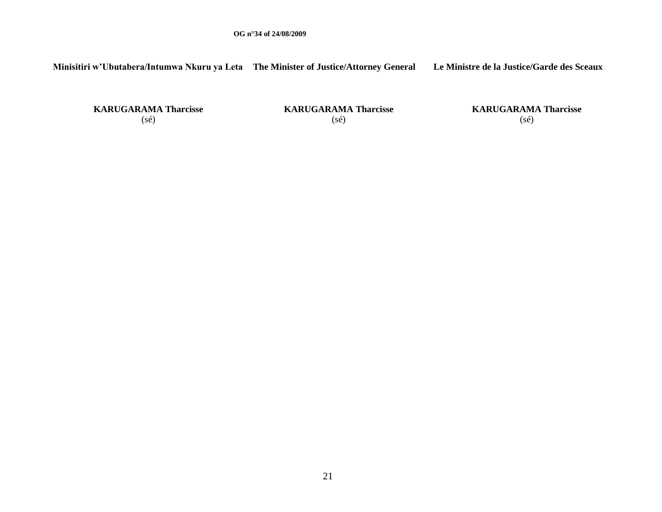**Minisitiri w'Ubutabera/Intumwa Nkuru ya Leta The Minister of Justice/Attorney General Le Ministre de la Justice/Garde des Sceaux**

**KARUGARAMA Tharcisse** (sé)

**KARUGARAMA Tharcisse** (sé)

**KARUGARAMA Tharcisse** (sé)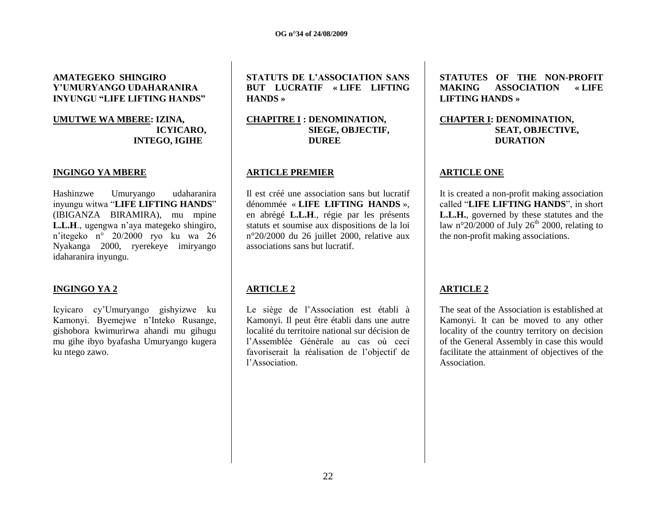## **AMATEGEKO SHINGIRO Y'UMURYANGO UDAHARANIRA INYUNGU "LIFE LIFTING HANDS"**

#### **UMUTWE WA MBERE: IZINA, ICYICARO, INTEGO, IGIHE**

#### **INGINGO YA MBERE**

Hashinzwe Umuryango udaharanira inyungu witwa "**LIFE LIFTING HANDS**" (IBIGANZA BIRAMIRA), mu mpine **L.L.H**., ugengwa n"aya mategeko shingiro, n"itegeko n° 20/2000 ryo ku wa 26 Nyakanga 2000, ryerekeye imiryango idaharanira inyungu.

#### **INGINGO YA 2**

Icyicaro cy"Umuryango gishyizwe ku Kamonyi. Byemejwe n"Inteko Rusange, gishobora kwimurirwa ahandi mu gihugu mu gihe ibyo byafasha Umuryango kugera ku ntego zawo.

**STATUTS DE L'ASSOCIATION SANS BUT LUCRATIF « LIFE LIFTING HANDS »**

**CHAPITRE I : DENOMINATION, SIEGE, OBJECTIF, DUREE**

#### **ARTICLE PREMIER**

Il est créé une association sans but lucratif dénommée « **LIFE LIFTING HANDS** », en abrégé **L.L.H**., régie par les présents statuts et soumise aux dispositions de la loi n°20/2000 du 26 juillet 2000, relative aux associations sans but lucratif.

## **ARTICLE 2**

Le siège de l"Association est établi à Kamonyi. Il peut être établi dans une autre localité du territoire national sur décision de l"Assemblée Générale au cas où ceci favoriserait la réalisation de l"objectif de l"Association.

**STATUTES OF THE NON-PROFIT MAKING ASSOCIATION « LIFE LIFTING HANDS »**

**CHAPTER I: DENOMINATION, SEAT, OBJECTIVE, DURATION**

#### **ARTICLE ONE**

It is created a non-profit making association called "**LIFE LIFTING HANDS**", in short **L.L.H.**, governed by these statutes and the law n°20/2000 of July 26<sup>th</sup> 2000, relating to the non-profit making associations.

## **ARTICLE 2**

The seat of the Association is established at Kamonyi. It can be moved to any other locality of the country territory on decision of the General Assembly in case this would facilitate the attainment of objectives of the **Association**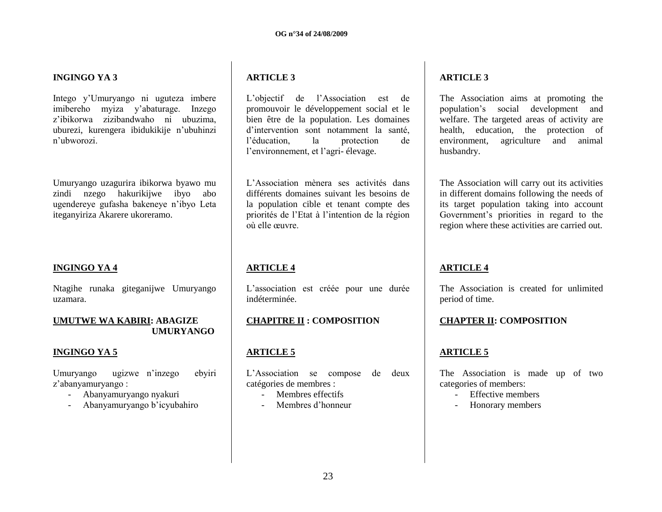## **INGINGO YA 3**

Intego y"Umuryango ni uguteza imbere imibereho myiza y"abaturage. Inzego z"ibikorwa zizibandwaho ni ubuzima, uburezi, kurengera ibidukikije n"ubuhinzi n"ubworozi.

Umuryango uzagurira ibikorwa byawo mu zindi nzego hakurikijwe ibyo abo ugendereye gufasha bakeneye n"ibyo Leta iteganyiriza Akarere ukoreramo.

#### **INGINGO YA 4**

Ntagihe runaka giteganijwe Umuryango uzamara.

#### **UMUTWE WA KABIRI: ABAGIZE UMURYANGO**

#### **INGINGO YA 5**

Umuryango ugizwe n"inzego ebyiri z"abanyamuryango :

- Abanyamuryango nyakuri
- Abanyamuryango b"icyubahiro

## **ARTICLE 3**

L"objectif de l"Association est de promouvoir le développement social et le bien être de la population. Les domaines d"intervention sont notamment la santé, l"éducation, la protection de l"environnement, et l"agri- élevage.

L"Association mènera ses activités dans différents domaines suivant les besoins de la population cible et tenant compte des priorités de l"Etat à l"intention de la région où elle œuvre.

## **ARTICLE 4**

L"association est créée pour une durée indéterminée.

## **CHAPITRE II : COMPOSITION**

## **ARTICLE 5**

L"Association se compose de deux catégories de membres :

- Membres effectifs
- Membres d"honneur

## **ARTICLE 3**

The Association aims at promoting the population"s social development and welfare. The targeted areas of activity are health, education, the protection of environment, agriculture and animal husbandry.

The Association will carry out its activities in different domains following the needs of its target population taking into account Government"s priorities in regard to the region where these activities are carried out.

## **ARTICLE 4**

The Association is created for unlimited period of time.

#### **CHAPTER II: COMPOSITION**

#### **ARTICLE 5**

The Association is made up of two categories of members:

- Effective members
- Honorary members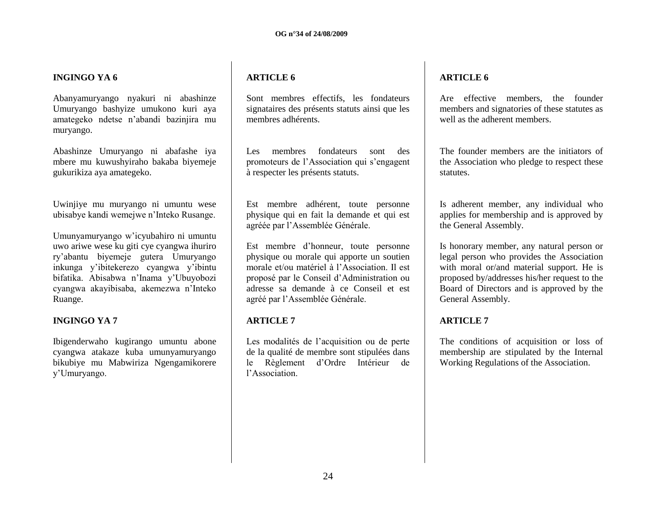#### **INGINGO YA 6**

Abanyamuryango nyakuri ni abashinze Umuryango bashyize umukono kuri aya amategeko ndetse n"abandi bazinjira mu muryango.

Abashinze Umuryango ni abafashe iya mbere mu kuwushyiraho bakaba biyemeje gukurikiza aya amategeko.

Uwinjiye mu muryango ni umuntu wese ubisabye kandi wemejwe n"Inteko Rusange.

Umunyamuryango w"icyubahiro ni umuntu uwo ariwe wese ku giti cye cyangwa ihuriro ry"abantu biyemeje gutera Umuryango inkunga y"ibitekerezo cyangwa y"ibintu bifatika. Abisabwa n"Inama y"Ubuyobozi cyangwa akayibisaba, akemezwa n"Inteko Ruange.

## **INGINGO YA 7**

Ibigenderwaho kugirango umuntu abone cyangwa atakaze kuba umunyamuryango bikubiye mu Mabwiriza Ngengamikorere y"Umuryango.

## **ARTICLE 6**

Sont membres effectifs, les fondateurs signataires des présents statuts ainsi que les membres adhérents.

Les membres fondateurs sont des promoteurs de l"Association qui s"engagent à respecter les présents statuts.

Est membre adhérent, toute personne physique qui en fait la demande et qui est agréée par l"Assemblée Générale.

Est membre d"honneur, toute personne physique ou morale qui apporte un soutien morale et/ou matériel à l"Association. Il est proposé par le Conseil d"Administration ou adresse sa demande à ce Conseil et est agréé par l"Assemblée Générale.

## **ARTICLE 7**

Les modalités de l'acquisition ou de perte de la qualité de membre sont stipulées dans le Règlement d"Ordre Intérieur de l"Association.

## **ARTICLE 6**

Are effective members, the founder members and signatories of these statutes as well as the adherent members.

The founder members are the initiators of the Association who pledge to respect these statutes.

Is adherent member, any individual who applies for membership and is approved by the General Assembly.

Is honorary member, any natural person or legal person who provides the Association with moral or/and material support. He is proposed by/addresses his/her request to the Board of Directors and is approved by the General Assembly.

## **ARTICLE 7**

The conditions of acquisition or loss of membership are stipulated by the Internal Working Regulations of the Association.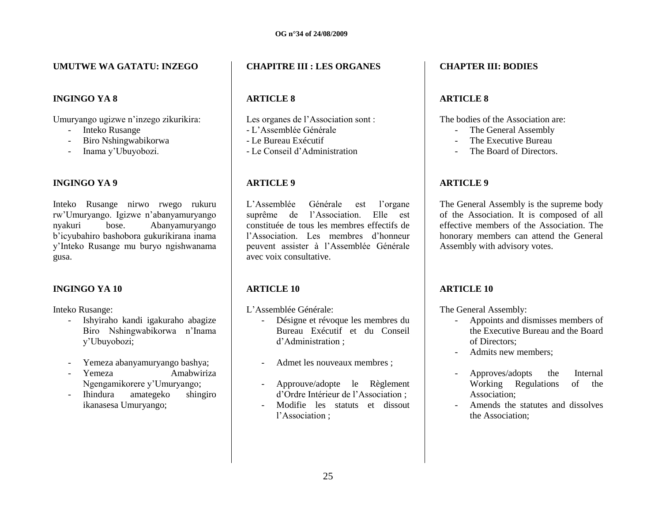#### **UMUTWE WA GATATU: INZEGO**

## **INGINGO YA 8**

Umuryango ugizwe n"inzego zikurikira:

- Inteko Rusange
- Biro Nshingwabikorwa
- Inama y"Ubuyobozi.

## **INGINGO YA 9**

Inteko Rusange nirwo rwego rukuru rw"Umuryango. Igizwe n"abanyamuryango nyakuri bose. Abanyamuryango b"icyubahiro bashobora gukurikirana inama y"Inteko Rusange mu buryo ngishwanama gusa.

## **INGINGO YA 10**

Inteko Rusange:

- Ishyiraho kandi igakuraho abagize Biro Nshingwabikorwa n"Inama y"Ubuyobozi;
- Yemeza abanyamuryango bashya;
- Yemeza Amabwiriza Ngengamikorere y"Umuryango;
- Ihindura amategeko shingiro ikanasesa Umuryango;

## **CHAPITRE III : LES ORGANES**

## **ARTICLE 8**

Les organes de l"Association sont :

- L"Assemblée Générale
- Le Bureau Exécutif
- Le Conseil d"Administration

## **ARTICLE 9**

L"Assemblée Générale est l"organe suprême de l"Association. Elle est constituée de tous les membres effectifs de l"Association. Les membres d"honneur peuvent assister à l"Assemblée Générale avec voix consultative.

## **ARTICLE 10**

L"Assemblée Générale:

- Désigne et révoque les membres du Bureau Exécutif et du Conseil d"Administration ;
- Admet les nouveaux membres ;
- Approuve/adopte le Règlement d"Ordre Intérieur de l"Association ;
- Modifie les statuts et dissout l"Association ;

## **CHAPTER III: BODIES**

## **ARTICLE 8**

The bodies of the Association are:

- The General Assembly
- The Executive Bureau
- The Board of Directors.

## **ARTICLE 9**

The General Assembly is the supreme body of the Association. It is composed of all effective members of the Association. The honorary members can attend the General Assembly with advisory votes.

## **ARTICLE 10**

The General Assembly:

- Appoints and dismisses members of the Executive Bureau and the Board of Directors;
- Admits new members;
- Approves/adopts the Internal Working Regulations of the Association;
- Amends the statutes and dissolves the Association;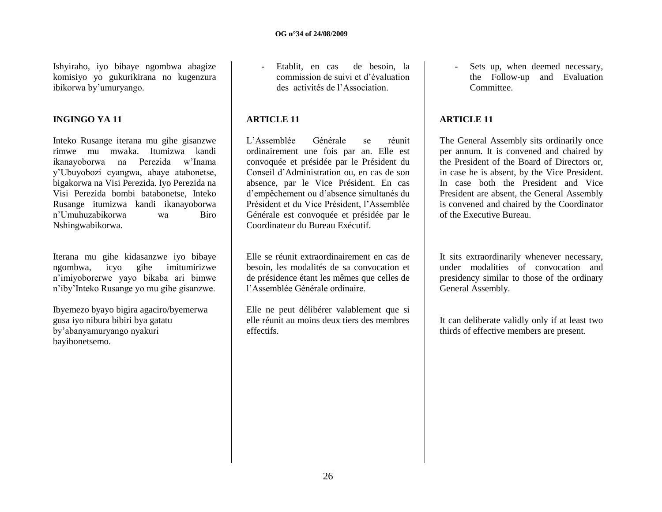Ishyiraho, iyo bibaye ngombwa abagize komisiyo yo gukurikirana no kugenzura ibikorwa by"umuryango.

#### **INGINGO YA 11**

Inteko Rusange iterana mu gihe gisanzwe rimwe mu mwaka. Itumizwa kandi ikanayoborwa na Perezida w"Inama y"Ubuyobozi cyangwa, abaye atabonetse, bigakorwa na Visi Perezida. Iyo Perezida na Visi Perezida bombi batabonetse, Inteko Rusange itumizwa kandi ikanayoborwa n"Umuhuzabikorwa wa Biro Nshingwabikorwa.

Iterana mu gihe kidasanzwe iyo bibaye ngombwa, icyo gihe imitumirizwe n"imiyoborerwe yayo bikaba ari bimwe n"iby"Inteko Rusange yo mu gihe gisanzwe.

Ibyemezo byayo bigira agaciro/byemerwa gusa iyo nibura bibiri bya gatatu by"abanyamuryango nyakuri bayibonetsemo.

- Etablit, en cas de besoin, la commission de suivi et d"évaluation des activités de l"Association.

#### **ARTICLE 11**

L"Assemblée Générale se réunit ordinairement une fois par an. Elle est convoquée et présidée par le Président du Conseil d"Administration ou, en cas de son absence, par le Vice Président. En cas d"empêchement ou d"absence simultanés du Président et du Vice Président, l"Assemblée Générale est convoquée et présidée par le Coordinateur du Bureau Exécutif.

Elle se réunit extraordinairement en cas de besoin, les modalités de sa convocation et de présidence étant les mêmes que celles de l"Assemblée Générale ordinaire.

Elle ne peut délibérer valablement que si elle réunit au moins deux tiers des membres effectifs.

- Sets up, when deemed necessary, the Follow-up and Evaluation Committee.

## **ARTICLE 11**

The General Assembly sits ordinarily once per annum. It is convened and chaired by the President of the Board of Directors or, in case he is absent, by the Vice President. In case both the President and Vice President are absent, the General Assembly is convened and chaired by the Coordinator of the Executive Bureau.

It sits extraordinarily whenever necessary, under modalities of convocation and presidency similar to those of the ordinary General Assembly.

It can deliberate validly only if at least two thirds of effective members are present.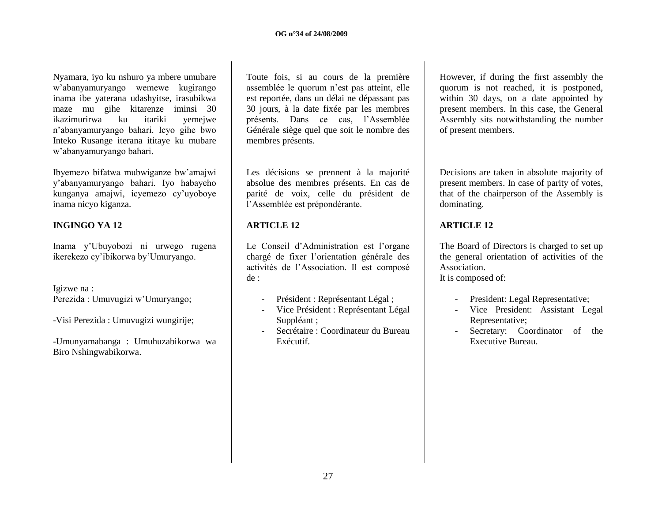Nyamara, iyo ku nshuro ya mbere umubare w"abanyamuryango wemewe kugirango inama ibe yaterana udashyitse, irasubikwa maze mu gihe kitarenze iminsi 30 ikazimurirwa ku itariki yemejwe n"abanyamuryango bahari. Icyo gihe bwo Inteko Rusange iterana ititaye ku mubare w"abanyamuryango bahari.

Ibyemezo bifatwa mubwiganze bw"amajwi y"abanyamuryango bahari. Iyo habayeho kunganya amajwi, icyemezo cy"uyoboye inama nicyo kiganza.

## **INGINGO YA 12**

Inama y"Ubuyobozi ni urwego rugena ikerekezo cy"ibikorwa by"Umuryango.

Igizwe na : Perezida : Umuvugizi w"Umuryango;

-Visi Perezida : Umuvugizi wungirije;

-Umunyamabanga : Umuhuzabikorwa wa Biro Nshingwabikorwa.

Toute fois, si au cours de la première assemblée le quorum n"est pas atteint, elle est reportée, dans un délai ne dépassant pas 30 jours, à la date fixée par les membres présents. Dans ce cas, l"Assemblée Générale siège quel que soit le nombre des membres présents.

Les décisions se prennent à la majorité absolue des membres présents. En cas de parité de voix, celle du président de l"Assemblée est prépondérante.

## **ARTICLE 12**

Le Conseil d'Administration est l'organe chargé de fixer l"orientation générale des activités de l"Association. Il est composé de :

- Président : Représentant Légal ;
- Vice Président : Représentant Légal Suppléant ;
- Secrétaire : Coordinateur du Bureau Exécutif.

However, if during the first assembly the quorum is not reached, it is postponed, within 30 days, on a date appointed by present members. In this case, the General Assembly sits notwithstanding the number of present members.

Decisions are taken in absolute majority of present members. In case of parity of votes, that of the chairperson of the Assembly is dominating.

## **ARTICLE 12**

The Board of Directors is charged to set up the general orientation of activities of the Association.

It is composed of:

- President: Legal Representative;
- Vice President: Assistant Legal Representative;
- Secretary: Coordinator of the Executive Bureau.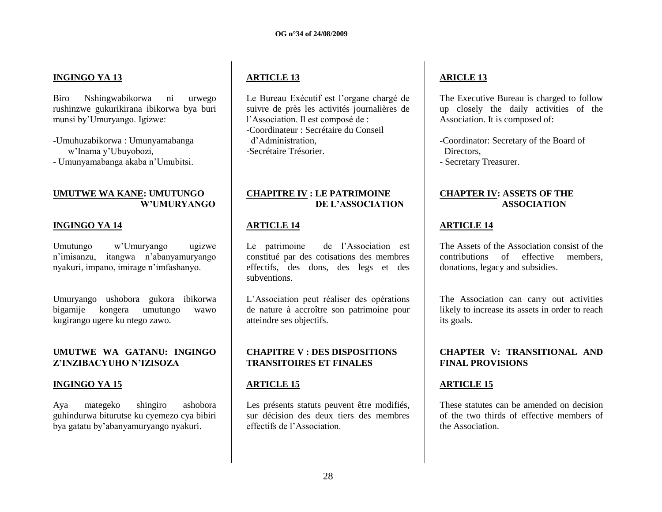## **INGINGO YA 13**

Biro Nshingwabikorwa ni urwego rushinzwe gukurikirana ibikorwa bya buri munsi by"Umuryango. Igizwe:

-Umuhuzabikorwa : Umunyamabanga w"Inama y"Ubuyobozi, - Umunyamabanga akaba n"Umubitsi.

### **UMUTWE WA KANE: UMUTUNGO W'UMURYANGO**

## **INGINGO YA 14**

Umutungo w"Umuryango ugizwe n"imisanzu, itangwa n"abanyamuryango nyakuri, impano, imirage n"imfashanyo.

Umuryango ushobora gukora ibikorwa bigamije kongera umutungo wawo kugirango ugere ku ntego zawo.

#### **UMUTWE WA GATANU: INGINGO Z'INZIBACYUHO N'IZISOZA**

#### **INGINGO YA 15**

Aya mategeko shingiro ashobora guhindurwa biturutse ku cyemezo cya bibiri bya gatatu by"abanyamuryango nyakuri.

## **ARTICLE 13**

Le Bureau Exécutif est l"organe chargé de suivre de près les activités journalières de l"Association. Il est composé de : -Coordinateur : Secrétaire du Conseil d"Administration, -Secrétaire Trésorier.

## **CHAPITRE IV : LE PATRIMOINE DE L'ASSOCIATION**

## **ARTICLE 14**

Le patrimoine de l"Association est constitué par des cotisations des membres effectifs, des dons, des legs et des subventions.

L"Association peut réaliser des opérations de nature à accroître son patrimoine pour atteindre ses objectifs.

## **CHAPITRE V : DES DISPOSITIONS TRANSITOIRES ET FINALES**

## **ARTICLE 15**

Les présents statuts peuvent être modifiés, sur décision des deux tiers des membres effectifs de l"Association.

# **ARICLE 13**

The Executive Bureau is charged to follow up closely the daily activities of the Association. It is composed of:

-Coordinator: Secretary of the Board of Directors, - Secretary Treasurer.

### **CHAPTER IV: ASSETS OF THE ASSOCIATION**

## **ARTICLE 14**

The Assets of the Association consist of the contributions of effective members, donations, legacy and subsidies.

The Association can carry out activities likely to increase its assets in order to reach its goals.

#### **CHAPTER V: TRANSITIONAL AND FINAL PROVISIONS**

## **ARTICLE 15**

These statutes can be amended on decision of the two thirds of effective members of the Association.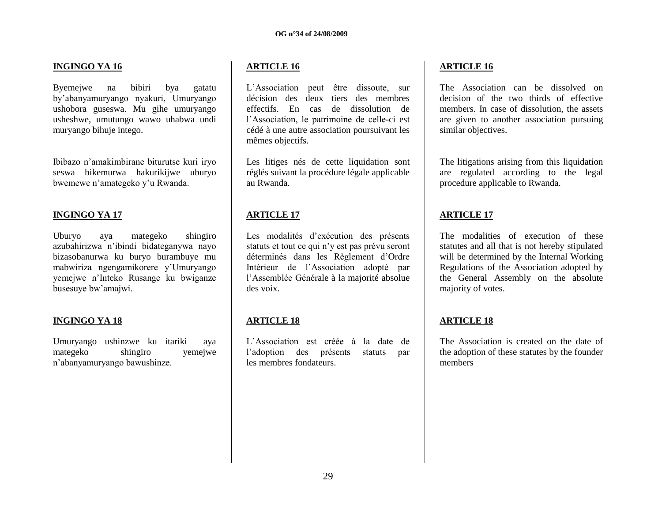## **INGINGO YA 16**

Byemejwe na bibiri bya gatatu by"abanyamuryango nyakuri, Umuryango ushobora guseswa. Mu gihe umuryango usheshwe, umutungo wawo uhabwa undi muryango bihuje intego.

Ibibazo n"amakimbirane biturutse kuri iryo seswa bikemurwa hakurikijwe uburyo bwemewe n"amategeko y"u Rwanda.

## **INGINGO YA 17**

Uburyo aya mategeko shingiro azubahirizwa n"ibindi bidateganywa nayo bizasobanurwa ku buryo burambuye mu mabwiriza ngengamikorere y"Umuryango yemejwe n"Inteko Rusange ku bwiganze busesuye bw"amajwi.

#### **INGINGO YA 18**

Umuryango ushinzwe ku itariki aya mategeko shingiro yemejwe n"abanyamuryango bawushinze.

## **ARTICLE 16**

L"Association peut être dissoute, sur décision des deux tiers des membres effectifs. En cas de dissolution de l"Association, le patrimoine de celle-ci est cédé à une autre association poursuivant les mêmes objectifs.

Les litiges nés de cette liquidation sont réglés suivant la procédure légale applicable au Rwanda.

## **ARTICLE 17**

Les modalités d"exécution des présents statuts et tout ce qui n"y est pas prévu seront déterminés dans les Règlement d"Ordre Intérieur de l"Association adopté par l"Assemblée Générale à la majorité absolue des voix.

## **ARTICLE 18**

L"Association est créée à la date de l"adoption des présents statuts par les membres fondateurs.

## **ARTICLE 16**

The Association can be dissolved on decision of the two thirds of effective members. In case of dissolution, the assets are given to another association pursuing similar objectives.

The litigations arising from this liquidation are regulated according to the legal procedure applicable to Rwanda.

## **ARTICLE 17**

The modalities of execution of these statutes and all that is not hereby stipulated will be determined by the Internal Working Regulations of the Association adopted by the General Assembly on the absolute majority of votes.

## **ARTICLE 18**

The Association is created on the date of the adoption of these statutes by the founder members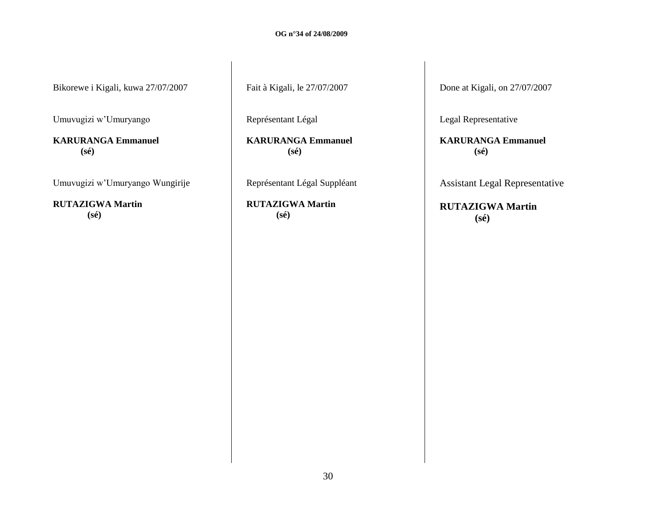Bikorewe i Kigali, kuwa 27/07/2007

Umuvugizi w"Umuryango

**KARURANGA Emmanuel (sé)**

Umuvugizi w"Umuryango Wungirije

**RUTAZIGWA Martin (sé)**

Fait à Kigali, le 27/07/2007

Représentant Légal

**KARURANGA Emmanuel (sé)**

Représentant Légal Suppléant

**RUTAZIGWA Martin (sé)**

Done at Kigali, on 27/07/2007

Legal Representative

**KARURANGA Emmanuel (sé)**

Assistant Legal Representative

**RUTAZIGWA Martin (sé)**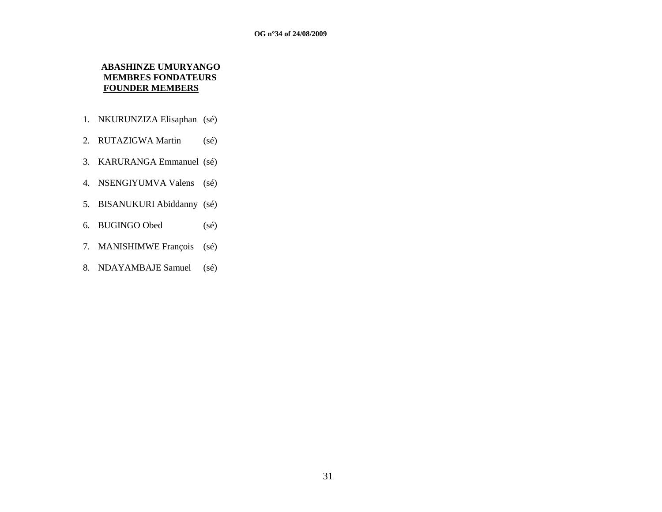## **ABASHINZE UMURYANGO MEMBRES FONDATEURS FOUNDER MEMBERS**

- 1. NKURUNZIZA Elisaphan (sé)
- 2. RUTAZIGWA Martin (sé)
- 3. KARURANGA Emmanuel (sé)
- 4. NSENGIYUMVA Valens (sé)
- 5. BISANUKURI Abiddanny (sé)
- 6. BUGINGO Obed (sé)
- 7. MANISHIMWE François (sé)
- 8. NDAYAMBAJE Samuel (sé)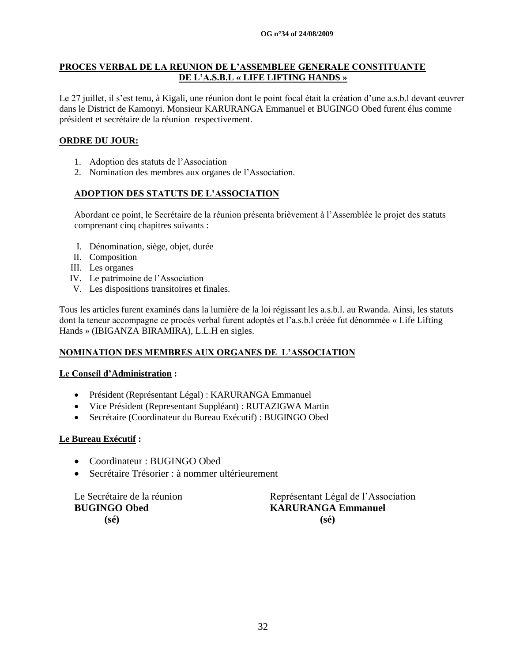## **PROCES VERBAL DE LA REUNION DE L'ASSEMBLEE GENERALE CONSTITUANTE DE L'A.S.B.L « LIFE LIFTING HANDS »**

Le 27 juillet, il s"est tenu, à Kigali, une réunion dont le point focal était la création d"une a.s.b.l devant œuvrer dans le District de Kamonyi. Monsieur KARURANGA Emmanuel et BUGINGO Obed furent élus comme président et secrétaire de la réunion respectivement.

## **ORDRE DU JOUR:**

- 1. Adoption des statuts de l"Association
- 2. Nomination des membres aux organes de l"Association.

## **ADOPTION DES STATUTS DE L'ASSOCIATION**

Abordant ce point, le Secrétaire de la réunion présenta brièvement à l"Assemblée le projet des statuts comprenant cinq chapitres suivants :

- I. Dénomination, siège, objet, durée
- II. Composition
- III. Les organes
- IV. Le patrimoine de l"Association
- V. Les dispositions transitoires et finales.

Tous les articles furent examinés dans la lumière de la loi régissant les a.s.b.l. au Rwanda. Ainsi, les statuts dont la teneur accompagne ce procès verbal furent adoptés et l"a.s.b.l créée fut dénommée « Life Lifting Hands » (IBIGANZA BIRAMIRA), L.L.H en sigles.

#### **NOMINATION DES MEMBRES AUX ORGANES DE L'ASSOCIATION**

#### **Le Conseil d'Administration :**

- Président (Représentant Légal) : KARURANGA Emmanuel
- Vice Président (Representant Suppléant) : RUTAZIGWA Martin
- Secrétaire (Coordinateur du Bureau Exécutif) : BUGINGO Obed

#### **Le Bureau Exécutif :**

- Coordinateur : BUGINGO Obed
- Secrétaire Trésorier : à nommer ultérieurement

 **(sé) (sé)** 

Le Secrétaire de la réunion<br>
Représentant Légal de l'Association **BUGINGO Obed KARURANGA Emmanuel**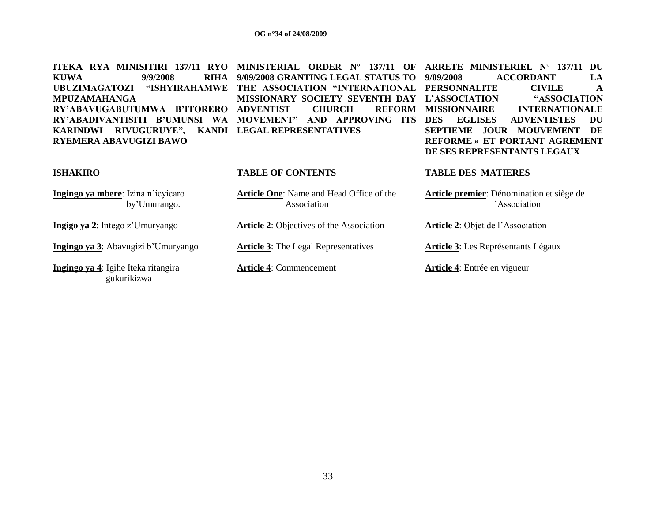**KUWA** 9/9/2008 **UBUZIMAGATOZI "ISHYIRAHAMWE THE ASSOCIATION "INTERNATIONAL PERSONNALITE CIVILE A MPUZAMAHANGA RY'ABAVUGABUTUMWA B'ITORERO ADVENTIST CHURCH REFORM KARINDWI RIVUGURUYE", KANDI LEGAL REPRESENTATIVES RYEMERA ABAVUGIZI BAWO**

**ITEKA RYA MINISITIRI 137/11 RYO MINISTERIAL ORDER N° 137/11 OF ARRETE MINISTERIEL N° 137/11 DU 9/09/2008 GRANTING LEGAL STATUS TO MISSIONARY SOCIETY SEVENTH DAY** 

# **RY'ABADIVANTISITI B'UMUNSI WA MOVEMENT" AND APPROVING ITS DES EGLISES ADVENTISTES DU L'ASSOCIATION "ASSOCIATION**  REFORM MISSIONNAIRE INTERNATIONALE **SEPTIEME JOUR MOUVEMENT DE REFORME » ET PORTANT AGREMENT DE SES REPRESENTANTS LEGAUX**

**9/09/2008 ACCORDANT LA** 

**Ingingo ya mbere**: Izina n"icyicaro by"Umurango.

**Ingingo ya 3**: Abavugizi b"Umuryango **Article 3**: The Legal Representatives **Article 3**: Les Représentants Légaux

**Ingingo ya 4**: Igihe Iteka ritangira gukurikizwa

**Article One**: Name and Head Office of the Association

**Ingigo ya 2**: Intego z"Umuryango **Article 2**: Objectives of the Association **Article 2**: Objet de l"Association

#### **ISHAKIRO TABLE OF CONTENTS TABLE DES MATIERES**

**Article premier**: Dénomination et siège de l"Association

**Article 4**: Commencement **Article 4**: Entrée en vigueur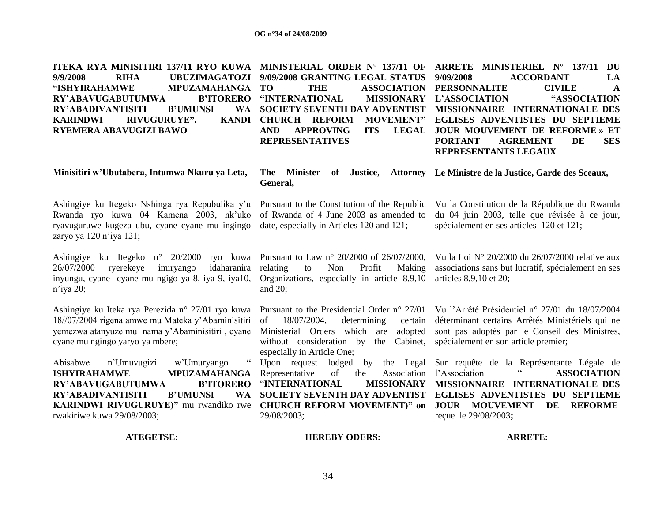| ITEKA RYA MINISITIRI 137/11 RYO KUWA<br><b>RIHA</b><br>9/9/2008<br><b>UBUZIMAGATOZI</b><br>"ISHYIRAHAMWE<br>MPUZAMAHANGA<br>RY'ABAVUGABUTUMWA<br><b>B'ITORERO</b><br><b>B'UMUNSI</b><br><b>WA</b><br><b>RY'ABADIVANTISITI</b><br>RIVUGURUYE",<br><b>KARINDWI</b><br>RYEMERA ABAVUGIZI BAWO | MINISTERIAL ORDER N° 137/11 OF<br>9/09/2008 GRANTING LEGAL STATUS<br>TO<br><b>THE</b><br><b>ASSOCIATION</b><br>"INTERNATIONAL<br><b>MISSIONARY</b><br><b>SOCIETY SEVENTH DAY ADVENTIST</b><br>KANDI CHURCH REFORM<br><b>MOVEMENT"</b><br><b>APPROVING</b><br><b>ITS</b><br><b>LEGAL</b><br><b>AND</b><br><b>REPRESENTATIVES</b> | ARRETE MINISTERIEL N° 137/11<br>DU<br><b>ACCORDANT</b><br>9/09/2008<br>LA<br><b>PERSONNALITE</b><br><b>CIVILE</b><br>$\mathbf{A}$<br>L'ASSOCIATION<br>"ASSOCIATION<br>MISSIONNAIRE INTERNATIONALE DES<br>EGLISES ADVENTISTES DU SEPTIEME<br><b>JOUR MOUVEMENT DE REFORME » ET</b><br><b>PORTANT</b><br><b>AGREMENT</b><br>DE<br><b>SES</b><br>REPRESENTANTS LEGAUX |
|--------------------------------------------------------------------------------------------------------------------------------------------------------------------------------------------------------------------------------------------------------------------------------------------|---------------------------------------------------------------------------------------------------------------------------------------------------------------------------------------------------------------------------------------------------------------------------------------------------------------------------------|--------------------------------------------------------------------------------------------------------------------------------------------------------------------------------------------------------------------------------------------------------------------------------------------------------------------------------------------------------------------|
| Minisitiri w'Ubutabera, Intumwa Nkuru ya Leta,                                                                                                                                                                                                                                             | The Minister<br>General,                                                                                                                                                                                                                                                                                                        | of Justice, Attorney Le Ministre de la Justice, Garde des Sceaux,                                                                                                                                                                                                                                                                                                  |
| Ashingiye ku Itegeko Nshinga rya Repubulika y'u<br>Rwanda ryo kuwa 04 Kamena 2003, nk'uko<br>ryavuguruwe kugeza ubu, cyane cyane mu ingingo<br>zaryo ya 120 n'iya 121;                                                                                                                     | Pursuant to the Constitution of the Republic<br>of Rwanda of 4 June 2003 as amended to<br>date, especially in Articles 120 and 121;                                                                                                                                                                                             | Vu la Constitution de la République du Rwanda<br>du 04 juin 2003, telle que révisée à ce jour,<br>spécialement en ses articles 120 et 121;                                                                                                                                                                                                                         |
| Ashingiye ku Itegeko n° 20/2000<br>ryo kuwa<br>26/07/2000<br>imiryango<br>idaharanira<br>ryerekeye<br>inyungu, cyane cyane mu ngigo ya 8, iya 9, iya10,<br>$n$ 'iya 20;                                                                                                                    | Pursuant to Law n° 20/2000 of 26/07/2000,<br>relating<br>Non<br>Profit<br>to<br>Making<br>Organizations, especially in article 8,9,10<br>and $20$ ;                                                                                                                                                                             | Vu la Loi Nº 20/2000 du 26/07/2000 relative aux<br>associations sans but lucratif, spécialement en ses<br>articles 8,9,10 et 20;                                                                                                                                                                                                                                   |
| Ashingiye ku Iteka rya Perezida n° 27/01 ryo kuwa<br>18//07/2004 rigena amwe mu Mateka y'Abaminisitiri<br>yemezwa atanyuze mu nama y'Abaminisitiri, cyane<br>cyane mu ngingo yaryo ya mbere;                                                                                               | Pursuant to the Presidential Order $n^{\circ}$ 27/01<br>18/07/2004,<br>determining<br>of<br>certain<br>Ministerial Orders which are<br>adopted<br>without consideration by the Cabinet,<br>especially in Article One;                                                                                                           | Vu l'Arrêté Présidentiel n° 27/01 du 18/07/2004<br>déterminant certains Arrêtés Ministériels qui ne<br>sont pas adoptés par le Conseil des Ministres,<br>spécialement en son article premier;                                                                                                                                                                      |
| 66<br>Abisabwe<br>n'Umuvugizi<br>w'Umuryango<br><b>MPUZAMAHANGA</b><br><b>ISHYIRAHAMWE</b><br>RY'ABAVUGABUTUMWA<br><b>B'ITORERO</b><br><b>B'UMUNSI</b><br><b>RY'ABADIVANTISITI</b><br><b>WA</b><br>KARINDWI RIVUGURUYE)" mu rwandiko rwe<br>rwakiriwe kuwa 29/08/2003;                     | Upon request lodged<br>by<br>the Legal<br>Representative<br>of<br>the<br>Association<br>"INTERNATIONAL<br><b>MISSIONARY</b><br>SOCIETY SEVENTH DAY ADVENTIST<br><b>CHURCH REFORM MOVEMENT)" on</b><br>29/08/2003;                                                                                                               | Sur requête de la Représentante Légale de<br>l'Association<br><b>ASSOCIATION</b><br>MISSIONNAIRE INTERNATIONALE DES<br><b>EGLISES ADVENTISTES DU SEPTIEME</b><br><b>JOUR MOUVEMENT</b><br>DE<br><b>REFORME</b><br>reçue le 29/08/2003;                                                                                                                             |
| <b>ATEGETSE:</b>                                                                                                                                                                                                                                                                           | <b>HEREBY ODERS:</b>                                                                                                                                                                                                                                                                                                            | <b>ARRETE:</b>                                                                                                                                                                                                                                                                                                                                                     |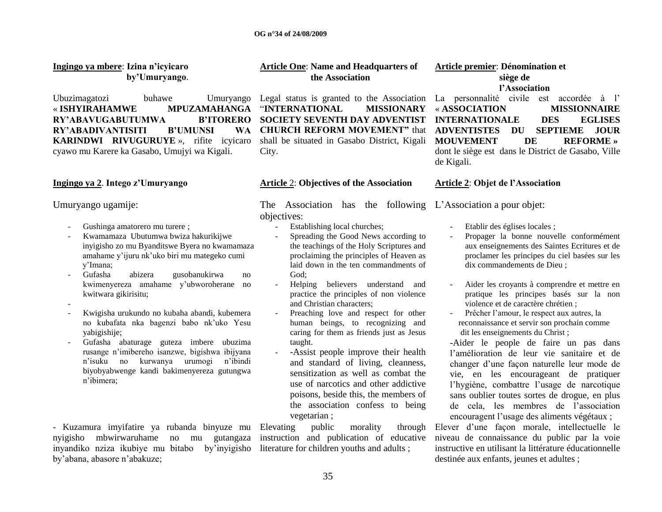| Ingingo ya mbere: Izina n'icyicaro<br>by'Umuryango.                                                                                                                                                                                                                                                                                                                                                                                                                                                                                                                                                                                        | <b>Article One: Name and Headquarters of</b><br>the Association                                                                                                                                                                                                                                                                                                                                                                                                                                                                                                                                                                                                                                                                                                                                   | Article premier: Dénomination et<br>siège de<br>l'Association                                                                                                                                                                                                                                                                                                                                                                                                                                                                                                                                                                                                                                                                                                                                                                                   |
|--------------------------------------------------------------------------------------------------------------------------------------------------------------------------------------------------------------------------------------------------------------------------------------------------------------------------------------------------------------------------------------------------------------------------------------------------------------------------------------------------------------------------------------------------------------------------------------------------------------------------------------------|---------------------------------------------------------------------------------------------------------------------------------------------------------------------------------------------------------------------------------------------------------------------------------------------------------------------------------------------------------------------------------------------------------------------------------------------------------------------------------------------------------------------------------------------------------------------------------------------------------------------------------------------------------------------------------------------------------------------------------------------------------------------------------------------------|-------------------------------------------------------------------------------------------------------------------------------------------------------------------------------------------------------------------------------------------------------------------------------------------------------------------------------------------------------------------------------------------------------------------------------------------------------------------------------------------------------------------------------------------------------------------------------------------------------------------------------------------------------------------------------------------------------------------------------------------------------------------------------------------------------------------------------------------------|
| Ubuzimagatozi<br>buhawe<br>Umuryango<br>« ISHYIRAHAMWE<br><b>MPUZAMAHANGA</b><br>RY'ABAVUGABUTUMWA<br><b>B'ITORERO</b><br>RY'ABADIVANTISITI<br><b>B'UMUNSI</b><br><b>WA</b><br><b>KARINDWI RIVUGURUYE</b> », rifite icyicaro<br>cyawo mu Karere ka Gasabo, Umujyi wa Kigali.                                                                                                                                                                                                                                                                                                                                                               | Legal status is granted to the Association<br><b>MISSIONARY</b><br>"INTERNATIONAL<br><b>SOCIETY SEVENTH DAY ADVENTIST</b><br><b>CHURCH REFORM MOVEMENT"</b> that<br>shall be situated in Gasabo District, Kigali<br>City.                                                                                                                                                                                                                                                                                                                                                                                                                                                                                                                                                                         | La personnalité civile est accordée à l'<br>« ASSOCIATION<br><b>MISSIONNAIRE</b><br><b>INTERNATIONALE</b><br><b>DES</b><br><b>EGLISES</b><br><b>SEPTIEME</b><br><b>ADVENTISTES</b><br>DU<br><b>JOUR</b><br><b>REFORME</b> »<br><b>MOUVEMENT</b><br>DE<br>dont le siège est dans le District de Gasabo, Ville<br>de Kigali.                                                                                                                                                                                                                                                                                                                                                                                                                                                                                                                      |
| Ingingo ya 2. Intego z'Umuryango                                                                                                                                                                                                                                                                                                                                                                                                                                                                                                                                                                                                           | <b>Article 2: Objectives of the Association</b>                                                                                                                                                                                                                                                                                                                                                                                                                                                                                                                                                                                                                                                                                                                                                   | Article 2: Objet de l'Association                                                                                                                                                                                                                                                                                                                                                                                                                                                                                                                                                                                                                                                                                                                                                                                                               |
| Umuryango ugamije:<br>Gushinga amatorero mu turere;<br>Kwamamaza Ubutumwa bwiza hakurikijwe<br>inyigisho zo mu Byanditswe Byera no kwamamaza<br>amahame y'ijuru nk'uko biri mu mategeko cumi<br>y'Imana;<br>abizera<br>Gufasha<br>gusobanukirwa<br>no<br>kwimenyereza amahame y'ubworoherane no<br>kwitwara gikirisitu;<br>Kwigisha urukundo no kubaha abandi, kubemera<br>no kubafata nka bagenzi babo nk'uko Yesu<br>yabigishije;<br>Gufasha abaturage guteza imbere ubuzima<br>rusange n'imibereho isanzwe, bigishwa ibijyana<br>kurwanya urumogi<br>n'ibindi<br>n'isuku no<br>biyobyabwenge kandi bakimenyereza gutungwa<br>n'ibimera; | The Association has the following L'Association a pour objet:<br>objectives:<br>Establishing local churches;<br>Spreading the Good News according to<br>the teachings of the Holy Scriptures and<br>proclaiming the principles of Heaven as<br>laid down in the ten commandments of<br>God;<br>Helping believers understand and<br>practice the principles of non violence<br>and Christian characters;<br>Preaching love and respect for other<br>human beings, to recognizing and<br>caring for them as friends just as Jesus<br>taught.<br>-Assist people improve their health<br>and standard of living, cleanness,<br>sensitization as well as combat the<br>use of narcotics and other addictive<br>poisons, beside this, the members of<br>the association confess to being<br>vegetarian; | Etablir des églises locales;<br>Propager la bonne nouvelle conformément<br>aux enseignements des Saintes Ecritures et de<br>proclamer les principes du ciel basées sur les<br>dix commandements de Dieu;<br>Aider les croyants à comprendre et mettre en<br>pratique les principes basés sur la non<br>violence et de caractère chrétien;<br>Prêcher l'amour, le respect aux autres, la<br>reconnaissance et servir son prochain comme<br>dit les enseignements du Christ;<br>-Aider le people de faire un pas dans<br>l'amélioration de leur vie sanitaire et de<br>changer d'une façon naturelle leur mode de<br>vie, en les encourageant de pratiquer<br>l'hygiène, combattre l'usage de narcotique<br>sans oublier toutes sortes de drogue, en plus<br>de cela, les membres de l'association<br>encouragent l'usage des aliments végétaux ; |
| - Kuzamura imyifatire ya rubanda binyuze mu<br>mbwirwaruhame<br>nyigisho<br>no mu<br>gutangaza<br>inyandiko nziza ikubiye mu bitabo<br>by'inyigisho<br>by'abana, abasore n'abakuze;                                                                                                                                                                                                                                                                                                                                                                                                                                                        | public<br>Elevating<br>morality<br>through<br>instruction and publication of educative<br>literature for children youths and adults;                                                                                                                                                                                                                                                                                                                                                                                                                                                                                                                                                                                                                                                              | Elever d'une façon morale, intellectuelle le<br>niveau de connaissance du public par la voie<br>instructive en utilisant la littérature éducationnelle<br>destinée aux enfants, jeunes et adultes ;                                                                                                                                                                                                                                                                                                                                                                                                                                                                                                                                                                                                                                             |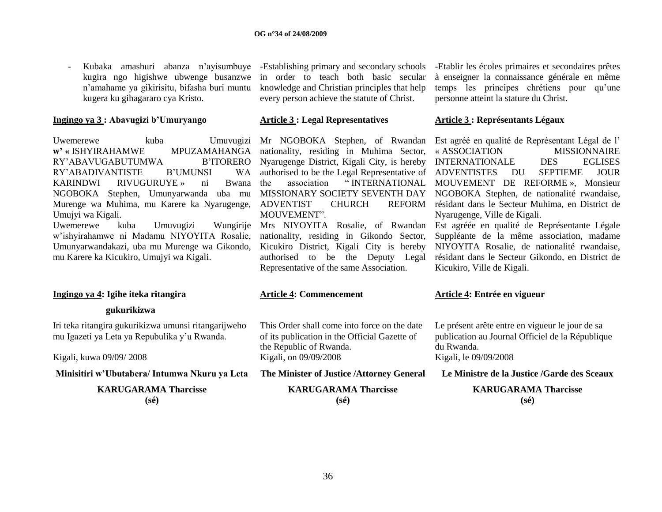- Kubaka amashuri abanza n"ayisumbuye kugira ngo higishwe ubwenge busanzwe n"amahame ya gikirisitu, bifasha buri muntu kugera ku gihagararo cya Kristo.

#### **Ingingo ya 3 : Abavugizi b'Umuryango**

Uwemerewe kuba Umuvugizi Mr NGOBOKA Stephen, of Rwandan Est agréé en qualité de Représentant Légal de l'  $w'$  **«** ISHYIRAHAMWE RY'ABAVUGABUTUMWA RY'ABADIVANTISTE B'UMUNSI KARINDWI RIVUGURUYE » ni Bwana the NGOBOKA Stephen, Umunyarwanda uba mu MISSIONARY SOCIETY SEVENTH DAY NGOBOKA Stephen, de nationalité rwandaise, Murenge wa Muhima, mu Karere ka Nyarugenge, ADVENTIST CHURCH REFORM Umujyi wa Kigali.

Uwemerewe kuba Umuvugizi w"ishyirahamwe ni Madamu NIYOYITA Rosalie, Umunyarwandakazi, uba mu Murenge wa Gikondo, mu Karere ka Kicukiro, Umujyi wa Kigali.

in order to teach both basic secular knowledge and Christian principles that help every person achieve the statute of Christ.

#### **Article 3 : Legal Representatives**

MPUZAMAHANGA nationality, residing in Muhima Sector, B'ITORERO Nyarugenge District, Kigali City, is hereby WA authorised to be the Legal Representative of ADVENTISTES MOUVEMENT"

> nationality, residing in Gikondo Sector, Kicukiro District, Kigali City is hereby authorised to be the Deputy Legal Representative of the same Association.

## -Establishing primary and secondary schools -Etablir les écoles primaires et secondaires prêtes à enseigner la connaissance générale en même temps les principes chrétiens pour qu"une personne atteint la stature du Christ.

#### **Article 3 : Représentants Légaux**

the association " INTERNATIONAL MOUVEMENT DE REFORME », Monsieur « ASSOCIATION MISSIONNAIRE INTERNATIONALE DES EGLISES DU SEPTIEME JOUR REFORM résidant dans le Secteur Muhima, en District de Nyarugenge, Ville de Kigali.

Mrs NIYOYITA Rosalie, of Rwandan Est agréée en qualité de Représentante Légale Suppléante de la même association, madame NIYOYITA Rosalie, de nationalité rwandaise, résidant dans le Secteur Gikondo, en District de Kicukiro, Ville de Kigali.

# **Ingingo ya 4: Igihe iteka ritangira**

 **gukurikizwa**

Iri teka ritangira gukurikizwa umunsi ritangarijweho mu Igazeti ya Leta ya Repubulika y"u Rwanda.

Kigali, kuwa 09/09/ 2008

**Minisitiri w'Ubutabera/ Intumwa Nkuru ya Leta**

**KARUGARAMA Tharcisse (sé)**

#### **Article 4: Commencement**

This Order shall come into force on the date of its publication in the Official Gazette of the Republic of Rwanda. Kigali, on 09/09/2008

**The Minister of Justice /Attorney General**

**KARUGARAMA Tharcisse (sé)**

#### **Article 4: Entrée en vigueur**

Le présent arête entre en vigueur le jour de sa publication au Journal Officiel de la République du Rwanda.

Kigali, le 09/09/2008

**Le Ministre de la Justice /Garde des Sceaux**

**KARUGARAMA Tharcisse (sé)**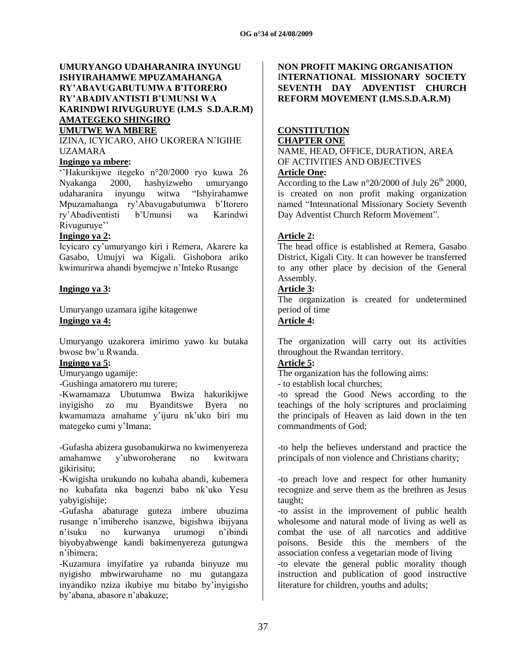### **UMURYANGO UDAHARANIRA INYUNGU ISHYIRAHAMWE MPUZAMAHANGA RY'ABAVUGABUTUMWA B'ITORERO RY'ABADIVANTISTI B'UMUNSI WA KARINDWI RIVUGURUYE (I.M.S S.D.A.R.M) AMATEGEKO SHINGIRO UMUTWE WA MBERE**

IZINA, ICYICARO, AHO UKORERA N"IGIHE UZAMARA

### **Ingingo ya mbere:**

""Hakurikijwe itegeko n°20/2000 ryo kuwa 26 Nyakanga 2000, hashyizweho umuryango udaharanira inyungu witwa "Ishyirahamwe Mpuzamahanga ry"Abavugabutumwa b"Itorero ry"Abadiventisti b"Umunsi wa Karindwi Rivuguruye"

## **Ingingo ya 2:**

Icyicaro cy"umuryango kiri i Remera, Akarere ka Gasabo, Umujyi wa Kigali. Gishobora ariko kwimurirwa ahandi byemejwe n"Inteko Rusange

## **Ingingo ya 3:**

Umuryango uzamara igihe kitagenwe **Ingingo ya 4:**

Umuryango uzakorera imirimo yawo ku butaka bwose bw"u Rwanda.

### **Ingingo ya 5:**

Umuryango ugamije:

-Gushinga amatorero mu turere;

-Kwamamaza Ubutumwa Bwiza hakurikijwe inyigisho zo mu Byanditswe Byera no kwamamaza amahame y"ijuru nk"uko biri mu mategeko cumi y"Imana;

-Gufasha abizera gusobanukirwa no kwimenyereza amahamwe y"ubworoherane no kwitwara gikirisitu;

-Kwigisha urukundo no kubaha abandi, kubemera no kubafata nka bagenzi babo nk"uko Yesu yabyigishije;

-Gufasha abaturage guteza imbere ubuzima rusange n"imibereho isanzwe, bigishwa ibijyana n"isuku no kurwanya urumogi n"ibindi biyobyabwenge kandi bakimenyereza gutungwa n"ibimera;

-Kuzamura imyifatire ya rubanda binyuze mu nyigisho mbwirwaruhame no mu gutangaza inyandiko nziza ikubiye mu bitabo by"inyigisho by"abana, abasore n"abakuze;

## **NON PROFIT MAKING ORGANISATION** I**NTERNATIONAL MISSIONARY SOCIETY SEVENTH DAY ADVENTIST CHURCH REFORM MOVEMENT (I.MS.S.D.A.R.M)**

#### **CONSTITUTION CHAPTER ONE**

NAME, HEAD, OFFICE, DURATION, AREA OF ACTIVITIES AND OBJECTIVES **Article One:**

According to the Law  $n^{\circ}20/2000$  of July  $26^{th}$  2000, is created on non profit making organization named "Intennational Missionary Society Seventh Day Adventist Church Reform Movement".

# **Article 2:**

The head office is established at Remera, Gasabo District, Kigali City. It can however be transferred to any other place by decision of the General Assembly.

### **Article 3:**

The organization is created for undetermined period of time

# **Article 4:**

The organization will carry out its activities throughout the Rwandan territory.

## **Article 5:**

The organization has the following aims:

- to establish local churches;

-to spread the Good News according to the teachings of the holy scriptures and proclaiming the principals of Heaven as laid down in the ten commandments of God;

-to help the believes understand and practice the principals of non violence and Christians charity;

-to preach love and respect for other humanity recognize and serve them as the brethren as Jesus taught;

-to assist in the improvement of public health wholesome and natural mode of living as well as combat the use of all narcotics and additive poisons. Beside this the members of the association confess a vegetarian mode of living -to elevate the general public morality though instruction and publication of good instructive literature for children, youths and adults;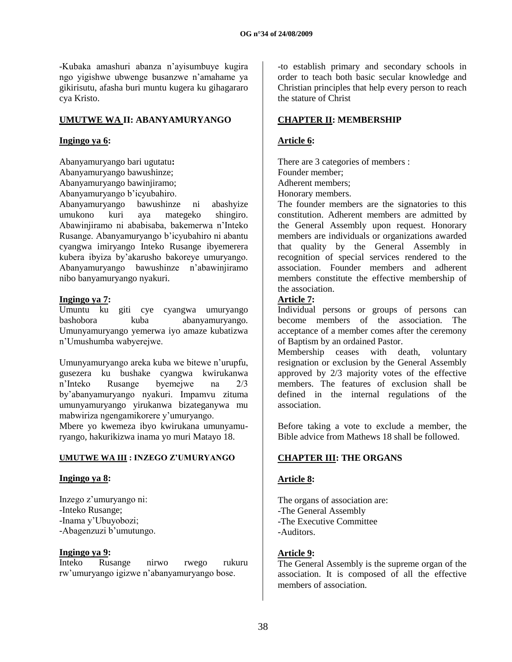-Kubaka amashuri abanza n"ayisumbuye kugira ngo yigishwe ubwenge busanzwe n"amahame ya gikirisutu, afasha buri muntu kugera ku gihagararo cya Kristo.

## **UMUTWE WA II: ABANYAMURYANGO**

#### **Ingingo ya 6:**

Abanyamuryango bari ugutatu**:** Abanyamuryango bawushinze; Abanyamuryango bawinjiramo; Abanyamuryango b"icyubahiro.

Abanyamuryango bawushinze ni abashyize umukono kuri aya mategeko shingiro. Abawinjiramo ni ababisaba, bakemerwa n"Inteko Rusange. Abanyamuryango b"icyubahiro ni abantu cyangwa imiryango Inteko Rusange ibyemerera kubera ibyiza by"akarusho bakoreye umuryango. Abanyamuryango bawushinze n"abawinjiramo nibo banyamuryango nyakuri.

#### **Ingingo ya 7:**

Umuntu ku giti cye cyangwa umuryango bashobora kuba abanyamuryango. Umunyamuryango yemerwa iyo amaze kubatizwa n"Umushumba wabyerejwe.

Umunyamuryango areka kuba we bitewe n"urupfu, gusezera ku bushake cyangwa kwirukanwa n"Inteko Rusange byemejwe na 2/3 by"abanyamuryango nyakuri. Impamvu zituma umunyamuryango yirukanwa bizateganywa mu mabwiriza ngengamikorere y"umuryango.

Mbere yo kwemeza ibyo kwirukana umunyamuryango, hakurikizwa inama yo muri Matayo 18.

### **UMUTWE WA III : INZEGO Z'UMURYANGO**

### **Ingingo ya 8:**

Inzego z"umuryango ni: -Inteko Rusange; -Inama y"Ubuyobozi; -Abagenzuzi b'umutungo.

### **Ingingo ya 9:**

Inteko Rusange nirwo rwego rukuru rw"umuryango igizwe n"abanyamuryango bose.

-to establish primary and secondary schools in order to teach both basic secular knowledge and Christian principles that help every person to reach the stature of Christ

# **CHAPTER II: MEMBERSHIP**

## **Article 6:**

There are 3 categories of members : Founder member;

Adherent members; Honorary members.

The founder members are the signatories to this constitution. Adherent members are admitted by the General Assembly upon request. Honorary members are individuals or organizations awarded that quality by the General Assembly in recognition of special services rendered to the association. Founder members and adherent members constitute the effective membership of the association.

## **Article 7:**

Individual persons or groups of persons can become members of the association. The acceptance of a member comes after the ceremony of Baptism by an ordained Pastor.

Membership ceases with death, voluntary resignation or exclusion by the General Assembly approved by 2/3 majority votes of the effective members. The features of exclusion shall be defined in the internal regulations of the association.

Before taking a vote to exclude a member, the Bible advice from Mathews 18 shall be followed.

# **CHAPTER III: THE ORGANS**

### **Article 8:**

The organs of association are: -The General Assembly -The Executive Committee -Auditors.

### **Article 9:**

The General Assembly is the supreme organ of the association. It is composed of all the effective members of association.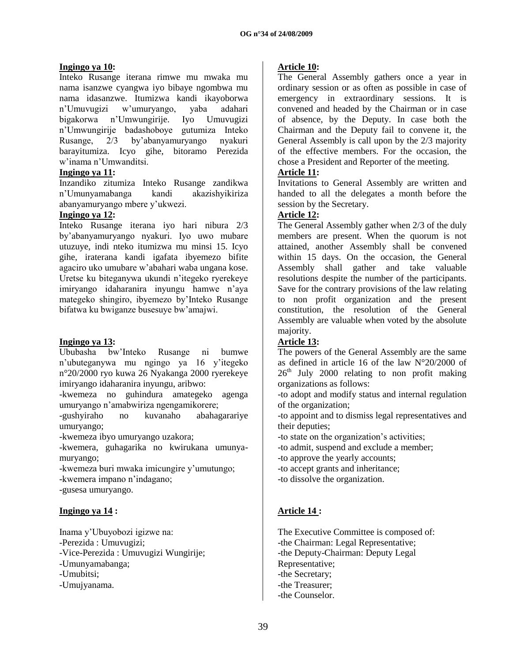## **Ingingo ya 10:**

Inteko Rusange iterana rimwe mu mwaka mu nama isanzwe cyangwa iyo bibaye ngombwa mu nama idasanzwe. Itumizwa kandi ikayoborwa n"Umuvugizi w"umuryango, yaba adahari bigakorwa n"Umwungirije. Iyo Umuvugizi n"Umwungirije badashoboye gutumiza Inteko Rusange, 2/3 by"abanyamuryango nyakuri barayitumiza. Icyo gihe, bitoramo Perezida w"inama n"Umwanditsi.

### **Ingingo ya 11:**

Inzandiko zitumiza Inteko Rusange zandikwa n"Umunyamabanga kandi akazishyikiriza abanyamuryango mbere y"ukwezi.

## **Ingingo ya 12:**

Inteko Rusange iterana iyo hari nibura 2/3 by"abanyamuryango nyakuri. Iyo uwo mubare utuzuye, indi nteko itumizwa mu minsi 15. Icyo gihe, iraterana kandi igafata ibyemezo bifite agaciro uko umubare w"abahari waba ungana kose. Uretse ku biteganywa ukundi n"itegeko ryerekeye imiryango idaharanira inyungu hamwe n"aya mategeko shingiro, ibyemezo by"Inteko Rusange bifatwa ku bwiganze busesuye bw"amajwi.

### **Ingingo ya 13:**

Ububasha bw"Inteko Rusange ni bumwe n"ubuteganywa mu ngingo ya 16 y"itegeko n°20/2000 ryo kuwa 26 Nyakanga 2000 ryerekeye imiryango idaharanira inyungu, aribwo:

-kwemeza no guhindura amategeko agenga umuryango n"amabwiriza ngengamikorere;

-gushyiraho no kuvanaho abahagarariye umuryango;

-kwemeza ibyo umuryango uzakora;

-kwemera, guhagarika no kwirukana umunyamuryango;

-kwemeza buri mwaka imicungire y"umutungo;

-kwemera impano n"indagano;

-gusesa umuryango.

# **Ingingo ya 14 :**

Inama y"Ubuyobozi igizwe na: -Perezida : Umuvugizi; -Vice-Perezida : Umuvugizi Wungirije; -Umunyamabanga; -Umubitsi; -Umujyanama.

## **Article 10:**

The General Assembly gathers once a year in ordinary session or as often as possible in case of emergency in extraordinary sessions. It is convened and headed by the Chairman or in case of absence, by the Deputy. In case both the Chairman and the Deputy fail to convene it, the General Assembly is call upon by the 2/3 majority of the effective members. For the occasion, the chose a President and Reporter of the meeting.

# **Article 11:**

Invitations to General Assembly are written and handed to all the delegates a month before the session by the Secretary.

## **Article 12:**

The General Assembly gather when 2/3 of the duly members are present. When the quorum is not attained, another Assembly shall be convened within 15 days. On the occasion, the General Assembly shall gather and take valuable resolutions despite the number of the participants. Save for the contrary provisions of the law relating to non profit organization and the present constitution, the resolution of the General Assembly are valuable when voted by the absolute majority.

# **Article 13:**

The powers of the General Assembly are the same as defined in article 16 of the law N°20/2000 of  $26<sup>th</sup>$  July 2000 relating to non profit making organizations as follows:

-to adopt and modify status and internal regulation of the organization;

-to appoint and to dismiss legal representatives and their deputies;

-to state on the organization"s activities;

-to admit, suspend and exclude a member;

-to approve the yearly accounts;

-to accept grants and inheritance;

-to dissolve the organization.

# **Article 14 :**

The Executive Committee is composed of: -the Chairman: Legal Representative; -the Deputy-Chairman: Deputy Legal Representative; -the Secretary; -the Treasurer; -the Counselor.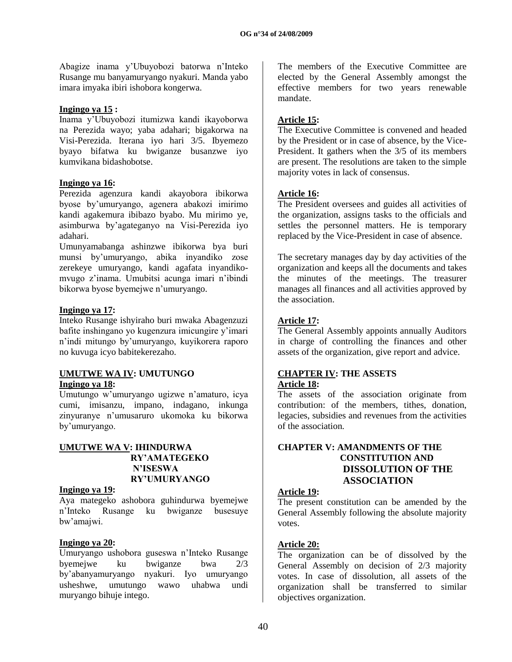Abagize inama y"Ubuyobozi batorwa n"Inteko Rusange mu banyamuryango nyakuri. Manda yabo imara imyaka ibiri ishobora kongerwa.

### **Ingingo ya 15 :**

Inama y"Ubuyobozi itumizwa kandi ikayoborwa na Perezida wayo; yaba adahari; bigakorwa na Visi-Perezida. Iterana iyo hari 3/5. Ibyemezo byayo bifatwa ku bwiganze busanzwe iyo kumvikana bidashobotse.

## **Ingingo ya 16:**

Perezida agenzura kandi akayobora ibikorwa byose by"umuryango, agenera abakozi imirimo kandi agakemura ibibazo byabo. Mu mirimo ye, asimburwa by"agateganyo na Visi-Perezida iyo adahari.

Umunyamabanga ashinzwe ibikorwa bya buri munsi by"umuryango, abika inyandiko zose zerekeye umuryango, kandi agafata inyandikomvugo z"inama. Umubitsi acunga imari n"ibindi bikorwa byose byemejwe n"umuryango.

## **Ingingo ya 17:**

Inteko Rusange ishyiraho buri mwaka Abagenzuzi bafite inshingano yo kugenzura imicungire y"imari n"indi mitungo by"umuryango, kuyikorera raporo no kuvuga icyo babitekerezaho.

## **UMUTWE WA IV: UMUTUNGO Ingingo ya 18:**

Umutungo w"umuryango ugizwe n"amaturo, icya cumi, imisanzu, impano, indagano, inkunga zinyuranye n"umusaruro ukomoka ku bikorwa by"umuryango.

## **UMUTWE WA V: IHINDURWA RY'AMATEGEKO N'ISESWA RY'UMURYANGO**

### **Ingingo ya 19:**

Aya mategeko ashobora guhindurwa byemejwe n"Inteko Rusange ku bwiganze busesuye bw"amajwi.

### **Ingingo ya 20:**

Umuryango ushobora guseswa n"Inteko Rusange byemejwe ku bwiganze bwa 2/3 by"abanyamuryango nyakuri. Iyo umuryango usheshwe, umutungo wawo uhabwa undi muryango bihuje intego.

The members of the Executive Committee are elected by the General Assembly amongst the effective members for two years renewable mandate.

# **Article 15:**

The Executive Committee is convened and headed by the President or in case of absence, by the Vice-President. It gathers when the 3/5 of its members are present. The resolutions are taken to the simple majority votes in lack of consensus.

## **Article 16:**

The President oversees and guides all activities of the organization, assigns tasks to the officials and settles the personnel matters. He is temporary replaced by the Vice-President in case of absence.

The secretary manages day by day activities of the organization and keeps all the documents and takes the minutes of the meetings. The treasurer manages all finances and all activities approved by the association.

# **Article 17:**

The General Assembly appoints annually Auditors in charge of controlling the finances and other assets of the organization, give report and advice.

#### **CHAPTER IV: THE ASSETS Article 18:**

The assets of the association originate from contribution: of the members, tithes, donation, legacies, subsidies and revenues from the activities of the association.

### **CHAPTER V: AMANDMENTS OF THE CONSTITUTION AND DISSOLUTION OF THE ASSOCIATION**

### **Article 19:**

The present constitution can be amended by the General Assembly following the absolute majority votes.

# **Article 20:**

The organization can be of dissolved by the General Assembly on decision of 2/3 majority votes. In case of dissolution, all assets of the organization shall be transferred to similar objectives organization.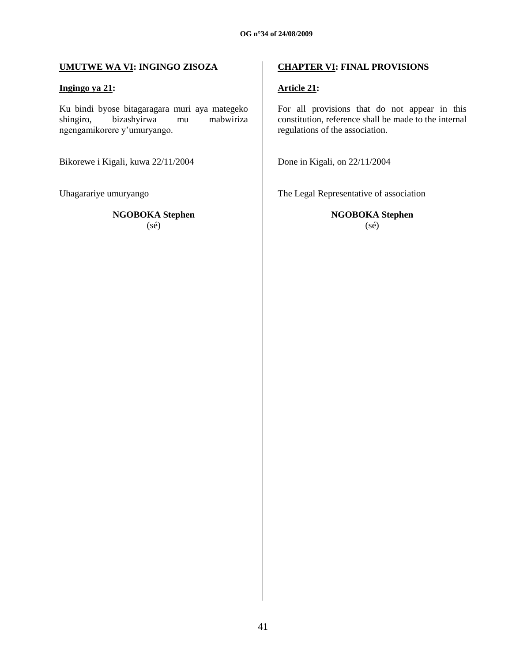# **UMUTWE WA VI: INGINGO ZISOZA**

## **Ingingo ya 21:**

Ku bindi byose bitagaragara muri aya mategeko shingiro, bizashyirwa mu mabwiriza ngengamikorere y"umuryango.

Bikorewe i Kigali, kuwa 22/11/2004

Uhagarariye umuryango

**NGOBOKA Stephen**

(sé)

# **CHAPTER VI: FINAL PROVISIONS**

# **Article 21:**

For all provisions that do not appear in this constitution, reference shall be made to the internal regulations of the association.

Done in Kigali, on 22/11/2004

The Legal Representative of association

**NGOBOKA Stephen** (sé)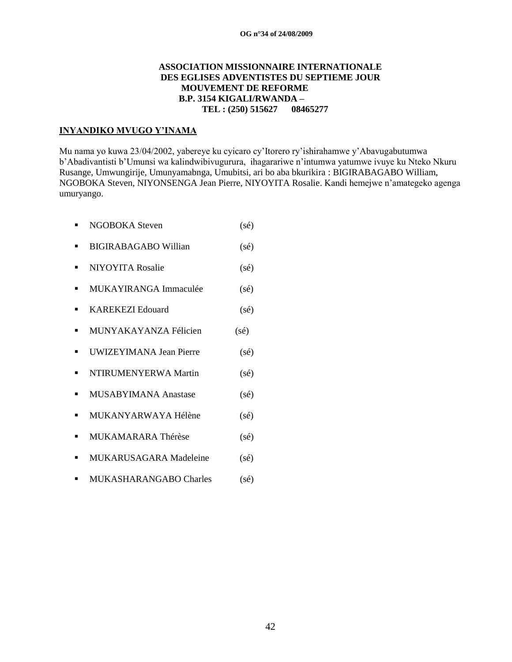### **ASSOCIATION MISSIONNAIRE INTERNATIONALE DES EGLISES ADVENTISTES DU SEPTIEME JOUR MOUVEMENT DE REFORME B.P. 3154 KIGALI/RWANDA – TEL : (250) 515627 08465277**

## **INYANDIKO MVUGO Y'INAMA**

Mu nama yo kuwa 23/04/2002, yabereye ku cyicaro cy"Itorero ry"ishirahamwe y"Abavugabutumwa b"Abadivantisti b"Umunsi wa kalindwibivugurura, ihagarariwe n"intumwa yatumwe ivuye ku Nteko Nkuru Rusange, Umwungirije, Umunyamabnga, Umubitsi, ari bo aba bkurikira : BIGIRABAGABO William, NGOBOKA Steven, NIYONSENGA Jean Pierre, NIYOYITA Rosalie. Kandi hemejwe n"amategeko agenga umuryango.

- NGOBOKA Steven (sé) ■ BIGIRABAGABO Willian (sé) ■ NIYOYITA Rosalie (sé) **MUKAYIRANGA Immaculée** (sé) ■ KAREKEZI Edouard (sé) **MUNYAKAYANZA Félicien** (sé) ■ UWIZEYIMANA Jean Pierre (sé)  $\blacksquare$  NTIRUMENYERWA Martin (sé) **MUSABYIMANA Anastase** (sé)  $\blacksquare$  MUKANYARWAYA Hélène (sé)
- **MUKAMARARA Thérèse** (sé)
- **MUKARUSAGARA Madeleine** (sé)
- **MUKASHARANGABO Charles** (sé)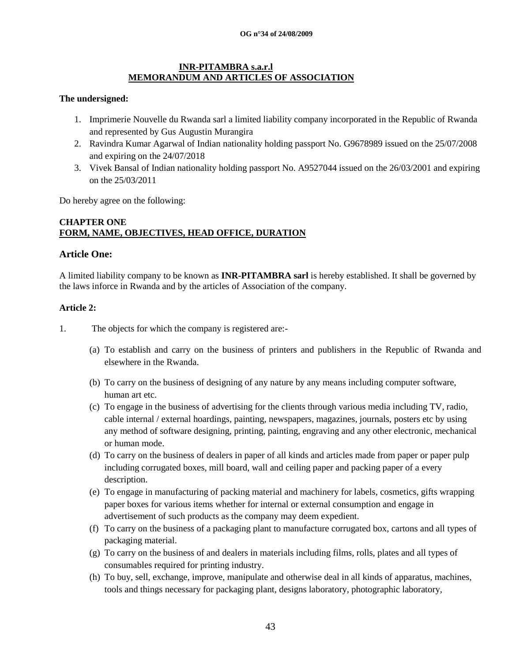### **INR-PITAMBRA s.a.r.l MEMORANDUM AND ARTICLES OF ASSOCIATION**

### **The undersigned:**

- 1. Imprimerie Nouvelle du Rwanda sarl a limited liability company incorporated in the Republic of Rwanda and represented by Gus Augustin Murangira
- 2. Ravindra Kumar Agarwal of Indian nationality holding passport No. G9678989 issued on the 25/07/2008 and expiring on the 24/07/2018
- 3. Vivek Bansal of Indian nationality holding passport No. A9527044 issued on the 26/03/2001 and expiring on the 25/03/2011

Do hereby agree on the following:

## **CHAPTER ONE FORM, NAME, OBJECTIVES, HEAD OFFICE, DURATION**

## **Article One:**

A limited liability company to be known as **INR-PITAMBRA sarl** is hereby established. It shall be governed by the laws inforce in Rwanda and by the articles of Association of the company.

### **Article 2:**

- 1. The objects for which the company is registered are:-
	- (a) To establish and carry on the business of printers and publishers in the Republic of Rwanda and elsewhere in the Rwanda.
	- (b) To carry on the business of designing of any nature by any means including computer software, human art etc.
	- (c) To engage in the business of advertising for the clients through various media including TV, radio, cable internal / external hoardings, painting, newspapers, magazines, journals, posters etc by using any method of software designing, printing, painting, engraving and any other electronic, mechanical or human mode.
	- (d) To carry on the business of dealers in paper of all kinds and articles made from paper or paper pulp including corrugated boxes, mill board, wall and ceiling paper and packing paper of a every description.
	- (e) To engage in manufacturing of packing material and machinery for labels, cosmetics, gifts wrapping paper boxes for various items whether for internal or external consumption and engage in advertisement of such products as the company may deem expedient.
	- (f) To carry on the business of a packaging plant to manufacture corrugated box, cartons and all types of packaging material.
	- (g) To carry on the business of and dealers in materials including films, rolls, plates and all types of consumables required for printing industry.
	- (h) To buy, sell, exchange, improve, manipulate and otherwise deal in all kinds of apparatus, machines, tools and things necessary for packaging plant, designs laboratory, photographic laboratory,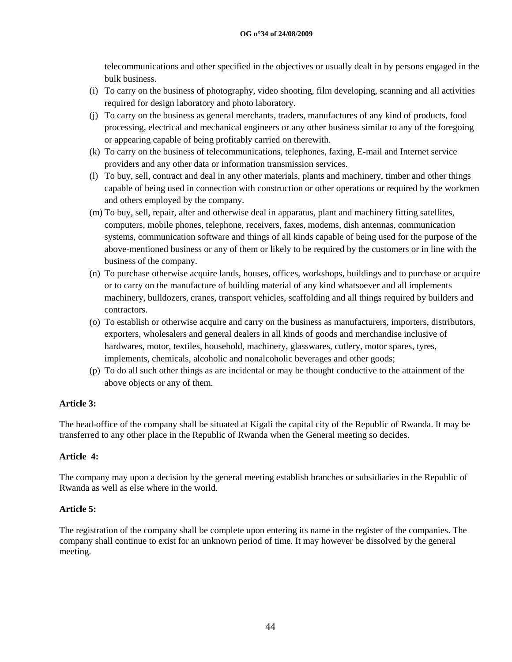telecommunications and other specified in the objectives or usually dealt in by persons engaged in the bulk business.

- (i) To carry on the business of photography, video shooting, film developing, scanning and all activities required for design laboratory and photo laboratory.
- (j) To carry on the business as general merchants, traders, manufactures of any kind of products, food processing, electrical and mechanical engineers or any other business similar to any of the foregoing or appearing capable of being profitably carried on therewith.
- (k) To carry on the business of telecommunications, telephones, faxing, E-mail and Internet service providers and any other data or information transmission services.
- (l) To buy, sell, contract and deal in any other materials, plants and machinery, timber and other things capable of being used in connection with construction or other operations or required by the workmen and others employed by the company.
- (m) To buy, sell, repair, alter and otherwise deal in apparatus, plant and machinery fitting satellites, computers, mobile phones, telephone, receivers, faxes, modems, dish antennas, communication systems, communication software and things of all kinds capable of being used for the purpose of the above-mentioned business or any of them or likely to be required by the customers or in line with the business of the company.
- (n) To purchase otherwise acquire lands, houses, offices, workshops, buildings and to purchase or acquire or to carry on the manufacture of building material of any kind whatsoever and all implements machinery, bulldozers, cranes, transport vehicles, scaffolding and all things required by builders and contractors.
- (o) To establish or otherwise acquire and carry on the business as manufacturers, importers, distributors, exporters, wholesalers and general dealers in all kinds of goods and merchandise inclusive of hardwares, motor, textiles, household, machinery, glasswares, cutlery, motor spares, tyres, implements, chemicals, alcoholic and nonalcoholic beverages and other goods;
- (p) To do all such other things as are incidental or may be thought conductive to the attainment of the above objects or any of them.

### **Article 3:**

The head-office of the company shall be situated at Kigali the capital city of the Republic of Rwanda. It may be transferred to any other place in the Republic of Rwanda when the General meeting so decides.

# **Article 4:**

The company may upon a decision by the general meeting establish branches or subsidiaries in the Republic of Rwanda as well as else where in the world.

# **Article 5:**

The registration of the company shall be complete upon entering its name in the register of the companies. The company shall continue to exist for an unknown period of time. It may however be dissolved by the general meeting.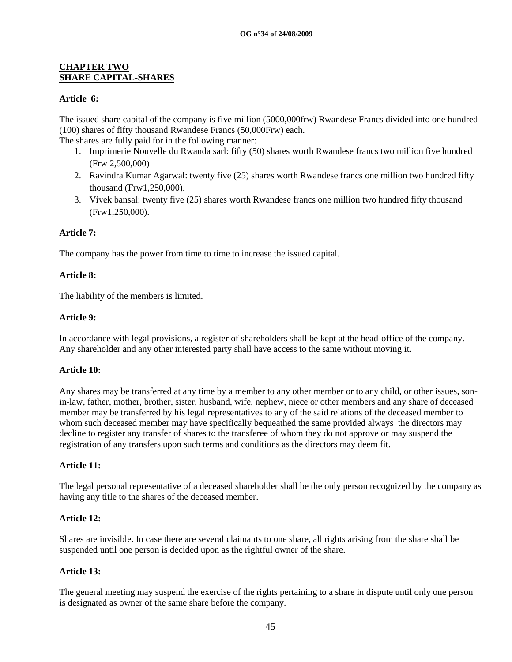## **CHAPTER TWO SHARE CAPITAL-SHARES**

### **Article 6:**

The issued share capital of the company is five million (5000,000frw) Rwandese Francs divided into one hundred (100) shares of fifty thousand Rwandese Francs (50,000Frw) each.

The shares are fully paid for in the following manner:

- 1. Imprimerie Nouvelle du Rwanda sarl: fifty (50) shares worth Rwandese francs two million five hundred (Frw 2,500,000)
- 2. Ravindra Kumar Agarwal: twenty five (25) shares worth Rwandese francs one million two hundred fifty thousand (Frw1,250,000).
- 3. Vivek bansal: twenty five (25) shares worth Rwandese francs one million two hundred fifty thousand (Frw1,250,000).

### **Article 7:**

The company has the power from time to time to increase the issued capital.

#### **Article 8:**

The liability of the members is limited.

#### **Article 9:**

In accordance with legal provisions, a register of shareholders shall be kept at the head-office of the company. Any shareholder and any other interested party shall have access to the same without moving it.

### **Article 10:**

Any shares may be transferred at any time by a member to any other member or to any child, or other issues, sonin-law, father, mother, brother, sister, husband, wife, nephew, niece or other members and any share of deceased member may be transferred by his legal representatives to any of the said relations of the deceased member to whom such deceased member may have specifically bequeathed the same provided always the directors may decline to register any transfer of shares to the transferee of whom they do not approve or may suspend the registration of any transfers upon such terms and conditions as the directors may deem fit.

## **Article 11:**

The legal personal representative of a deceased shareholder shall be the only person recognized by the company as having any title to the shares of the deceased member.

#### **Article 12:**

Shares are invisible. In case there are several claimants to one share, all rights arising from the share shall be suspended until one person is decided upon as the rightful owner of the share.

#### **Article 13:**

The general meeting may suspend the exercise of the rights pertaining to a share in dispute until only one person is designated as owner of the same share before the company.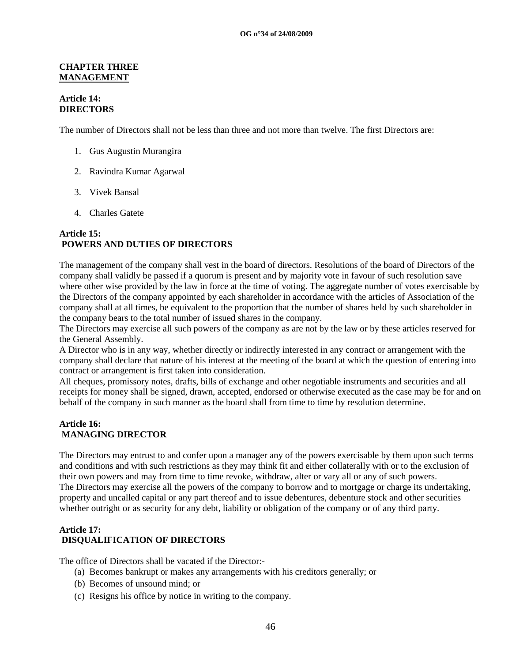#### **CHAPTER THREE MANAGEMENT**

### **Article 14: DIRECTORS**

The number of Directors shall not be less than three and not more than twelve. The first Directors are:

- 1. Gus Augustin Murangira
- 2. Ravindra Kumar Agarwal
- 3. Vivek Bansal
- 4. Charles Gatete

## **Article 15: POWERS AND DUTIES OF DIRECTORS**

The management of the company shall vest in the board of directors. Resolutions of the board of Directors of the company shall validly be passed if a quorum is present and by majority vote in favour of such resolution save where other wise provided by the law in force at the time of voting. The aggregate number of votes exercisable by the Directors of the company appointed by each shareholder in accordance with the articles of Association of the company shall at all times, be equivalent to the proportion that the number of shares held by such shareholder in the company bears to the total number of issued shares in the company.

The Directors may exercise all such powers of the company as are not by the law or by these articles reserved for the General Assembly.

A Director who is in any way, whether directly or indirectly interested in any contract or arrangement with the company shall declare that nature of his interest at the meeting of the board at which the question of entering into contract or arrangement is first taken into consideration.

All cheques, promissory notes, drafts, bills of exchange and other negotiable instruments and securities and all receipts for money shall be signed, drawn, accepted, endorsed or otherwise executed as the case may be for and on behalf of the company in such manner as the board shall from time to time by resolution determine.

#### **Article 16: MANAGING DIRECTOR**

The Directors may entrust to and confer upon a manager any of the powers exercisable by them upon such terms and conditions and with such restrictions as they may think fit and either collaterally with or to the exclusion of their own powers and may from time to time revoke, withdraw, alter or vary all or any of such powers. The Directors may exercise all the powers of the company to borrow and to mortgage or charge its undertaking, property and uncalled capital or any part thereof and to issue debentures, debenture stock and other securities whether outright or as security for any debt, liability or obligation of the company or of any third party.

# **Article 17: DISQUALIFICATION OF DIRECTORS**

The office of Directors shall be vacated if the Director:-

- (a) Becomes bankrupt or makes any arrangements with his creditors generally; or
- (b) Becomes of unsound mind; or
- (c) Resigns his office by notice in writing to the company.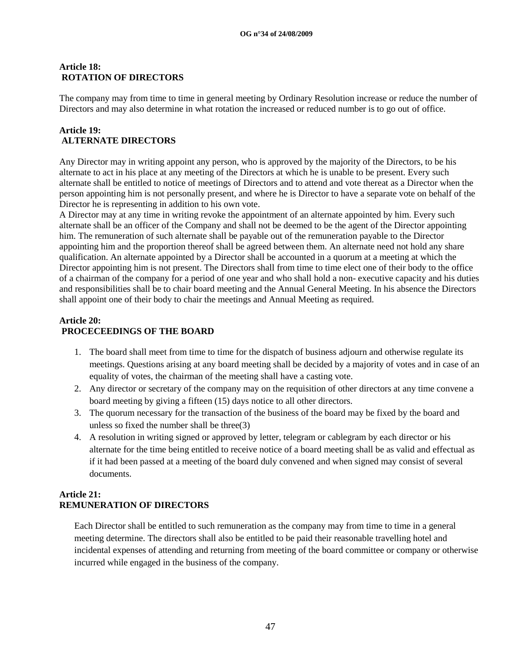### **Article 18: ROTATION OF DIRECTORS**

The company may from time to time in general meeting by Ordinary Resolution increase or reduce the number of Directors and may also determine in what rotation the increased or reduced number is to go out of office.

## **Article 19: ALTERNATE DIRECTORS**

Any Director may in writing appoint any person, who is approved by the majority of the Directors, to be his alternate to act in his place at any meeting of the Directors at which he is unable to be present. Every such alternate shall be entitled to notice of meetings of Directors and to attend and vote thereat as a Director when the person appointing him is not personally present, and where he is Director to have a separate vote on behalf of the Director he is representing in addition to his own vote.

A Director may at any time in writing revoke the appointment of an alternate appointed by him. Every such alternate shall be an officer of the Company and shall not be deemed to be the agent of the Director appointing him. The remuneration of such alternate shall be payable out of the remuneration payable to the Director appointing him and the proportion thereof shall be agreed between them. An alternate need not hold any share qualification. An alternate appointed by a Director shall be accounted in a quorum at a meeting at which the Director appointing him is not present. The Directors shall from time to time elect one of their body to the office of a chairman of the company for a period of one year and who shall hold a non- executive capacity and his duties and responsibilities shall be to chair board meeting and the Annual General Meeting. In his absence the Directors shall appoint one of their body to chair the meetings and Annual Meeting as required.

## **Article 20: PROCECEEDINGS OF THE BOARD**

- 1. The board shall meet from time to time for the dispatch of business adjourn and otherwise regulate its meetings. Questions arising at any board meeting shall be decided by a majority of votes and in case of an equality of votes, the chairman of the meeting shall have a casting vote.
- 2. Any director or secretary of the company may on the requisition of other directors at any time convene a board meeting by giving a fifteen (15) days notice to all other directors.
- 3. The quorum necessary for the transaction of the business of the board may be fixed by the board and unless so fixed the number shall be three(3)
- 4. A resolution in writing signed or approved by letter, telegram or cablegram by each director or his alternate for the time being entitled to receive notice of a board meeting shall be as valid and effectual as if it had been passed at a meeting of the board duly convened and when signed may consist of several documents.

# **Article 21: REMUNERATION OF DIRECTORS**

Each Director shall be entitled to such remuneration as the company may from time to time in a general meeting determine. The directors shall also be entitled to be paid their reasonable travelling hotel and incidental expenses of attending and returning from meeting of the board committee or company or otherwise incurred while engaged in the business of the company.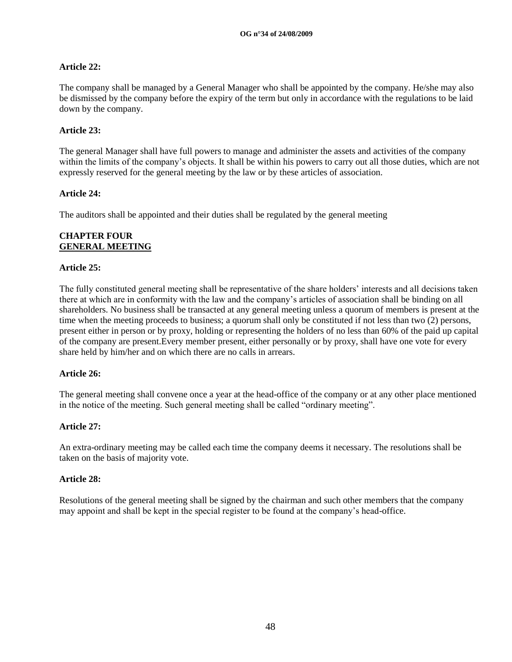## **Article 22:**

The company shall be managed by a General Manager who shall be appointed by the company. He/she may also be dismissed by the company before the expiry of the term but only in accordance with the regulations to be laid down by the company.

## **Article 23:**

The general Manager shall have full powers to manage and administer the assets and activities of the company within the limits of the company's objects. It shall be within his powers to carry out all those duties, which are not expressly reserved for the general meeting by the law or by these articles of association.

## **Article 24:**

The auditors shall be appointed and their duties shall be regulated by the general meeting

## **CHAPTER FOUR GENERAL MEETING**

### **Article 25:**

The fully constituted general meeting shall be representative of the share holders" interests and all decisions taken there at which are in conformity with the law and the company"s articles of association shall be binding on all shareholders. No business shall be transacted at any general meeting unless a quorum of members is present at the time when the meeting proceeds to business; a quorum shall only be constituted if not less than two (2) persons, present either in person or by proxy, holding or representing the holders of no less than 60% of the paid up capital of the company are present.Every member present, either personally or by proxy, shall have one vote for every share held by him/her and on which there are no calls in arrears.

### **Article 26:**

The general meeting shall convene once a year at the head-office of the company or at any other place mentioned in the notice of the meeting. Such general meeting shall be called "ordinary meeting".

### **Article 27:**

An extra-ordinary meeting may be called each time the company deems it necessary. The resolutions shall be taken on the basis of majority vote.

### **Article 28:**

Resolutions of the general meeting shall be signed by the chairman and such other members that the company may appoint and shall be kept in the special register to be found at the company"s head-office.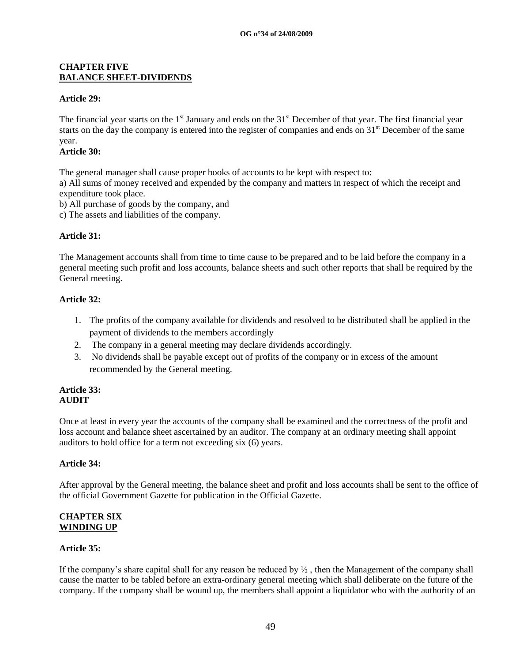#### **CHAPTER FIVE BALANCE SHEET-DIVIDENDS**

### **Article 29:**

The financial year starts on the  $1<sup>st</sup>$  January and ends on the  $31<sup>st</sup>$  December of that year. The first financial year starts on the day the company is entered into the register of companies and ends on 31<sup>st</sup> December of the same year.

## **Article 30:**

The general manager shall cause proper books of accounts to be kept with respect to:

a) All sums of money received and expended by the company and matters in respect of which the receipt and expenditure took place.

b) All purchase of goods by the company, and

c) The assets and liabilities of the company.

### **Article 31:**

The Management accounts shall from time to time cause to be prepared and to be laid before the company in a general meeting such profit and loss accounts, balance sheets and such other reports that shall be required by the General meeting.

### **Article 32:**

- 1. The profits of the company available for dividends and resolved to be distributed shall be applied in the payment of dividends to the members accordingly
- 2. The company in a general meeting may declare dividends accordingly.
- 3. No dividends shall be payable except out of profits of the company or in excess of the amount recommended by the General meeting.

#### **Article 33: AUDIT**

Once at least in every year the accounts of the company shall be examined and the correctness of the profit and loss account and balance sheet ascertained by an auditor. The company at an ordinary meeting shall appoint auditors to hold office for a term not exceeding six (6) years.

### **Article 34:**

After approval by the General meeting, the balance sheet and profit and loss accounts shall be sent to the office of the official Government Gazette for publication in the Official Gazette.

#### **CHAPTER SIX WINDING UP**

### **Article 35:**

If the company's share capital shall for any reason be reduced by  $\frac{1}{2}$ , then the Management of the company shall cause the matter to be tabled before an extra-ordinary general meeting which shall deliberate on the future of the company. If the company shall be wound up, the members shall appoint a liquidator who with the authority of an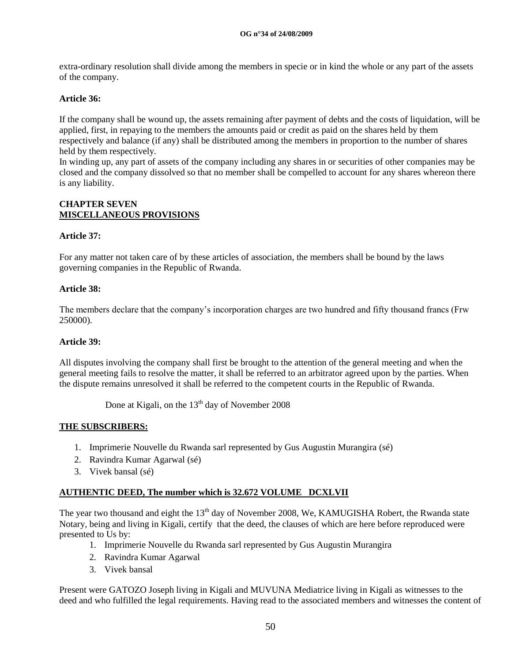extra-ordinary resolution shall divide among the members in specie or in kind the whole or any part of the assets of the company.

## **Article 36:**

If the company shall be wound up, the assets remaining after payment of debts and the costs of liquidation, will be applied, first, in repaying to the members the amounts paid or credit as paid on the shares held by them respectively and balance (if any) shall be distributed among the members in proportion to the number of shares held by them respectively.

In winding up, any part of assets of the company including any shares in or securities of other companies may be closed and the company dissolved so that no member shall be compelled to account for any shares whereon there is any liability.

### **CHAPTER SEVEN MISCELLANEOUS PROVISIONS**

### **Article 37:**

For any matter not taken care of by these articles of association, the members shall be bound by the laws governing companies in the Republic of Rwanda.

### **Article 38:**

The members declare that the company"s incorporation charges are two hundred and fifty thousand francs (Frw 250000).

#### **Article 39:**

All disputes involving the company shall first be brought to the attention of the general meeting and when the general meeting fails to resolve the matter, it shall be referred to an arbitrator agreed upon by the parties. When the dispute remains unresolved it shall be referred to the competent courts in the Republic of Rwanda.

Done at Kigali, on the  $13<sup>th</sup>$  day of November 2008

### **THE SUBSCRIBERS:**

- 1. Imprimerie Nouvelle du Rwanda sarl represented by Gus Augustin Murangira (sé)
- 2. Ravindra Kumar Agarwal (sé)
- 3. Vivek bansal (sé)

### **AUTHENTIC DEED, The number which is 32.672 VOLUME DCXLVII**

The year two thousand and eight the 13<sup>th</sup> day of November 2008, We, KAMUGISHA Robert, the Rwanda state Notary, being and living in Kigali, certify that the deed, the clauses of which are here before reproduced were presented to Us by:

- 1. Imprimerie Nouvelle du Rwanda sarl represented by Gus Augustin Murangira
- 2. Ravindra Kumar Agarwal
- 3. Vivek bansal

Present were GATOZO Joseph living in Kigali and MUVUNA Mediatrice living in Kigali as witnesses to the deed and who fulfilled the legal requirements. Having read to the associated members and witnesses the content of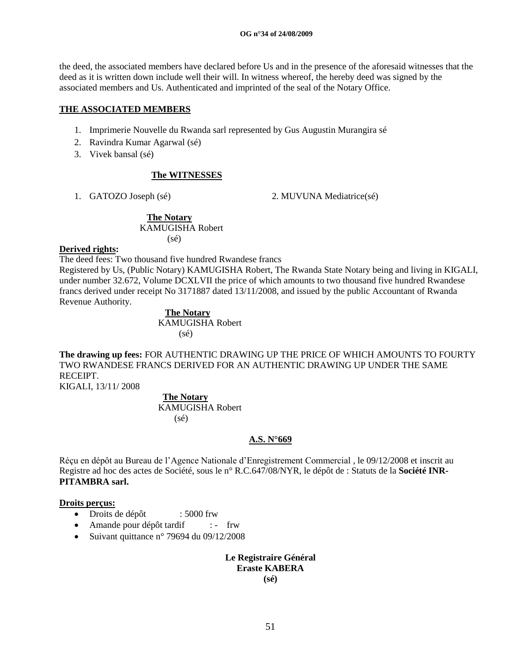the deed, the associated members have declared before Us and in the presence of the aforesaid witnesses that the deed as it is written down include well their will. In witness whereof, the hereby deed was signed by the associated members and Us. Authenticated and imprinted of the seal of the Notary Office.

#### **THE ASSOCIATED MEMBERS**

- 1. Imprimerie Nouvelle du Rwanda sarl represented by Gus Augustin Murangira sé
- 2. Ravindra Kumar Agarwal (sé)
- 3. Vivek bansal (sé)

# **The WITNESSES**

1. GATOZO Joseph (sé) 2. MUVUNA Mediatrice(sé)

#### **The Notary** KAMUGISHA Robert (sé)

### **Derived rights:**

The deed fees: Two thousand five hundred Rwandese francs

Registered by Us, (Public Notary) KAMUGISHA Robert, The Rwanda State Notary being and living in KIGALI, under number 32.672, Volume DCXLVII the price of which amounts to two thousand five hundred Rwandese francs derived under receipt No 3171887 dated 13/11/2008, and issued by the public Accountant of Rwanda Revenue Authority.

 **The Notary** KAMUGISHA Robert (sé)

**The drawing up fees:** FOR AUTHENTIC DRAWING UP THE PRICE OF WHICH AMOUNTS TO FOURTY TWO RWANDESE FRANCS DERIVED FOR AN AUTHENTIC DRAWING UP UNDER THE SAME **RECEIPT** 

KIGALI, 13/11/ 2008

 **The Notary**  KAMUGISHA Robert (sé)

# **A.S. N°669**

Réçu en dépôt au Bureau de l"Agence Nationale d"Enregistrement Commercial , le 09/12/2008 et inscrit au Registre ad hoc des actes de Société, sous le n° R.C.647/08/NYR, le dépôt de : Statuts de la **Société INR-PITAMBRA sarl.**

### **Droits perçus:**

- Droits de dépôt : 5000 frw
- Amande pour dépôt tardif : frw
- Suivant quittance n° 79694 du  $09/12/2008$

## **Le Registraire Général Eraste KABERA (sé)**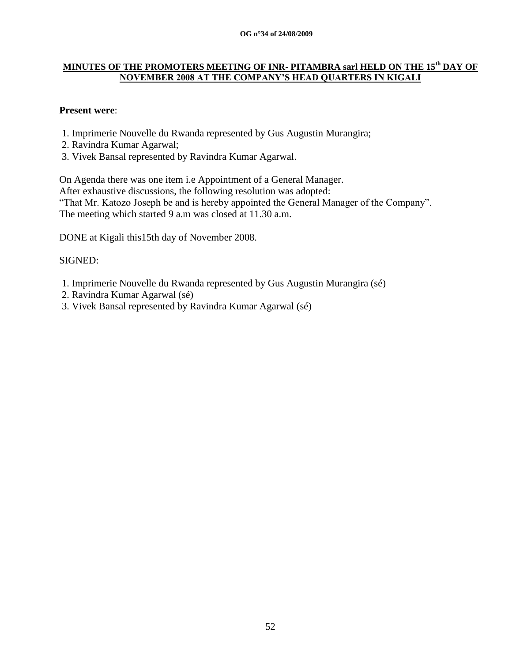#### **OG n°34 of 24/08/2009**

# **MINUTES OF THE PROMOTERS MEETING OF INR- PITAMBRA sarl HELD ON THE 15th DAY OF NOVEMBER 2008 AT THE COMPANY'S HEAD QUARTERS IN KIGALI**

# **Present were**:

- 1. Imprimerie Nouvelle du Rwanda represented by Gus Augustin Murangira;
- 2. Ravindra Kumar Agarwal;
- 3. Vivek Bansal represented by Ravindra Kumar Agarwal.

On Agenda there was one item i.e Appointment of a General Manager. After exhaustive discussions, the following resolution was adopted: "That Mr. Katozo Joseph be and is hereby appointed the General Manager of the Company". The meeting which started 9 a.m was closed at 11.30 a.m.

DONE at Kigali this15th day of November 2008.

# SIGNED:

- 1. Imprimerie Nouvelle du Rwanda represented by Gus Augustin Murangira (sé)
- 2. Ravindra Kumar Agarwal (sé)
- 3. Vivek Bansal represented by Ravindra Kumar Agarwal (sé)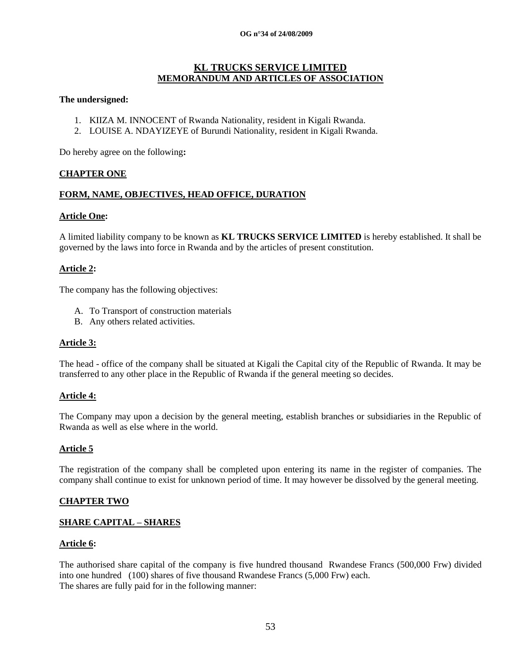#### **OG n°34 of 24/08/2009**

### **KL TRUCKS SERVICE LIMITED MEMORANDUM AND ARTICLES OF ASSOCIATION**

#### **The undersigned:**

- 1. KIIZA M. INNOCENT of Rwanda Nationality, resident in Kigali Rwanda.
- 2. LOUISE A. NDAYIZEYE of Burundi Nationality, resident in Kigali Rwanda.

Do hereby agree on the following**:**

#### **CHAPTER ONE**

#### **FORM, NAME, OBJECTIVES, HEAD OFFICE, DURATION**

#### **Article One:**

A limited liability company to be known as **KL TRUCKS SERVICE LIMITED** is hereby established. It shall be governed by the laws into force in Rwanda and by the articles of present constitution.

### **Article 2:**

The company has the following objectives:

- A. To Transport of construction materials
- B. Any others related activities.

### **Article 3:**

The head - office of the company shall be situated at Kigali the Capital city of the Republic of Rwanda. It may be transferred to any other place in the Republic of Rwanda if the general meeting so decides.

#### **Article 4:**

The Company may upon a decision by the general meeting, establish branches or subsidiaries in the Republic of Rwanda as well as else where in the world.

### **Article 5**

The registration of the company shall be completed upon entering its name in the register of companies. The company shall continue to exist for unknown period of time. It may however be dissolved by the general meeting.

### **CHAPTER TWO**

### **SHARE CAPITAL – SHARES**

#### **Article 6:**

The authorised share capital of the company is five hundred thousand Rwandese Francs (500,000 Frw) divided into one hundred (100) shares of five thousand Rwandese Francs (5,000 Frw) each. The shares are fully paid for in the following manner: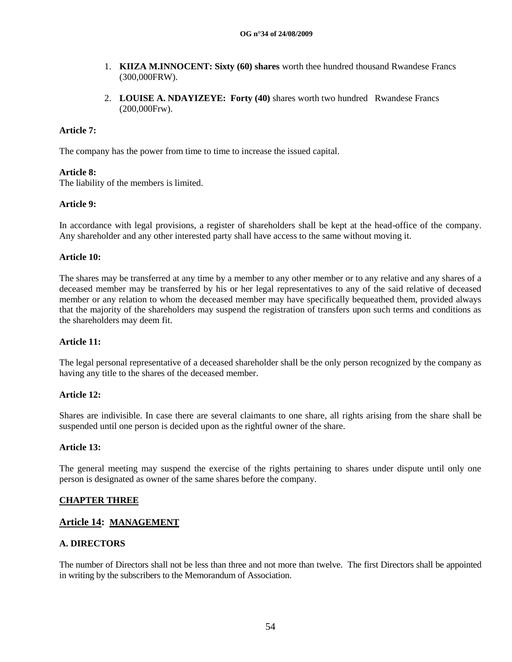- 1. **KIIZA M.INNOCENT: Sixty (60) shares** worth thee hundred thousand Rwandese Francs (300,000FRW).
- 2. **LOUISE A. NDAYIZEYE: Forty (40)** shares worth two hundred Rwandese Francs (200,000Frw).

## **Article 7:**

The company has the power from time to time to increase the issued capital.

### **Article 8:**

The liability of the members is limited.

### **Article 9:**

In accordance with legal provisions, a register of shareholders shall be kept at the head-office of the company. Any shareholder and any other interested party shall have access to the same without moving it.

### **Article 10:**

The shares may be transferred at any time by a member to any other member or to any relative and any shares of a deceased member may be transferred by his or her legal representatives to any of the said relative of deceased member or any relation to whom the deceased member may have specifically bequeathed them, provided always that the majority of the shareholders may suspend the registration of transfers upon such terms and conditions as the shareholders may deem fit.

### **Article 11:**

The legal personal representative of a deceased shareholder shall be the only person recognized by the company as having any title to the shares of the deceased member.

### **Article 12:**

Shares are indivisible. In case there are several claimants to one share, all rights arising from the share shall be suspended until one person is decided upon as the rightful owner of the share.

### **Article 13:**

The general meeting may suspend the exercise of the rights pertaining to shares under dispute until only one person is designated as owner of the same shares before the company.

### **CHAPTER THREE**

### **Article 14: MANAGEMENT**

### **A. DIRECTORS**

The number of Directors shall not be less than three and not more than twelve. The first Directors shall be appointed in writing by the subscribers to the Memorandum of Association.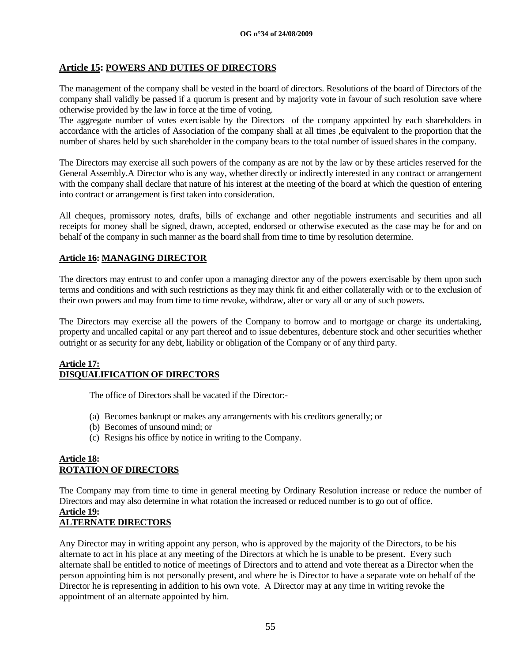### **Article 15: POWERS AND DUTIES OF DIRECTORS**

The management of the company shall be vested in the board of directors. Resolutions of the board of Directors of the company shall validly be passed if a quorum is present and by majority vote in favour of such resolution save where otherwise provided by the law in force at the time of voting.

The aggregate number of votes exercisable by the Directors of the company appointed by each shareholders in accordance with the articles of Association of the company shall at all times ,be equivalent to the proportion that the number of shares held by such shareholder in the company bears to the total number of issued shares in the company.

The Directors may exercise all such powers of the company as are not by the law or by these articles reserved for the General Assembly.A Director who is any way, whether directly or indirectly interested in any contract or arrangement with the company shall declare that nature of his interest at the meeting of the board at which the question of entering into contract or arrangement is first taken into consideration.

All cheques, promissory notes, drafts, bills of exchange and other negotiable instruments and securities and all receipts for money shall be signed, drawn, accepted, endorsed or otherwise executed as the case may be for and on behalf of the company in such manner as the board shall from time to time by resolution determine.

## **Article 16: MANAGING DIRECTOR**

The directors may entrust to and confer upon a managing director any of the powers exercisable by them upon such terms and conditions and with such restrictions as they may think fit and either collaterally with or to the exclusion of their own powers and may from time to time revoke, withdraw, alter or vary all or any of such powers.

The Directors may exercise all the powers of the Company to borrow and to mortgage or charge its undertaking, property and uncalled capital or any part thereof and to issue debentures, debenture stock and other securities whether outright or as security for any debt, liability or obligation of the Company or of any third party.

#### **Article 17: DISQUALIFICATION OF DIRECTORS**

The office of Directors shall be vacated if the Director:-

- (a) Becomes bankrupt or makes any arrangements with his creditors generally; or
- (b) Becomes of unsound mind; or
- (c) Resigns his office by notice in writing to the Company.

### **Article 18: ROTATION OF DIRECTORS**

The Company may from time to time in general meeting by Ordinary Resolution increase or reduce the number of Directors and may also determine in what rotation the increased or reduced number is to go out of office.

#### **Article 19: ALTERNATE DIRECTORS**

Any Director may in writing appoint any person, who is approved by the majority of the Directors, to be his alternate to act in his place at any meeting of the Directors at which he is unable to be present. Every such alternate shall be entitled to notice of meetings of Directors and to attend and vote thereat as a Director when the person appointing him is not personally present, and where he is Director to have a separate vote on behalf of the Director he is representing in addition to his own vote. A Director may at any time in writing revoke the appointment of an alternate appointed by him.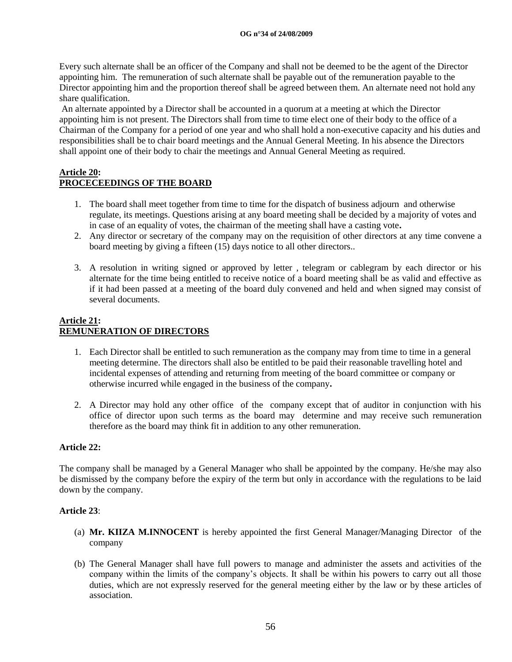#### **OG n°34 of 24/08/2009**

Every such alternate shall be an officer of the Company and shall not be deemed to be the agent of the Director appointing him. The remuneration of such alternate shall be payable out of the remuneration payable to the Director appointing him and the proportion thereof shall be agreed between them. An alternate need not hold any share qualification.

An alternate appointed by a Director shall be accounted in a quorum at a meeting at which the Director appointing him is not present. The Directors shall from time to time elect one of their body to the office of a Chairman of the Company for a period of one year and who shall hold a non-executive capacity and his duties and responsibilities shall be to chair board meetings and the Annual General Meeting. In his absence the Directors shall appoint one of their body to chair the meetings and Annual General Meeting as required.

#### **Article 20: PROCECEEDINGS OF THE BOARD**

- 1. The board shall meet together from time to time for the dispatch of business adjourn and otherwise regulate, its meetings. Questions arising at any board meeting shall be decided by a majority of votes and in case of an equality of votes, the chairman of the meeting shall have a casting vote**.**
- 2. Any director or secretary of the company may on the requisition of other directors at any time convene a board meeting by giving a fifteen (15) days notice to all other directors..
- 3. A resolution in writing signed or approved by letter , telegram or cablegram by each director or his alternate for the time being entitled to receive notice of a board meeting shall be as valid and effective as if it had been passed at a meeting of the board duly convened and held and when signed may consist of several documents.

# **Article 21: REMUNERATION OF DIRECTORS**

- 1. Each Director shall be entitled to such remuneration as the company may from time to time in a general meeting determine. The directors shall also be entitled to be paid their reasonable travelling hotel and incidental expenses of attending and returning from meeting of the board committee or company or otherwise incurred while engaged in the business of the company**.**
- 2. A Director may hold any other office of the company except that of auditor in conjunction with his office of director upon such terms as the board may determine and may receive such remuneration therefore as the board may think fit in addition to any other remuneration.

# **Article 22:**

The company shall be managed by a General Manager who shall be appointed by the company. He/she may also be dismissed by the company before the expiry of the term but only in accordance with the regulations to be laid down by the company.

### **Article 23**:

- (a) **Mr. KIIZA M.INNOCENT** is hereby appointed the first General Manager/Managing Director of the company
- (b) The General Manager shall have full powers to manage and administer the assets and activities of the company within the limits of the company"s objects. It shall be within his powers to carry out all those duties, which are not expressly reserved for the general meeting either by the law or by these articles of association.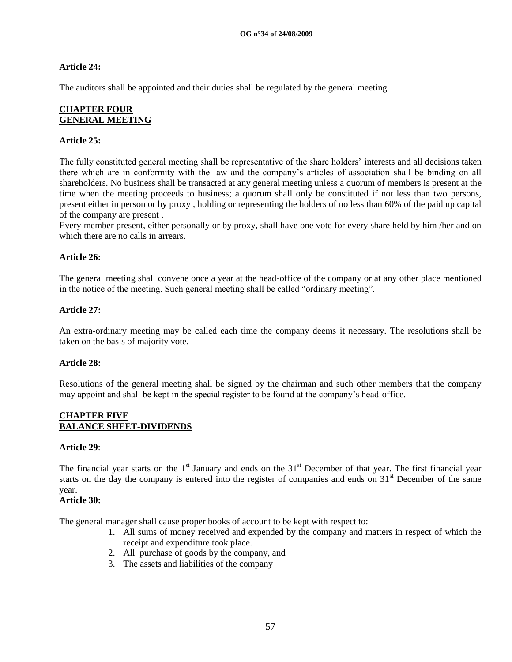## **Article 24:**

The auditors shall be appointed and their duties shall be regulated by the general meeting.

### **CHAPTER FOUR GENERAL MEETING**

### **Article 25:**

The fully constituted general meeting shall be representative of the share holders" interests and all decisions taken there which are in conformity with the law and the company"s articles of association shall be binding on all shareholders. No business shall be transacted at any general meeting unless a quorum of members is present at the time when the meeting proceeds to business; a quorum shall only be constituted if not less than two persons, present either in person or by proxy , holding or representing the holders of no less than 60% of the paid up capital of the company are present .

Every member present, either personally or by proxy, shall have one vote for every share held by him /her and on which there are no calls in arrears.

## **Article 26:**

The general meeting shall convene once a year at the head-office of the company or at any other place mentioned in the notice of the meeting. Such general meeting shall be called "ordinary meeting".

### **Article 27:**

An extra-ordinary meeting may be called each time the company deems it necessary. The resolutions shall be taken on the basis of majority vote.

### **Article 28:**

Resolutions of the general meeting shall be signed by the chairman and such other members that the company may appoint and shall be kept in the special register to be found at the company"s head-office.

#### **CHAPTER FIVE BALANCE SHEET-DIVIDENDS**

#### **Article 29**:

The financial year starts on the  $1<sup>st</sup>$  January and ends on the  $31<sup>st</sup>$  December of that year. The first financial year starts on the day the company is entered into the register of companies and ends on  $31<sup>st</sup>$  December of the same year.

### **Article 30:**

The general manager shall cause proper books of account to be kept with respect to:

- 1. All sums of money received and expended by the company and matters in respect of which the receipt and expenditure took place.
- 2. All purchase of goods by the company, and
- 3. The assets and liabilities of the company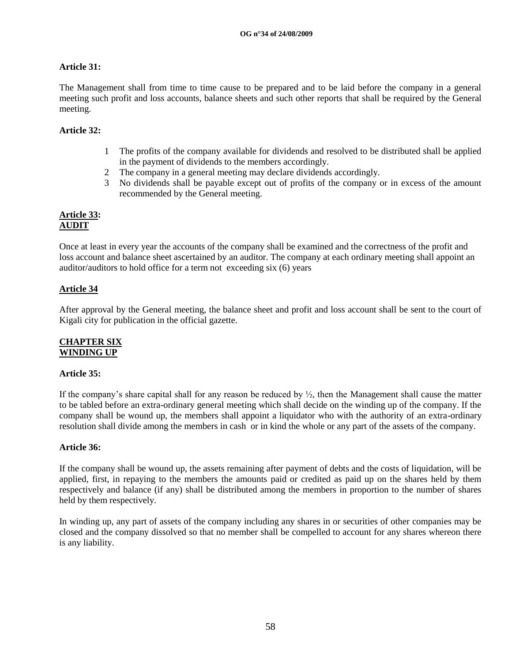## **Article 31:**

The Management shall from time to time cause to be prepared and to be laid before the company in a general meeting such profit and loss accounts, balance sheets and such other reports that shall be required by the General meeting.

## **Article 32:**

- 1 The profits of the company available for dividends and resolved to be distributed shall be applied in the payment of dividends to the members accordingly.
- 2 The company in a general meeting may declare dividends accordingly.
- 3 No dividends shall be payable except out of profits of the company or in excess of the amount recommended by the General meeting.

### **Article 33: AUDIT**

Once at least in every year the accounts of the company shall be examined and the correctness of the profit and loss account and balance sheet ascertained by an auditor. The company at each ordinary meeting shall appoint an auditor/auditors to hold office for a term not exceeding six (6) years

# **Article 34**

After approval by the General meeting, the balance sheet and profit and loss account shall be sent to the court of Kigali city for publication in the official gazette.

### **CHAPTER SIX WINDING UP**

### **Article 35:**

If the company's share capital shall for any reason be reduced by  $\frac{1}{2}$ , then the Management shall cause the matter to be tabled before an extra-ordinary general meeting which shall decide on the winding up of the company. If the company shall be wound up, the members shall appoint a liquidator who with the authority of an extra-ordinary resolution shall divide among the members in cash or in kind the whole or any part of the assets of the company.

### **Article 36:**

If the company shall be wound up, the assets remaining after payment of debts and the costs of liquidation, will be applied, first, in repaying to the members the amounts paid or credited as paid up on the shares held by them respectively and balance (if any) shall be distributed among the members in proportion to the number of shares held by them respectively.

In winding up, any part of assets of the company including any shares in or securities of other companies may be closed and the company dissolved so that no member shall be compelled to account for any shares whereon there is any liability.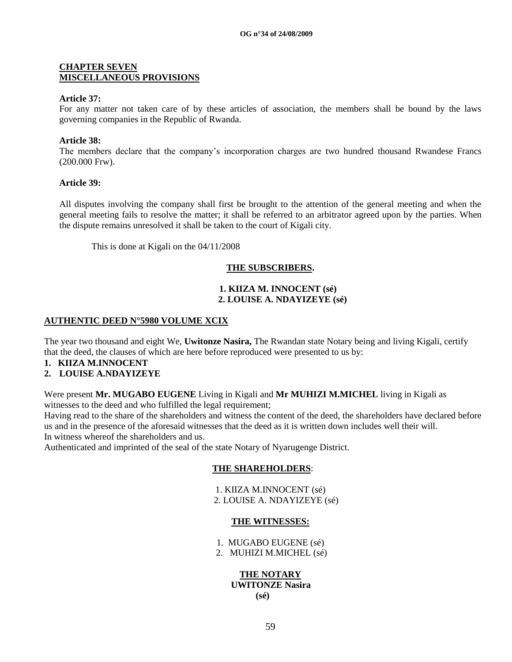#### **CHAPTER SEVEN MISCELLANEOUS PROVISIONS**

#### **Article 37:**

For any matter not taken care of by these articles of association, the members shall be bound by the laws governing companies in the Republic of Rwanda.

#### **Article 38:**

The members declare that the company's incorporation charges are two hundred thousand Rwandese Francs (200.000 Frw).

#### **Article 39:**

All disputes involving the company shall first be brought to the attention of the general meeting and when the general meeting fails to resolve the matter; it shall be referred to an arbitrator agreed upon by the parties. When the dispute remains unresolved it shall be taken to the court of Kigali city.

This is done at Kigali on the 04/11/2008

#### **THE SUBSCRIBERS.**

#### **1. KIIZA M. INNOCENT (sé) 2. LOUISE A. NDAYIZEYE (sé)**

#### **AUTHENTIC DEED N°5980 VOLUME XCIX**

The year two thousand and eight We, **Uwitonze Nasira,** The Rwandan state Notary being and living Kigali, certify that the deed, the clauses of which are here before reproduced were presented to us by:

- **1. KIIZA M.INNOCENT**
- **2. LOUISE A.NDAYIZEYE**

Were present **Mr. MUGABO EUGENE** Living in Kigali and **Mr MUHIZI M.MICHEL** living in Kigali as witnesses to the deed and who fulfilled the legal requirement;

Having read to the share of the shareholders and witness the content of the deed, the shareholders have declared before us and in the presence of the aforesaid witnesses that the deed as it is written down includes well their will. In witness whereof the shareholders and us.

Authenticated and imprinted of the seal of the state Notary of Nyarugenge District.

### **THE SHAREHOLDERS**:

1. KIIZA M.INNOCENT (sé) 2. LOUISE A. NDAYIZEYE (sé)

### **THE WITNESSES:**

- 1. MUGABO EUGENE (sé)
- 2. MUHIZI M.MICHEL (sé)

## **THE NOTARY UWITONZE Nasira (sé)**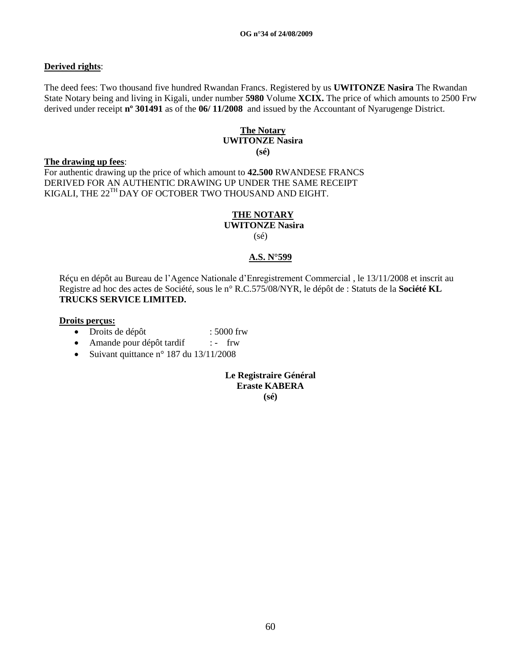## **Derived rights**:

The deed fees: Two thousand five hundred Rwandan Francs. Registered by us **UWITONZE Nasira** The Rwandan State Notary being and living in Kigali, under number **5980** Volume **XCIX.** The price of which amounts to 2500 Frw derived under receipt **nº 301491** as of the **06/ 11/2008** and issued by the Accountant of Nyarugenge District.

#### **The Notary UWITONZE Nasira (sé)**

#### **The drawing up fees**:

For authentic drawing up the price of which amount to **42.500** RWANDESE FRANCS DERIVED FOR AN AUTHENTIC DRAWING UP UNDER THE SAME RECEIPT KIGALI, THE 22<sup>TH</sup> DAY OF OCTOBER TWO THOUSAND AND EIGHT.

#### **THE NOTARY UWITONZE Nasira**

(sé)

# **A.S. N°599**

Réçu en dépôt au Bureau de l"Agence Nationale d"Enregistrement Commercial , le 13/11/2008 et inscrit au Registre ad hoc des actes de Société, sous le n° R.C.575/08/NYR, le dépôt de : Statuts de la **Société KL TRUCKS SERVICE LIMITED.**

#### **Droits perçus:**

- Droits de dépôt : 5000 frw
- Amande pour dépôt tardif : frw
- Suivant quittance n° 187 du  $13/11/2008$

**Le Registraire Général Eraste KABERA (sé)**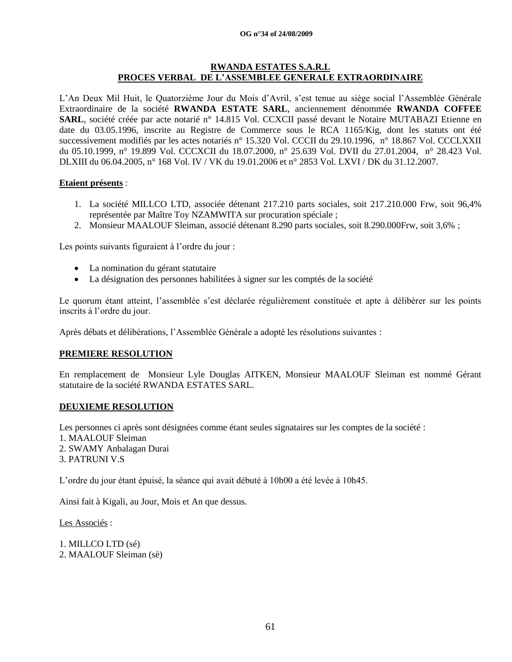#### **OG n°34 of 24/08/2009**

#### **RWANDA ESTATES S.A.R.L PROCES VERBAL DE L'ASSEMBLEE GENERALE EXTRAORDINAIRE**

L"An Deux Mil Huit, le Quatorzième Jour du Mois d"Avril, s"est tenue au siège social l"Assemblée Générale Extraordinaire de la société **RWANDA ESTATE SARL**, anciennement dénommée **RWANDA COFFEE SARL**, société créée par acte notarié n° 14.815 Vol. CCXCII passé devant le Notaire MUTABAZI Etienne en date du 03.05.1996, inscrite au Registre de Commerce sous le RCA 1165/Kig, dont les statuts ont été successivement modifiés par les actes notariés n° 15.320 Vol. CCCII du 29.10.1996, n° 18.867 Vol. CCCLXXII du 05.10.1999, n° 19.899 Vol. CCCXCII du 18.07.2000, n° 25.639 Vol. DVII du 27.01.2004, n° 28.423 Vol. DLXIII du 06.04.2005, n° 168 Vol. IV / VK du 19.01.2006 et n° 2853 Vol. LXVI / DK du 31.12.2007.

#### **Etaient présents** :

- 1. La société MILLCO LTD, associée détenant 217.210 parts sociales, soit 217.210.000 Frw, soit 96,4% représentée par Maître Toy NZAMWITA sur procuration spéciale ;
- 2. Monsieur MAALOUF Sleiman, associé détenant 8.290 parts sociales, soit 8.290.000Frw, soit 3,6% ;

Les points suivants figuraient à l'ordre du jour :

- La nomination du gérant statutaire
- La désignation des personnes habilitées à signer sur les comptés de la société

Le quorum étant atteint, l"assemblée s"est déclarée régulièrement constituée et apte à délibérer sur les points inscrits à l"ordre du jour.

Après débats et délibérations, l"Assemblée Générale a adopté les résolutions suivantes :

### **PREMIERE RESOLUTION**

En remplacement de Monsieur Lyle Douglas AITKEN, Monsieur MAALOUF Sleiman est nommé Gérant statutaire de la société RWANDA ESTATES SARL.

### **DEUXIEME RESOLUTION**

Les personnes ci après sont désignées comme étant seules signataires sur les comptes de la société : 1. MAALOUF Sleiman 2. SWAMY Anbalagan Durai 3. PATRUNI V.S

L"ordre du jour étant épuisé, la séance qui avait débuté à 10h00 a été levée à 10h45.

Ainsi fait à Kigali, au Jour, Mois et An que dessus.

Les Associés :

1. MILLCO LTD (sé) 2. MAALOUF Sleiman (sè)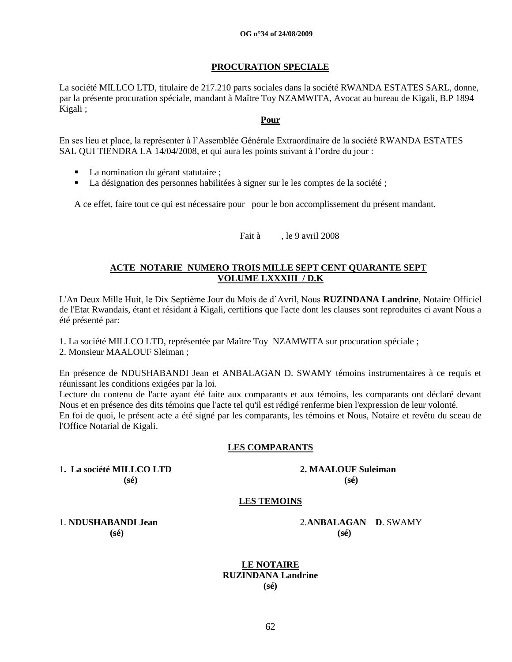#### **PROCURATION SPECIALE**

La société MILLCO LTD, titulaire de 217.210 parts sociales dans la société RWANDA ESTATES SARL, donne, par la présente procuration spéciale, mandant à Maître Toy NZAMWITA, Avocat au bureau de Kigali, B.P 1894 Kigali ;

#### **Pour**

En ses lieu et place, la représenter à l"Assemblée Générale Extraordinaire de la société RWANDA ESTATES SAL QUI TIENDRA LA 14/04/2008, et qui aura les points suivant à l'ordre du jour :

- La nomination du gérant statutaire ;
- La désignation des personnes habilitées à signer sur le les comptes de la société ;

A ce effet, faire tout ce qui est nécessaire pour pour le bon accomplissement du présent mandant.

Fait à , le 9 avril 2008

## **ACTE NOTARIE NUMERO TROIS MILLE SEPT CENT QUARANTE SEPT VOLUME LXXXIII / D.K**

L'An Deux Mille Huit, le Dix Septième Jour du Mois de d"Avril, Nous **RUZINDANA Landrine**, Notaire Officiel de l'Etat Rwandais, étant et résidant à Kigali, certifions que l'acte dont les clauses sont reproduites ci avant Nous a été présenté par:

1. La société MILLCO LTD, représentée par Maître Toy NZAMWITA sur procuration spéciale ;

2. Monsieur MAALOUF Sleiman ;

En présence de NDUSHABANDI Jean et ANBALAGAN D. SWAMY témoins instrumentaires à ce requis et réunissant les conditions exigées par la loi.

Lecture du contenu de l'acte ayant été faite aux comparants et aux témoins, les comparants ont déclaré devant Nous et en présence des dits témoins que l'acte tel qu'il est rédigé renferme bien l'expression de leur volonté. En foi de quoi, le présent acte a été signé par les comparants, les témoins et Nous, Notaire et revêtu du sceau de l'Office Notarial de Kigali.

### **LES COMPARANTS**

1**. La société MILLCO LTD 2. MAALOUF Suleiman (sé) (sé)** 

### **LES TEMOINS**

**(sé) (sé)**

1. **NDUSHABANDI Jean** 2.**ANBALAGAN D**. SWAMY

**LE NOTAIRE RUZINDANA Landrine (sé)**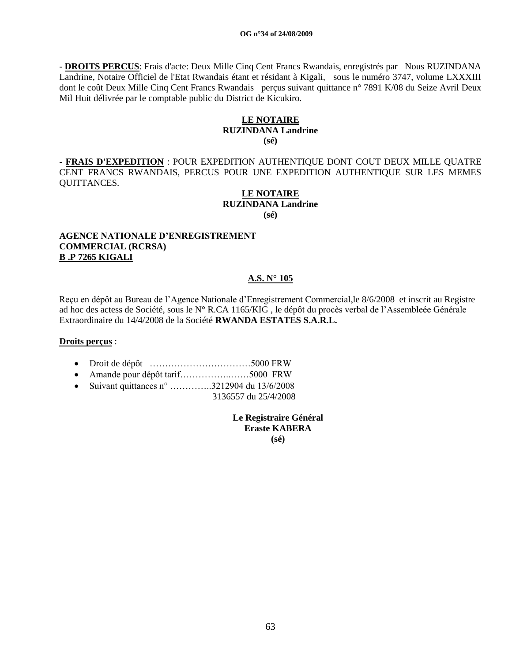- **DROITS PERCUS**: Frais d'acte: Deux Mille Cinq Cent Francs Rwandais, enregistrés par Nous RUZINDANA Landrine, Notaire Officiel de l'Etat Rwandais étant et résidant à Kigali, sous le numéro 3747, volume LXXXIII dont le coût Deux Mille Cinq Cent Francs Rwandais perçus suivant quittance n° 7891 K/08 du Seize Avril Deux Mil Huit délivrée par le comptable public du District de Kicukiro.

### **LE NOTAIRE RUZINDANA Landrine (sé)**

**- FRAIS D'EXPEDITION** : POUR EXPEDITION AUTHENTIQUE DONT COUT DEUX MILLE QUATRE CENT FRANCS RWANDAIS, PERCUS POUR UNE EXPEDITION AUTHENTIQUE SUR LES MEMES QUITTANCES.

#### **LE NOTAIRE RUZINDANA Landrine (sé)**

#### **AGENCE NATIONALE D'ENREGISTREMENT COMMERCIAL (RCRSA) B .P 7265 KIGALI**

### **A.S. N° 105**

Reçu en dépôt au Bureau de l"Agence Nationale d"Enregistrement Commercial,le 8/6/2008 et inscrit au Registre ad hoc des actess de Société, sous le N° R.CA 1165/KIG , le dépôt du procès verbal de l"Assembleée Générale Extraordinaire du 14/4/2008 de la Société **RWANDA ESTATES S.A.R.L.**

#### **Droits perçus** :

- Droit de dépôt ……………………………5000 FRW
- Amande pour dépôt tarif……………..……5000 FRW
- Suivant quittances  $n^{\circ}$  …………..3212904 du 13/6/2008 3136557 du 25/4/2008

**Le Registraire Général Eraste KABERA (sé)**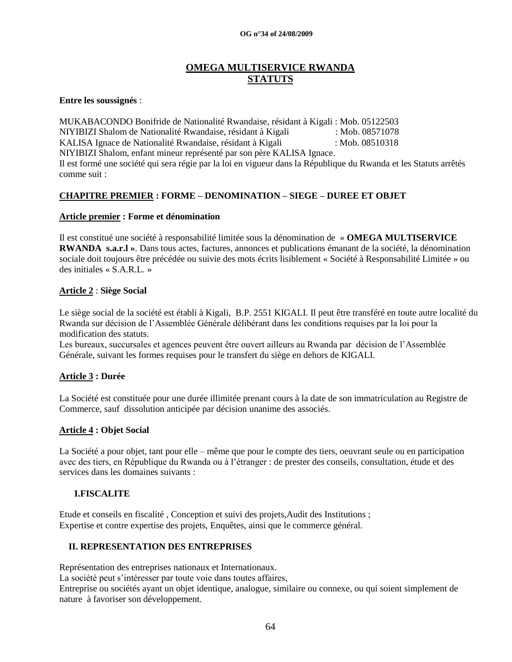# **OMEGA MULTISERVICE RWANDA STATUTS**

#### **Entre les soussignés** :

MUKABACONDO Bonifride de Nationalité Rwandaise, résidant à Kigali : Mob. 05122503 NIYIBIZI Shalom de Nationalité Rwandaise, résidant à Kigali : Mob. 08571078 KALISA Ignace de Nationalité Rwandaise, résidant à Kigali : Mob. 08510318 NIYIBIZI Shalom, enfant mineur représenté par son père KALISA Ignace. Il est formé une société qui sera régie par la loi en vigueur dans la République du Rwanda et les Statuts arrêtés comme suit :

## **CHAPITRE PREMIER : FORME – DENOMINATION – SIEGE – DUREE ET OBJET**

### **Article premier : Forme et dénomination**

Il est constitué une société à responsabilité limitée sous la dénomination de « **OMEGA MULTISERVICE RWANDA s.a.r.l »**. Dans tous actes, factures, annonces et publications émanant de la société, la dénomination sociale doit toujours être précédée ou suivie des mots écrits lisiblement « Société à Responsabilité Limitée » ou des initiales « S.A.R.L. »

#### **Article 2** : **Siège Social**

Le siège social de la société est établi à Kigali, B.P. 2551 KIGALI. Il peut être transféré en toute autre localité du Rwanda sur décision de l"Assemblée Générale délibérant dans les conditions requises par la loi pour la modification des statuts.

Les bureaux, succursales et agences peuvent être ouvert ailleurs au Rwanda par décision de l"Assemblée Générale, suivant les formes requises pour le transfert du siège en dehors de KIGALI.

### **Article 3 : Durée**

La Société est constituée pour une durée illimitée prenant cours à la date de son immatriculation au Registre de Commerce, sauf dissolution anticipée par décision unanime des associés.

### **Article 4 : Objet Social**

La Société a pour objet, tant pour elle – même que pour le compte des tiers, oeuvrant seule ou en participation avec des tiers, en République du Rwanda ou à l"étranger : de prester des conseils, consultation, étude et des services dans les domaines suivants :

#### **I.FISCALITE**

Etude et conseils en fiscalité , Conception et suivi des projets,Audit des Institutions ; Expertise et contre expertise des projets, Enquêtes, ainsi que le commerce général.

### **II. REPRESENTATION DES ENTREPRISES**

Représentation des entreprises nationaux et Internationaux. La société peut s'intéresser par toute voie dans toutes affaires, Entreprise ou sociétés ayant un objet identique, analogue, similaire ou connexe, ou qui soient simplement de nature à favoriser son développement.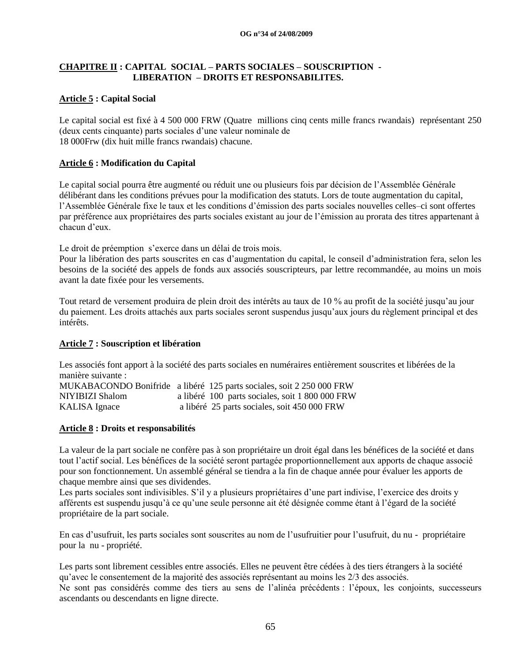## **CHAPITRE II : CAPITAL SOCIAL – PARTS SOCIALES – SOUSCRIPTION - LIBERATION – DROITS ET RESPONSABILITES.**

# **Article 5 : Capital Social**

Le capital social est fixé à 4 500 000 FRW (Quatre millions cinq cents mille francs rwandais) représentant 250 (deux cents cinquante) parts sociales d"une valeur nominale de 18 000Frw (dix huit mille francs rwandais) chacune.

# **Article 6 : Modification du Capital**

Le capital social pourra être augmenté ou réduit une ou plusieurs fois par décision de l"Assemblée Générale délibérant dans les conditions prévues pour la modification des statuts. Lors de toute augmentation du capital, l"Assemblée Générale fixe le taux et les conditions d"émission des parts sociales nouvelles celles–ci sont offertes par préférence aux propriétaires des parts sociales existant au jour de l"émission au prorata des titres appartenant à chacun d"eux.

Le droit de préemption s'exerce dans un délai de trois mois.

Pour la libération des parts souscrites en cas d"augmentation du capital, le conseil d"administration fera, selon les besoins de la société des appels de fonds aux associés souscripteurs, par lettre recommandée, au moins un mois avant la date fixée pour les versements.

Tout retard de versement produira de plein droit des intérêts au taux de 10 % au profit de la société jusqu"au jour du paiement. Les droits attachés aux parts sociales seront suspendus jusqu"aux jours du règlement principal et des intérêts.

# **Article 7 : Souscription et libération**

Les associés font apport à la société des parts sociales en numéraires entièrement souscrites et libérées de la manière suivante : MUKABACONDO Bonifride a libéré 125 parts sociales, soit 2 250 000 FRW NIYIBIZI Shalom a libéré 100 parts sociales, soit 1 800 000 FRW KALISA Ignace a libéré 25 parts sociales, soit 450 000 FRW

**Article 8 : Droits et responsabilités**

La valeur de la part sociale ne confère pas à son propriétaire un droit égal dans les bénéfices de la société et dans tout l"actif social. Les bénéfices de la société seront partagée proportionnellement aux apports de chaque associé pour son fonctionnement. Un assemblé général se tiendra a la fin de chaque année pour évaluer les apports de chaque membre ainsi que ses dividendes.

Les parts sociales sont indivisibles. S'il y a plusieurs propriétaires d'une part indivise, l'exercice des droits y afférents est suspendu jusqu"à ce qu"une seule personne ait été désignée comme étant à l"égard de la société propriétaire de la part sociale.

En cas d"usufruit, les parts sociales sont souscrites au nom de l"usufruitier pour l"usufruit, du nu - propriétaire pour la nu - propriété.

Les parts sont librement cessibles entre associés. Elles ne peuvent être cédées à des tiers étrangers à la société qu"avec le consentement de la majorité des associés représentant au moins les 2/3 des associés. Ne sont pas considérés comme des tiers au sens de l"alinéa précédents : l"époux, les conjoints, successeurs ascendants ou descendants en ligne directe.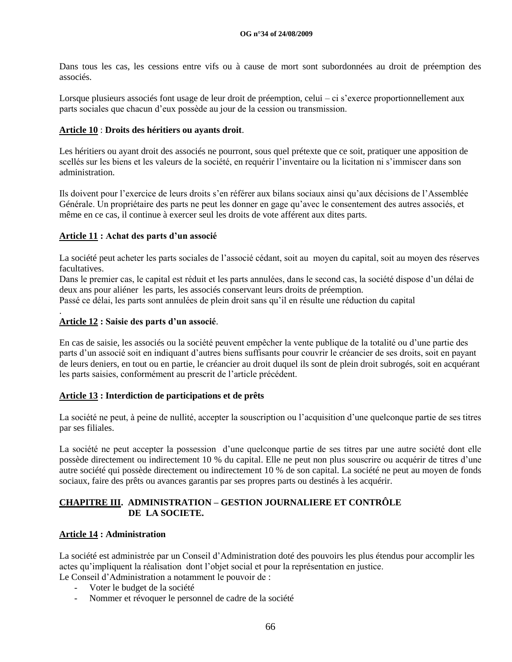Dans tous les cas, les cessions entre vifs ou à cause de mort sont subordonnées au droit de préemption des associés.

Lorsque plusieurs associés font usage de leur droit de préemption, celui – ci s'exerce proportionnellement aux parts sociales que chacun d"eux possède au jour de la cession ou transmission.

#### **Article 10** : **Droits des héritiers ou ayants droit**.

Les héritiers ou ayant droit des associés ne pourront, sous quel prétexte que ce soit, pratiquer une apposition de scellés sur les biens et les valeurs de la société, en requérir l"inventaire ou la licitation ni s"immiscer dans son administration.

Ils doivent pour l"exercice de leurs droits s"en référer aux bilans sociaux ainsi qu"aux décisions de l"Assemblée Générale. Un propriétaire des parts ne peut les donner en gage qu"avec le consentement des autres associés, et même en ce cas, il continue à exercer seul les droits de vote afférent aux dites parts.

#### **Article 11 : Achat des parts d'un associé**

La société peut acheter les parts sociales de l"associé cédant, soit au moyen du capital, soit au moyen des réserves facultatives.

Dans le premier cas, le capital est réduit et les parts annulées, dans le second cas, la société dispose d"un délai de deux ans pour aliéner les parts, les associés conservant leurs droits de préemption.

Passé ce délai, les parts sont annulées de plein droit sans qu"il en résulte une réduction du capital

### **Article 12 : Saisie des parts d'un associé**.

.

En cas de saisie, les associés ou la société peuvent empêcher la vente publique de la totalité ou d"une partie des parts d"un associé soit en indiquant d"autres biens suffisants pour couvrir le créancier de ses droits, soit en payant de leurs deniers, en tout ou en partie, le créancier au droit duquel ils sont de plein droit subrogés, soit en acquérant les parts saisies, conformément au prescrit de l"article précédent.

### **Article 13 : Interdiction de participations et de prêts**

La société ne peut, à peine de nullité, accepter la souscription ou l"acquisition d"une quelconque partie de ses titres par ses filiales.

La société ne peut accepter la possession d"une quelconque partie de ses titres par une autre société dont elle possède directement ou indirectement 10 % du capital. Elle ne peut non plus souscrire ou acquérir de titres d'une autre société qui possède directement ou indirectement 10 % de son capital. La société ne peut au moyen de fonds sociaux, faire des prêts ou avances garantis par ses propres parts ou destinés à les acquérir.

### **CHAPITRE III. ADMINISTRATION – GESTION JOURNALIERE ET CONTRÔLE DE LA SOCIETE.**

#### **Article 14 : Administration**

La société est administrée par un Conseil d"Administration doté des pouvoirs les plus étendus pour accomplir les actes qu"impliquent la réalisation dont l"objet social et pour la représentation en justice. Le Conseil d"Administration a notamment le pouvoir de :

- Voter le budget de la société
- Nommer et révoquer le personnel de cadre de la société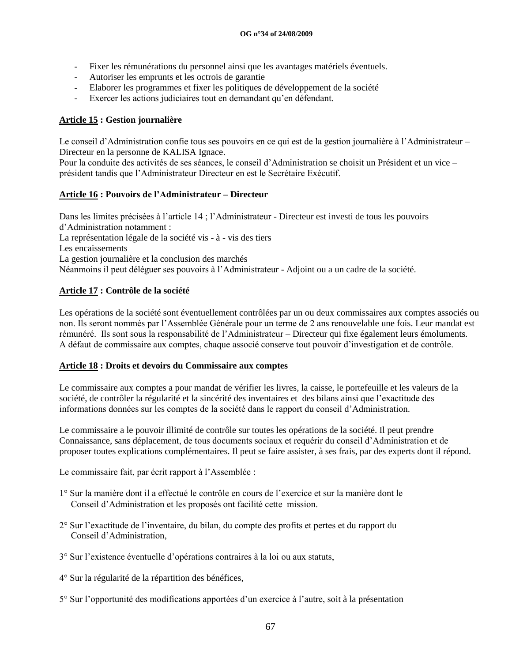- Fixer les rémunérations du personnel ainsi que les avantages matériels éventuels.
- Autoriser les emprunts et les octrois de garantie
- Elaborer les programmes et fixer les politiques de développement de la société
- Exercer les actions judiciaires tout en demandant qu"en défendant.

## **Article 15 : Gestion journalière**

Le conseil d"Administration confie tous ses pouvoirs en ce qui est de la gestion journalière à l"Administrateur – Directeur en la personne de KALISA Ignace.

Pour la conduite des activités de ses séances, le conseil d"Administration se choisit un Président et un vice – président tandis que l"Administrateur Directeur en est le Secrétaire Exécutif.

### **Article 16 : Pouvoirs de l'Administrateur – Directeur**

Dans les limites précisées à l"article 14 ; l"Administrateur - Directeur est investi de tous les pouvoirs d"Administration notamment : La représentation légale de la société vis - à - vis des tiers Les encaissements La gestion journalière et la conclusion des marchés Néanmoins il peut déléguer ses pouvoirs à l"Administrateur - Adjoint ou a un cadre de la société.

# **Article 17 : Contrôle de la société**

Les opérations de la société sont éventuellement contrôlées par un ou deux commissaires aux comptes associés ou non. Ils seront nommés par l"Assemblée Générale pour un terme de 2 ans renouvelable une fois. Leur mandat est rémunéré. Ils sont sous la responsabilité de l"Administrateur – Directeur qui fixe également leurs émoluments. A défaut de commissaire aux comptes, chaque associé conserve tout pouvoir d"investigation et de contrôle.

### **Article 18 : Droits et devoirs du Commissaire aux comptes**

Le commissaire aux comptes a pour mandat de vérifier les livres, la caisse, le portefeuille et les valeurs de la société, de contrôler la régularité et la sincérité des inventaires et des bilans ainsi que l"exactitude des informations données sur les comptes de la société dans le rapport du conseil d"Administration.

Le commissaire a le pouvoir illimité de contrôle sur toutes les opérations de la société. Il peut prendre Connaissance, sans déplacement, de tous documents sociaux et requérir du conseil d"Administration et de proposer toutes explications complémentaires. Il peut se faire assister, à ses frais, par des experts dont il répond.

Le commissaire fait, par écrit rapport à l'Assemblée :

- 1° Sur la manière dont il a effectué le contrôle en cours de l"exercice et sur la manière dont le Conseil d"Administration et les proposés ont facilité cette mission.
- 2° Sur l"exactitude de l"inventaire, du bilan, du compte des profits et pertes et du rapport du Conseil d"Administration,
- 3° Sur l"existence éventuelle d"opérations contraires à la loi ou aux statuts,
- 4° Sur la régularité de la répartition des bénéfices,
- 5° Sur l"opportunité des modifications apportées d"un exercice à l"autre, soit à la présentation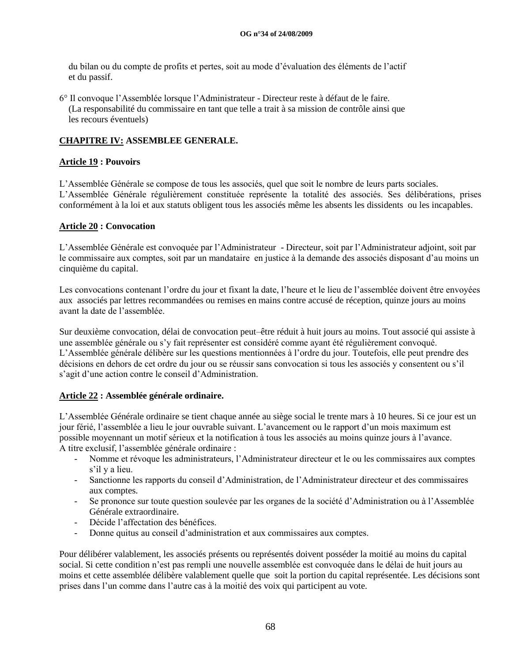du bilan ou du compte de profits et pertes, soit au mode d"évaluation des éléments de l"actif et du passif.

6° Il convoque l"Assemblée lorsque l"Administrateur - Directeur reste à défaut de le faire. (La responsabilité du commissaire en tant que telle a trait à sa mission de contrôle ainsi que les recours éventuels)

# **CHAPITRE IV: ASSEMBLEE GENERALE.**

## **Article 19 : Pouvoirs**

L"Assemblée Générale se compose de tous les associés, quel que soit le nombre de leurs parts sociales. L"Assemblée Générale régulièrement constituée représente la totalité des associés. Ses délibérations, prises conformément à la loi et aux statuts obligent tous les associés même les absents les dissidents ou les incapables.

### **Article 20 : Convocation**

L"Assemblée Générale est convoquée par l"Administrateur - Directeur, soit par l"Administrateur adjoint, soit par le commissaire aux comptes, soit par un mandataire en justice à la demande des associés disposant d"au moins un cinquième du capital.

Les convocations contenant l'ordre du jour et fixant la date, l'heure et le lieu de l'assemblée doivent être envoyées aux associés par lettres recommandées ou remises en mains contre accusé de réception, quinze jours au moins avant la date de l"assemblée.

Sur deuxième convocation, délai de convocation peut–être réduit à huit jours au moins. Tout associé qui assiste à une assemblée générale ou s"y fait représenter est considéré comme ayant été régulièrement convoqué. L"Assemblée générale délibère sur les questions mentionnées à l"ordre du jour. Toutefois, elle peut prendre des décisions en dehors de cet ordre du jour ou se réussir sans convocation si tous les associés y consentent ou s"il s"agit d"une action contre le conseil d"Administration.

# **Article 22 : Assemblée générale ordinaire.**

L"Assemblée Générale ordinaire se tient chaque année au siège social le trente mars à 10 heures. Si ce jour est un jour férié, l"assemblée a lieu le jour ouvrable suivant. L"avancement ou le rapport d"un mois maximum est possible moyennant un motif sérieux et la notification à tous les associés au moins quinze jours à l"avance. A titre exclusif, l"assemblée générale ordinaire :

- Nomme et révoque les administrateurs, l"Administrateur directeur et le ou les commissaires aux comptes s'il y a lieu.
- Sanctionne les rapports du conseil d"Administration, de l"Administrateur directeur et des commissaires aux comptes.
- Se prononce sur toute question soulevée par les organes de la société d'Administration ou à l'Assemblée Générale extraordinaire.
- Décide l"affectation des bénéfices.
- Donne quitus au conseil d"administration et aux commissaires aux comptes.

Pour délibérer valablement, les associés présents ou représentés doivent posséder la moitié au moins du capital social. Si cette condition n"est pas rempli une nouvelle assemblée est convoquée dans le délai de huit jours au moins et cette assemblée délibère valablement quelle que soit la portion du capital représentée. Les décisions sont prises dans l"un comme dans l"autre cas à la moitié des voix qui participent au vote.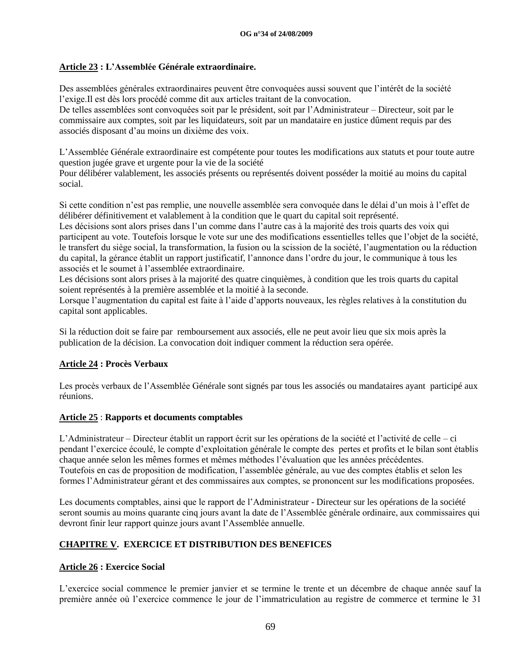# **Article 23 : L'Assemblée Générale extraordinaire.**

Des assemblées générales extraordinaires peuvent être convoquées aussi souvent que l"intérêt de la société l"exige.Il est dès lors procédé comme dit aux articles traitant de la convocation.

De telles assemblées sont convoquées soit par le président, soit par l"Administrateur – Directeur, soit par le commissaire aux comptes, soit par les liquidateurs, soit par un mandataire en justice dûment requis par des associés disposant d"au moins un dixième des voix.

L"Assemblée Générale extraordinaire est compétente pour toutes les modifications aux statuts et pour toute autre question jugée grave et urgente pour la vie de la société

Pour délibérer valablement, les associés présents ou représentés doivent posséder la moitié au moins du capital social.

Si cette condition n"est pas remplie, une nouvelle assemblée sera convoquée dans le délai d"un mois à l"effet de délibérer définitivement et valablement à la condition que le quart du capital soit représenté.

Les décisions sont alors prises dans l"un comme dans l"autre cas à la majorité des trois quarts des voix qui participent au vote. Toutefois lorsque le vote sur une des modifications essentielles telles que l"objet de la société, le transfert du siège social, la transformation, la fusion ou la scission de la société, l"augmentation ou la réduction du capital, la gérance établit un rapport justificatif, l"annonce dans l"ordre du jour, le communique à tous les associés et le soumet à l"assemblée extraordinaire.

Les décisions sont alors prises à la majorité des quatre cinquièmes, à condition que les trois quarts du capital soient représentés à la première assemblée et la moitié à la seconde.

Lorsque l'augmentation du capital est faite à l'aide d'apports nouveaux, les règles relatives à la constitution du capital sont applicables.

Si la réduction doit se faire par remboursement aux associés, elle ne peut avoir lieu que six mois après la publication de la décision. La convocation doit indiquer comment la réduction sera opérée.

# **Article 24 : Procès Verbaux**

Les procès verbaux de l"Assemblée Générale sont signés par tous les associés ou mandataires ayant participé aux réunions.

# **Article 25** : **Rapports et documents comptables**

L"Administrateur – Directeur établit un rapport écrit sur les opérations de la société et l"activité de celle – ci pendant l"exercice écoulé, le compte d"exploitation générale le compte des pertes et profits et le bilan sont établis chaque année selon les mêmes formes et mêmes méthodes l"évaluation que les années précédentes. Toutefois en cas de proposition de modification, l"assemblée générale, au vue des comptes établis et selon les formes l"Administrateur gérant et des commissaires aux comptes, se prononcent sur les modifications proposées.

Les documents comptables, ainsi que le rapport de l'Administrateur - Directeur sur les opérations de la société seront soumis au moins quarante cinq jours avant la date de l"Assemblée générale ordinaire, aux commissaires qui devront finir leur rapport quinze jours avant l"Assemblée annuelle.

# **CHAPITRE V. EXERCICE ET DISTRIBUTION DES BENEFICES**

# **Article 26 : Exercice Social**

L"exercice social commence le premier janvier et se termine le trente et un décembre de chaque année sauf la première année où l"exercice commence le jour de l"immatriculation au registre de commerce et termine le 31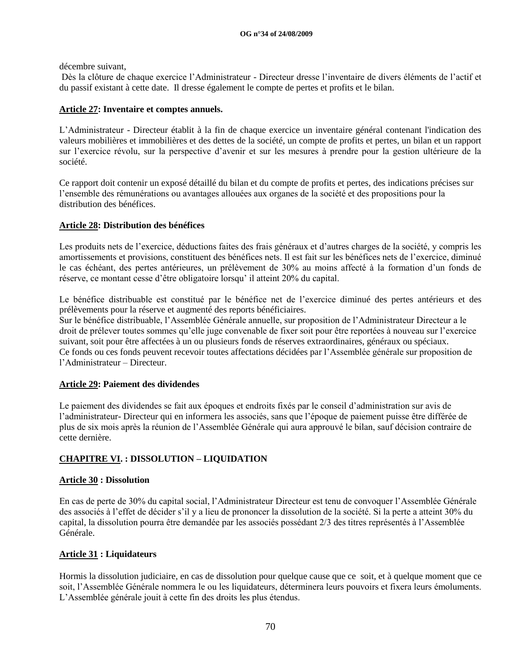décembre suivant,

Dès la clôture de chaque exercice l"Administrateur - Directeur dresse l"inventaire de divers éléments de l"actif et du passif existant à cette date. Il dresse également le compte de pertes et profits et le bilan.

# **Article 27: Inventaire et comptes annuels.**

L"Administrateur - Directeur établit à la fin de chaque exercice un inventaire général contenant l'indication des valeurs mobilières et immobilières et des dettes de la société, un compte de profits et pertes, un bilan et un rapport sur l"exercice révolu, sur la perspective d"avenir et sur les mesures à prendre pour la gestion ultérieure de la société.

Ce rapport doit contenir un exposé détaillé du bilan et du compte de profits et pertes, des indications précises sur l"ensemble des rémunérations ou avantages allouées aux organes de la société et des propositions pour la distribution des bénéfices.

# **Article 28: Distribution des bénéfices**

Les produits nets de l"exercice, déductions faites des frais généraux et d"autres charges de la société, y compris les amortissements et provisions, constituent des bénéfices nets. Il est fait sur les bénéfices nets de l"exercice, diminué le cas échéant, des pertes antérieures, un prélèvement de 30% au moins affecté à la formation d"un fonds de réserve, ce montant cesse d"être obligatoire lorsqu" il atteint 20% du capital.

Le bénéfice distribuable est constitué par le bénéfice net de l"exercice diminué des pertes antérieurs et des prélèvements pour la réserve et augmenté des reports bénéficiaires.

Sur le bénéfice distribuable, l"Assemblée Générale annuelle, sur proposition de l"Administrateur Directeur a le droit de prélever toutes sommes qu"elle juge convenable de fixer soit pour être reportées à nouveau sur l"exercice suivant, soit pour être affectées à un ou plusieurs fonds de réserves extraordinaires, généraux ou spéciaux. Ce fonds ou ces fonds peuvent recevoir toutes affectations décidées par l"Assemblée générale sur proposition de l"Administrateur – Directeur.

# **Article 29: Paiement des dividendes**

Le paiement des dividendes se fait aux époques et endroits fixés par le conseil d"administration sur avis de l"administrateur- Directeur qui en informera les associés, sans que l"époque de paiement puisse être différée de plus de six mois après la réunion de l"Assemblée Générale qui aura approuvé le bilan, sauf décision contraire de cette dernière.

# **CHAPITRE VI. : DISSOLUTION – LIQUIDATION**

# **Article 30 : Dissolution**

En cas de perte de 30% du capital social, l"Administrateur Directeur est tenu de convoquer l"Assemblée Générale des associés à l"effet de décider s"il y a lieu de prononcer la dissolution de la société. Si la perte a atteint 30% du capital, la dissolution pourra être demandée par les associés possédant 2/3 des titres représentés à l"Assemblée Générale.

# **Article 31 : Liquidateurs**

Hormis la dissolution judiciaire, en cas de dissolution pour quelque cause que ce soit, et à quelque moment que ce soit, l"Assemblée Générale nommera le ou les liquidateurs, déterminera leurs pouvoirs et fixera leurs émoluments. L"Assemblée générale jouit à cette fin des droits les plus étendus.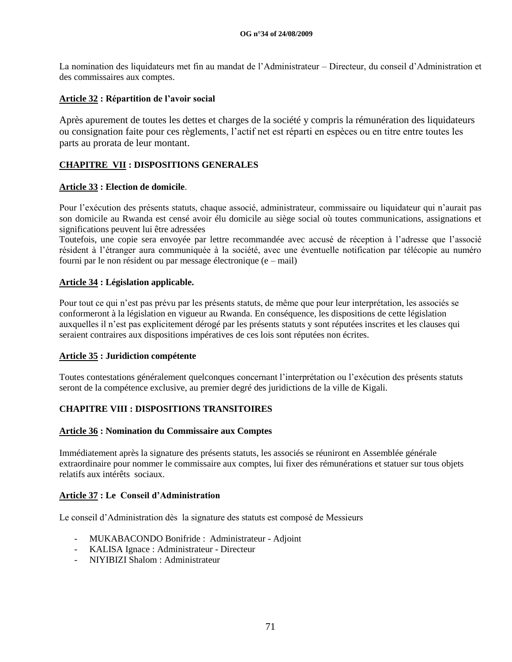La nomination des liquidateurs met fin au mandat de l"Administrateur – Directeur, du conseil d"Administration et des commissaires aux comptes.

## **Article 32 : Répartition de l'avoir social**

Après apurement de toutes les dettes et charges de la société y compris la rémunération des liquidateurs ou consignation faite pour ces règlements, l"actif net est réparti en espèces ou en titre entre toutes les parts au prorata de leur montant.

# **CHAPITRE VII : DISPOSITIONS GENERALES**

## **Article 33 : Election de domicile**.

Pour l"exécution des présents statuts, chaque associé, administrateur, commissaire ou liquidateur qui n"aurait pas son domicile au Rwanda est censé avoir élu domicile au siège social où toutes communications, assignations et significations peuvent lui être adressées

Toutefois, une copie sera envoyée par lettre recommandée avec accusé de réception à l"adresse que l"associé résident à l"étranger aura communiquée à la société, avec une éventuelle notification par télécopie au numéro fourni par le non résident ou par message électronique (e – mail)

## **Article 34 : Législation applicable.**

Pour tout ce qui n'est pas prévu par les présents statuts, de même que pour leur interprétation, les associés se conformeront à la législation en vigueur au Rwanda. En conséquence, les dispositions de cette législation auxquelles il n"est pas explicitement dérogé par les présents statuts y sont réputées inscrites et les clauses qui seraient contraires aux dispositions impératives de ces lois sont réputées non écrites.

### **Article 35 : Juridiction compétente**

Toutes contestations généralement quelconques concernant l"interprétation ou l"exécution des présents statuts seront de la compétence exclusive, au premier degré des juridictions de la ville de Kigali.

# **CHAPITRE VIII : DISPOSITIONS TRANSITOIRES**

### **Article 36 : Nomination du Commissaire aux Comptes**

Immédiatement après la signature des présents statuts, les associés se réuniront en Assemblée générale extraordinaire pour nommer le commissaire aux comptes, lui fixer des rémunérations et statuer sur tous objets relatifs aux intérêts sociaux.

# **Article 37 : Le Conseil d'Administration**

Le conseil d"Administration dès la signature des statuts est composé de Messieurs

- MUKABACONDO Bonifride : Administrateur Adjoint
- KALISA Ignace : Administrateur Directeur
- NIYIBIZI Shalom : Administrateur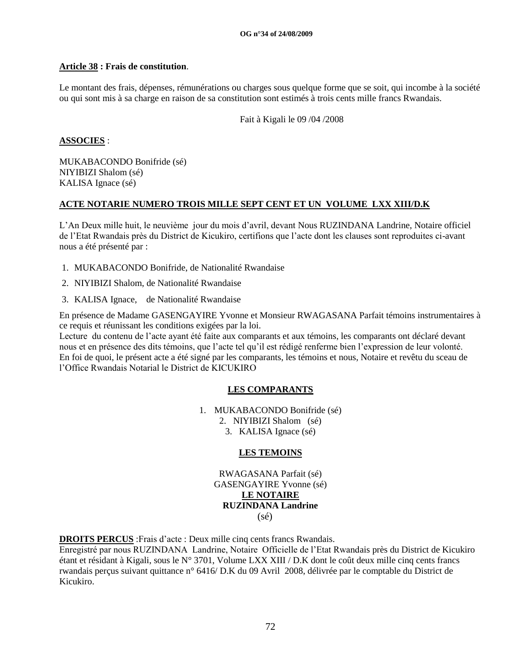#### **OG n°34 of 24/08/2009**

## **Article 38 : Frais de constitution**.

Le montant des frais, dépenses, rémunérations ou charges sous quelque forme que se soit, qui incombe à la société ou qui sont mis à sa charge en raison de sa constitution sont estimés à trois cents mille francs Rwandais.

Fait à Kigali le 09 /04 /2008

## **ASSOCIES** :

MUKABACONDO Bonifride (sé) NIYIBIZI Shalom (sé) KALISA Ignace (sé)

## **ACTE NOTARIE NUMERO TROIS MILLE SEPT CENT ET UN VOLUME LXX XIII/D.K**

L"An Deux mille huit, le neuvième jour du mois d"avril, devant Nous RUZINDANA Landrine, Notaire officiel de l"Etat Rwandais près du District de Kicukiro, certifions que l"acte dont les clauses sont reproduites ci-avant nous a été présenté par :

- 1. MUKABACONDO Bonifride, de Nationalité Rwandaise
- 2. NIYIBIZI Shalom, de Nationalité Rwandaise
- 3. KALISA Ignace, de Nationalité Rwandaise

En présence de Madame GASENGAYIRE Yvonne et Monsieur RWAGASANA Parfait témoins instrumentaires à ce requis et réunissant les conditions exigées par la loi.

Lecture du contenu de l"acte ayant été faite aux comparants et aux témoins, les comparants ont déclaré devant nous et en présence des dits témoins, que l"acte tel qu"il est rédigé renferme bien l"expression de leur volonté. En foi de quoi, le présent acte a été signé par les comparants, les témoins et nous, Notaire et revêtu du sceau de l"Office Rwandais Notarial le District de KICUKIRO

# **LES COMPARANTS**

1. MUKABACONDO Bonifride (sé)

- 2. NIYIBIZI Shalom (sé)
- 3. KALISA Ignace (sé)

# **LES TEMOINS**

RWAGASANA Parfait (sé) GASENGAYIRE Yvonne (sé) **LE NOTAIRE RUZINDANA Landrine** (sé)

**DROITS PERCUS** :Frais d"acte : Deux mille cinq cents francs Rwandais.

Enregistré par nous RUZINDANA Landrine, Notaire Officielle de l"Etat Rwandais près du District de Kicukiro étant et résidant à Kigali, sous le N° 3701, Volume LXX XIII / D.K dont le coût deux mille cinq cents francs rwandais perçus suivant quittance n° 6416/ D.K du 09 Avril 2008, délivrée par le comptable du District de Kicukiro.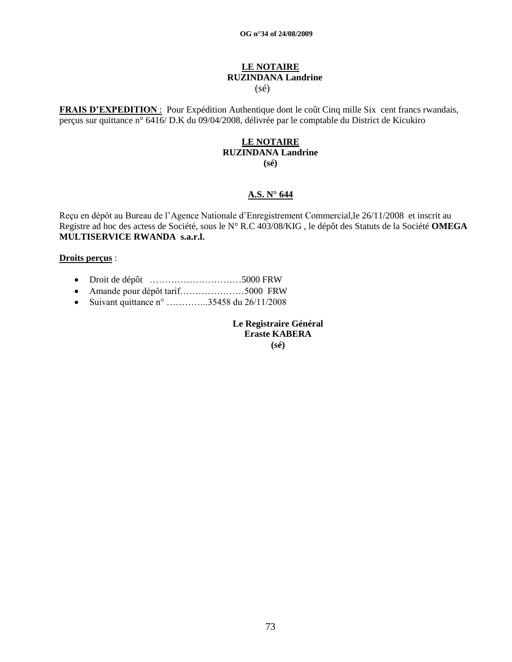## **LE NOTAIRE RUZINDANA Landrine** (sé)

**FRAIS D'EXPEDITION** : Pour Expédition Authentique dont le coût Cinq mille Six cent francs rwandais, perçus sur quittance n° 6416/ D.K du 09/04/2008, délivrée par le comptable du District de Kicukiro

# **LE NOTAIRE RUZINDANA Landrine**

**(sé)**

#### **A.S. N° 644**

Reçu en dépôt au Bureau de l"Agence Nationale d"Enregistrement Commercial,le 26/11/2008 et inscrit au Registre ad hoc des actess de Société, sous le N° R.C 403/08/KIG , le dépôt des Statuts de la Société **OMEGA MULTISERVICE RWANDA s.a.r.l.**

#### **Droits perçus** :

- Droit de dépôt …………………………5000 FRW
- Amande pour dépôt tarif…………………5000 FRW
- Suivant quittance  $n^{\circ}$  …………..35458 du 26/11/2008

**Le Registraire Général Eraste KABERA (sé)**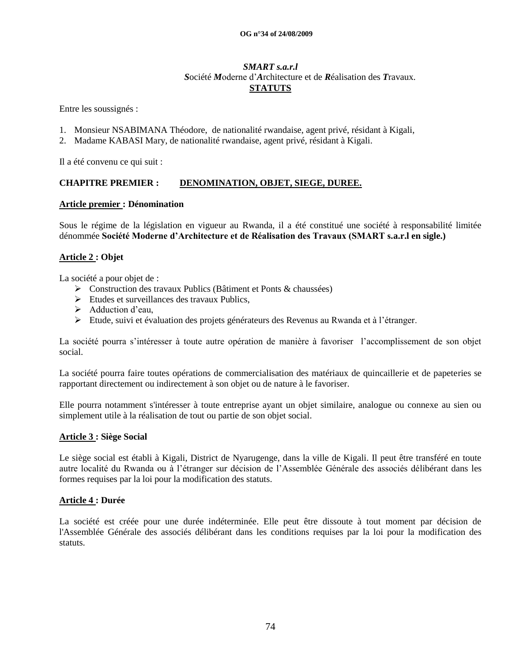#### *SMART s.a.r.l S*ociété *M*oderne d"*A*rchitecture et de *R*éalisation des *T*ravaux. **STATUTS**

Entre les soussignés :

- 1. Monsieur NSABIMANA Théodore, de nationalité rwandaise, agent privé, résidant à Kigali,
- 2. Madame KABASI Mary, de nationalité rwandaise, agent privé, résidant à Kigali.

Il a été convenu ce qui suit :

#### **CHAPITRE PREMIER : DENOMINATION, OBJET, SIEGE, DUREE.**

#### **Article premier : Dénomination**

Sous le régime de la législation en vigueur au Rwanda, il a été constitué une société à responsabilité limitée dénommée **Société Moderne d'Architecture et de Réalisation des Travaux (SMART s.a.r.l en sigle.)**

#### **Article 2 : Objet**

La société a pour objet de :

- Construction des travaux Publics (Bâtiment et Ponts & chaussées)
- Etudes et surveillances des travaux Publics,
- $\blacktriangleright$  Adduction d'eau,
- Etude, suivi et évaluation des projets générateurs des Revenus au Rwanda et à l"étranger.

La société pourra s"intéresser à toute autre opération de manière à favoriser l"accomplissement de son objet social.

La société pourra faire toutes opérations de commercialisation des matériaux de quincaillerie et de papeteries se rapportant directement ou indirectement à son objet ou de nature à le favoriser.

Elle pourra notamment s'intéresser à toute entreprise ayant un objet similaire, analogue ou connexe au sien ou simplement utile à la réalisation de tout ou partie de son objet social.

#### **Article 3 : Siège Social**

Le siège social est établi à Kigali, District de Nyarugenge, dans la ville de Kigali. Il peut être transféré en toute autre localité du Rwanda ou à l"étranger sur décision de l"Assemblée Générale des associés délibérant dans les formes requises par la loi pour la modification des statuts.

#### **Article 4 : Durée**

La société est créée pour une durée indéterminée. Elle peut être dissoute à tout moment par décision de l'Assemblée Générale des associés délibérant dans les conditions requises par la loi pour la modification des statuts.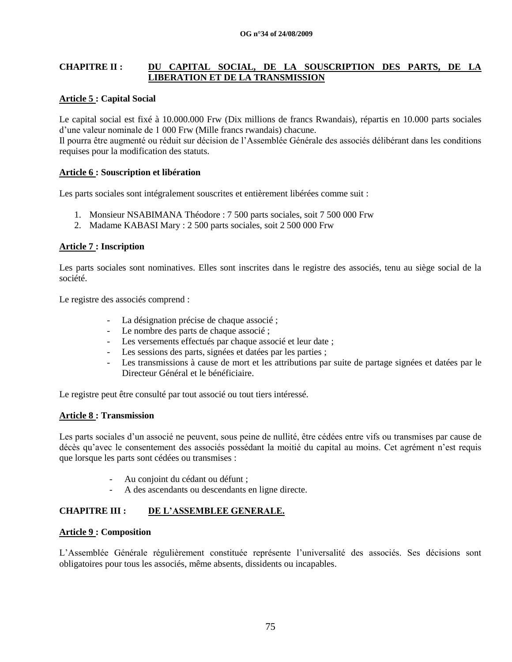## **CHAPITRE II : DU CAPITAL SOCIAL, DE LA SOUSCRIPTION DES PARTS, DE LA LIBERATION ET DE LA TRANSMISSION**

## **Article 5 : Capital Social**

Le capital social est fixé à 10.000.000 Frw (Dix millions de francs Rwandais), répartis en 10.000 parts sociales d"une valeur nominale de 1 000 Frw (Mille francs rwandais) chacune.

Il pourra être augmenté ou réduit sur décision de l"Assemblée Générale des associés délibérant dans les conditions requises pour la modification des statuts.

#### **Article 6 : Souscription et libération**

Les parts sociales sont intégralement souscrites et entièrement libérées comme suit :

- 1. Monsieur NSABIMANA Théodore : 7 500 parts sociales, soit 7 500 000 Frw
- 2. Madame KABASI Mary : 2 500 parts sociales, soit 2 500 000 Frw

#### **Article 7 : Inscription**

Les parts sociales sont nominatives. Elles sont inscrites dans le registre des associés, tenu au siège social de la société.

Le registre des associés comprend :

- La désignation précise de chaque associé ;
- Le nombre des parts de chaque associé ;
- Les versements effectués par chaque associé et leur date ;
- Les sessions des parts, signées et datées par les parties ;
- Les transmissions à cause de mort et les attributions par suite de partage signées et datées par le Directeur Général et le bénéficiaire.

Le registre peut être consulté par tout associé ou tout tiers intéressé.

#### **Article 8 : Transmission**

Les parts sociales d"un associé ne peuvent, sous peine de nullité, être cédées entre vifs ou transmises par cause de décès qu"avec le consentement des associés possédant la moitié du capital au moins. Cet agrément n"est requis que lorsque les parts sont cédées ou transmises :

- Au conjoint du cédant ou défunt ;
- A des ascendants ou descendants en ligne directe.

## **CHAPITRE III : DE L'ASSEMBLEE GENERALE.**

#### **Article 9 : Composition**

L"Assemblée Générale régulièrement constituée représente l"universalité des associés. Ses décisions sont obligatoires pour tous les associés, même absents, dissidents ou incapables.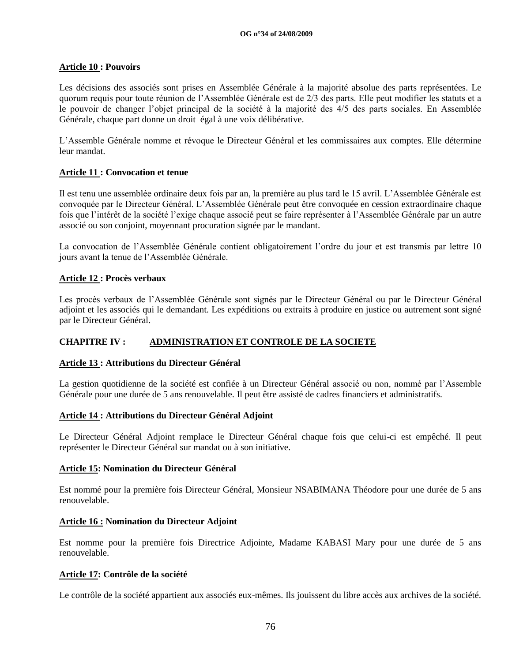## **Article 10 : Pouvoirs**

Les décisions des associés sont prises en Assemblée Générale à la majorité absolue des parts représentées. Le quorum requis pour toute réunion de l"Assemblée Générale est de 2/3 des parts. Elle peut modifier les statuts et a le pouvoir de changer l"objet principal de la société à la majorité des 4/5 des parts sociales. En Assemblée Générale, chaque part donne un droit égal à une voix délibérative.

L"Assemble Générale nomme et révoque le Directeur Général et les commissaires aux comptes. Elle détermine leur mandat.

## **Article 11 : Convocation et tenue**

Il est tenu une assemblée ordinaire deux fois par an, la première au plus tard le 15 avril. L"Assemblée Générale est convoquée par le Directeur Général. L"Assemblée Générale peut être convoquée en cession extraordinaire chaque fois que l"intérêt de la société l"exige chaque associé peut se faire représenter à l"Assemblée Générale par un autre associé ou son conjoint, moyennant procuration signée par le mandant.

La convocation de l"Assemblée Générale contient obligatoirement l"ordre du jour et est transmis par lettre 10 jours avant la tenue de l"Assemblée Générale.

## **Article 12 : Procès verbaux**

Les procès verbaux de l"Assemblée Générale sont signés par le Directeur Général ou par le Directeur Général adjoint et les associés qui le demandant. Les expéditions ou extraits à produire en justice ou autrement sont signé par le Directeur Général.

#### **CHAPITRE IV : ADMINISTRATION ET CONTROLE DE LA SOCIETE**

#### **Article 13 : Attributions du Directeur Général**

La gestion quotidienne de la société est confiée à un Directeur Général associé ou non, nommé par l"Assemble Générale pour une durée de 5 ans renouvelable. Il peut être assisté de cadres financiers et administratifs.

#### **Article 14 : Attributions du Directeur Général Adjoint**

Le Directeur Général Adjoint remplace le Directeur Général chaque fois que celui-ci est empêché. Il peut représenter le Directeur Général sur mandat ou à son initiative.

#### **Article 15: Nomination du Directeur Général**

Est nommé pour la première fois Directeur Général, Monsieur NSABIMANA Théodore pour une durée de 5 ans renouvelable.

#### **Article 16 : Nomination du Directeur Adjoint**

Est nomme pour la première fois Directrice Adjointe, Madame KABASI Mary pour une durée de 5 ans renouvelable.

#### **Article 17: Contrôle de la société**

Le contrôle de la société appartient aux associés eux-mêmes. Ils jouissent du libre accès aux archives de la société.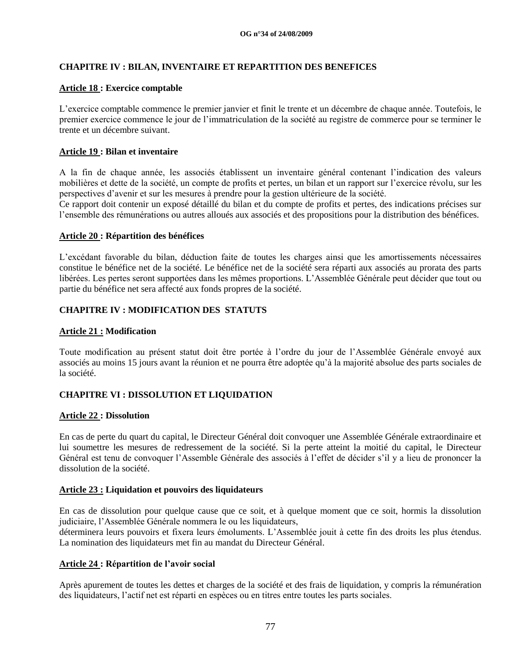## **CHAPITRE IV : BILAN, INVENTAIRE ET REPARTITION DES BENEFICES**

#### **Article 18 : Exercice comptable**

L"exercice comptable commence le premier janvier et finit le trente et un décembre de chaque année. Toutefois, le premier exercice commence le jour de l"immatriculation de la société au registre de commerce pour se terminer le trente et un décembre suivant.

## **Article 19 : Bilan et inventaire**

A la fin de chaque année, les associés établissent un inventaire général contenant l"indication des valeurs mobilières et dette de la société, un compte de profits et pertes, un bilan et un rapport sur l"exercice révolu, sur les perspectives d"avenir et sur les mesures à prendre pour la gestion ultérieure de la société.

Ce rapport doit contenir un exposé détaillé du bilan et du compte de profits et pertes, des indications précises sur l"ensemble des rémunérations ou autres alloués aux associés et des propositions pour la distribution des bénéfices.

#### **Article 20 : Répartition des bénéfices**

L"excédant favorable du bilan, déduction faite de toutes les charges ainsi que les amortissements nécessaires constitue le bénéfice net de la société. Le bénéfice net de la société sera réparti aux associés au prorata des parts libérées. Les pertes seront supportées dans les mêmes proportions. L"Assemblée Générale peut décider que tout ou partie du bénéfice net sera affecté aux fonds propres de la société.

## **CHAPITRE IV : MODIFICATION DES STATUTS**

#### **Article 21 : Modification**

Toute modification au présent statut doit être portée à l"ordre du jour de l"Assemblée Générale envoyé aux associés au moins 15 jours avant la réunion et ne pourra être adoptée qu"à la majorité absolue des parts sociales de la société.

#### **CHAPITRE VI : DISSOLUTION ET LIQUIDATION**

#### **Article 22 : Dissolution**

En cas de perte du quart du capital, le Directeur Général doit convoquer une Assemblée Générale extraordinaire et lui soumettre les mesures de redressement de la société. Si la perte atteint la moitié du capital, le Directeur Général est tenu de convoquer l"Assemble Générale des associés à l"effet de décider s"il y a lieu de prononcer la dissolution de la société.

#### **Article 23 : Liquidation et pouvoirs des liquidateurs**

En cas de dissolution pour quelque cause que ce soit, et à quelque moment que ce soit, hormis la dissolution judiciaire, l"Assemblée Générale nommera le ou les liquidateurs,

déterminera leurs pouvoirs et fixera leurs émoluments. L"Assemblée jouit à cette fin des droits les plus étendus. La nomination des liquidateurs met fin au mandat du Directeur Général.

#### **Article 24 : Répartition de l'avoir social**

Après apurement de toutes les dettes et charges de la société et des frais de liquidation, y compris la rémunération des liquidateurs, l"actif net est réparti en espèces ou en titres entre toutes les parts sociales.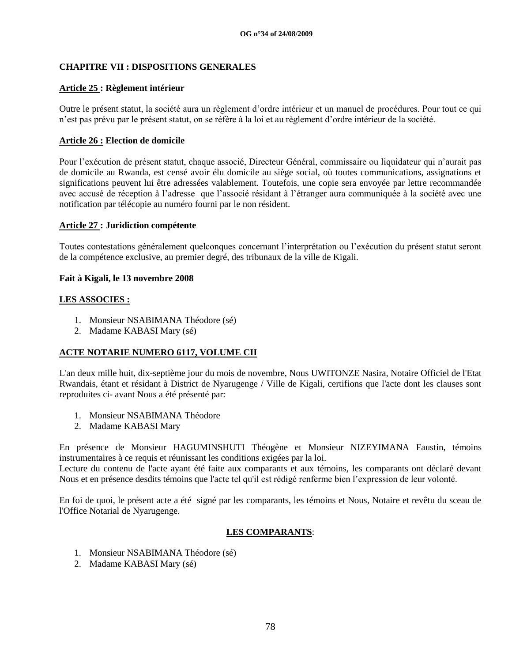## **CHAPITRE VII : DISPOSITIONS GENERALES**

## **Article 25 : Règlement intérieur**

Outre le présent statut, la société aura un règlement d"ordre intérieur et un manuel de procédures. Pour tout ce qui n"est pas prévu par le présent statut, on se réfère à la loi et au règlement d"ordre intérieur de la société.

## **Article 26 : Election de domicile**

Pour l"exécution de présent statut, chaque associé, Directeur Général, commissaire ou liquidateur qui n"aurait pas de domicile au Rwanda, est censé avoir élu domicile au siège social, où toutes communications, assignations et significations peuvent lui être adressées valablement. Toutefois, une copie sera envoyée par lettre recommandée avec accusé de réception à l"adresse que l"associé résidant à l"étranger aura communiquée à la société avec une notification par télécopie au numéro fourni par le non résident.

#### **Article 27 : Juridiction compétente**

Toutes contestations généralement quelconques concernant l"interprétation ou l"exécution du présent statut seront de la compétence exclusive, au premier degré, des tribunaux de la ville de Kigali.

#### **Fait à Kigali, le 13 novembre 2008**

#### **LES ASSOCIES :**

- 1. Monsieur NSABIMANA Théodore (sé)
- 2. Madame KABASI Mary (sé)

#### **ACTE NOTARIE NUMERO 6117, VOLUME CII**

L'an deux mille huit, dix-septième jour du mois de novembre, Nous UWITONZE Nasira, Notaire Officiel de l'Etat Rwandais, étant et résidant à District de Nyarugenge / Ville de Kigali, certifions que l'acte dont les clauses sont reproduites ci- avant Nous a été présenté par:

- 1. Monsieur NSABIMANA Théodore
- 2. Madame KABASI Mary

En présence de Monsieur HAGUMINSHUTI Théogène et Monsieur NIZEYIMANA Faustin, témoins instrumentaires à ce requis et réunissant les conditions exigées par la loi.

Lecture du contenu de l'acte ayant été faite aux comparants et aux témoins, les comparants ont déclaré devant Nous et en présence desdits témoins que l'acte tel qu'il est rédigé renferme bien l"expression de leur volonté.

En foi de quoi, le présent acte a été signé par les comparants, les témoins et Nous, Notaire et revêtu du sceau de l'Office Notarial de Nyarugenge.

## **LES COMPARANTS**:

- 1. Monsieur NSABIMANA Théodore (sé)
- 2. Madame KABASI Mary (sé)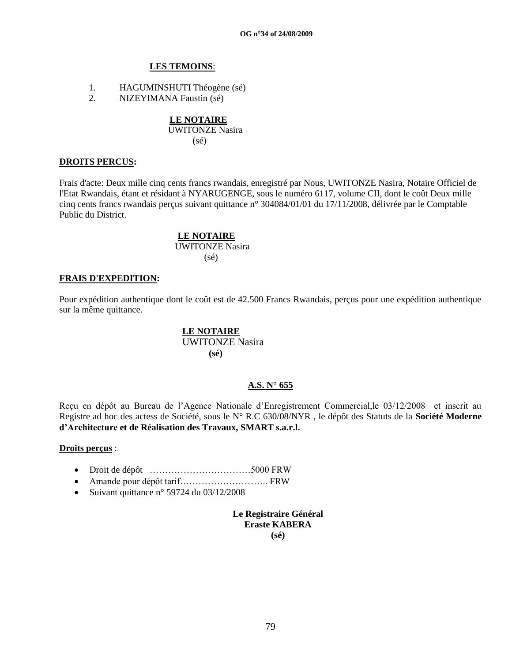#### **LES TEMOINS**:

- 1. HAGUMINSHUTI Théogène (sé)
- 2. NIZEYIMANA Faustin (sé)

# **LE NOTAIRE**

 UWITONZE Nasira (sé)

#### **DROITS PERCUS:**

Frais d'acte: Deux mille cinq cents francs rwandais, enregistré par Nous, UWITONZE Nasira, Notaire Officiel de l'Etat Rwandais, étant et résidant à NYARUGENGE, sous le numéro 6117, volume CII, dont le coût Deux mille cinq cents francs rwandais perçus suivant quittance n° 304084/01/01 du 17/11/2008, délivrée par le Comptable Public du District.

## **LE NOTAIRE**

 UWITONZE Nasira (sé)

#### **FRAIS D'EXPEDITION:**

Pour expédition authentique dont le coût est de 42.500 Francs Rwandais, perçus pour une expédition authentique sur la même quittance.

#### **LE NOTAIRE** UWITONZE Nasira

 **(sé)**

#### **A.S. N° 655**

Reçu en dépôt au Bureau de l"Agence Nationale d"Enregistrement Commercial,le 03/12/2008 et inscrit au Registre ad hoc des actess de Société, sous le N° R.C 630/08/NYR , le dépôt des Statuts de la **Société Moderne d'Architecture et de Réalisation des Travaux, SMART s.a.r.l.**

#### **Droits perçus** :

- Droit de dépôt ……………………………5000 FRW
- Amande pour dépôt tarif……………………….. FRW
- Suivant quittance n° 59724 du  $03/12/2008$

**Le Registraire Général Eraste KABERA (sé)**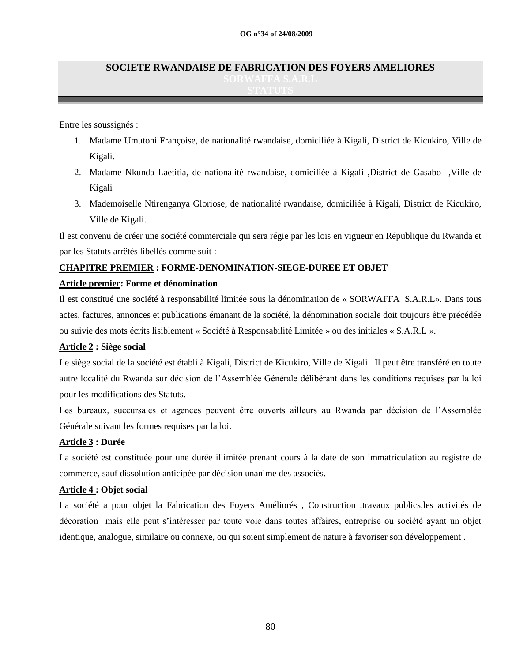# **SOCIETE RWANDAISE DE FABRICATION DES FOYERS AMELIORES**

Entre les soussignés :

- 1. Madame Umutoni Françoise, de nationalité rwandaise, domiciliée à Kigali, District de Kicukiro, Ville de Kigali.
- 2. Madame Nkunda Laetitia, de nationalité rwandaise, domiciliée à Kigali ,District de Gasabo ,Ville de Kigali
- 3. Mademoiselle Ntirenganya Gloriose, de nationalité rwandaise, domiciliée à Kigali, District de Kicukiro, Ville de Kigali.

Il est convenu de créer une société commerciale qui sera régie par les lois en vigueur en République du Rwanda et par les Statuts arrêtés libellés comme suit :

## **CHAPITRE PREMIER : FORME-DENOMINATION-SIEGE-DUREE ET OBJET**

#### **Article premier: Forme et dénomination**

Il est constitué une société à responsabilité limitée sous la dénomination de « SORWAFFA S.A.R.L». Dans tous actes, factures, annonces et publications émanant de la société, la dénomination sociale doit toujours être précédée ou suivie des mots écrits lisiblement « Société à Responsabilité Limitée » ou des initiales « S.A.R.L ».

#### **Article 2 : Siège social**

Le siège social de la société est établi à Kigali, District de Kicukiro, Ville de Kigali. Il peut être transféré en toute autre localité du Rwanda sur décision de l"Assemblée Générale délibérant dans les conditions requises par la loi pour les modifications des Statuts.

Les bureaux, succursales et agences peuvent être ouverts ailleurs au Rwanda par décision de l"Assemblée Générale suivant les formes requises par la loi.

## **Article 3 : Durée**

La société est constituée pour une durée illimitée prenant cours à la date de son immatriculation au registre de commerce, sauf dissolution anticipée par décision unanime des associés.

#### **Article 4 : Objet social**

La société a pour objet la Fabrication des Foyers Améliorés , Construction ,travaux publics,les activités de décoration mais elle peut s"intéresser par toute voie dans toutes affaires, entreprise ou société ayant un objet identique, analogue, similaire ou connexe, ou qui soient simplement de nature à favoriser son développement .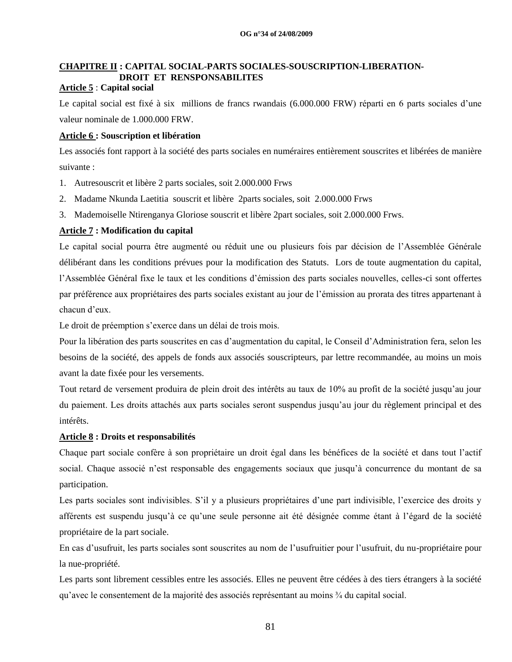# **CHAPITRE II : CAPITAL SOCIAL-PARTS SOCIALES-SOUSCRIPTION-LIBERATION- DROIT ET RENSPONSABILITES**

## **Article 5** : **Capital social**

Le capital social est fixé à six millions de francs rwandais (6.000.000 FRW) réparti en 6 parts sociales d"une valeur nominale de 1.000.000 FRW.

#### **Article 6 : Souscription et libération**

Les associés font rapport à la société des parts sociales en numéraires entièrement souscrites et libérées de manière suivante :

- 1. Autresouscrit et libère 2 parts sociales, soit 2.000.000 Frws
- 2. Madame Nkunda Laetitia souscrit et libère 2parts sociales, soit 2.000.000 Frws
- 3. Mademoiselle Ntirenganya Gloriose souscrit et libère 2part sociales, soit 2.000.000 Frws.

## **Article 7 : Modification du capital**

Le capital social pourra être augmenté ou réduit une ou plusieurs fois par décision de l"Assemblée Générale délibérant dans les conditions prévues pour la modification des Statuts. Lors de toute augmentation du capital, l"Assemblée Général fixe le taux et les conditions d"émission des parts sociales nouvelles, celles-ci sont offertes par préférence aux propriétaires des parts sociales existant au jour de l"émission au prorata des titres appartenant à chacun d"eux.

Le droit de préemption s'exerce dans un délai de trois mois.

Pour la libération des parts souscrites en cas d"augmentation du capital, le Conseil d"Administration fera, selon les besoins de la société, des appels de fonds aux associés souscripteurs, par lettre recommandée, au moins un mois avant la date fixée pour les versements.

Tout retard de versement produira de plein droit des intérêts au taux de 10% au profit de la société jusqu"au jour du paiement. Les droits attachés aux parts sociales seront suspendus jusqu"au jour du règlement principal et des intérêts.

#### **Article 8 : Droits et responsabilités**

Chaque part sociale confère à son propriétaire un droit égal dans les bénéfices de la société et dans tout l"actif social. Chaque associé n'est responsable des engagements sociaux que jusqu'à concurrence du montant de sa participation.

Les parts sociales sont indivisibles. S'il y a plusieurs propriétaires d'une part indivisible, l'exercice des droits y afférents est suspendu jusqu"à ce qu"une seule personne ait été désignée comme étant à l"égard de la société propriétaire de la part sociale.

En cas d"usufruit, les parts sociales sont souscrites au nom de l"usufruitier pour l"usufruit, du nu-propriétaire pour la nue-propriété.

Les parts sont librement cessibles entre les associés. Elles ne peuvent être cédées à des tiers étrangers à la société qu"avec le consentement de la majorité des associés représentant au moins ¾ du capital social.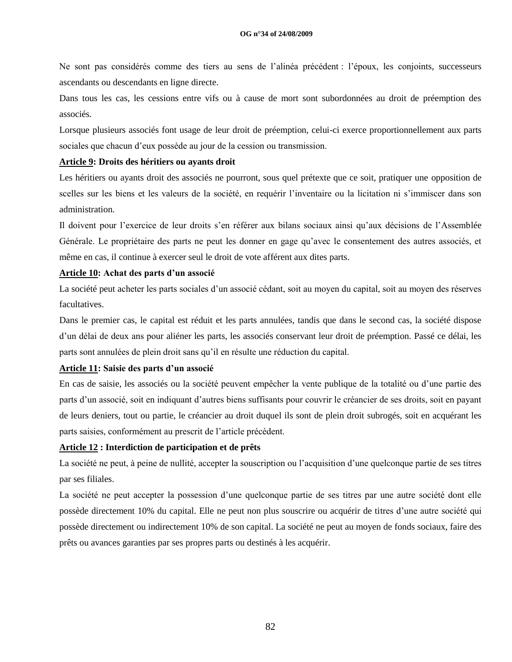Ne sont pas considérés comme des tiers au sens de l"alinéa précédent : l"époux, les conjoints, successeurs ascendants ou descendants en ligne directe.

Dans tous les cas, les cessions entre vifs ou à cause de mort sont subordonnées au droit de préemption des associés.

Lorsque plusieurs associés font usage de leur droit de préemption, celui-ci exerce proportionnellement aux parts sociales que chacun d"eux possède au jour de la cession ou transmission.

#### **Article 9: Droits des héritiers ou ayants droit**

Les héritiers ou ayants droit des associés ne pourront, sous quel prétexte que ce soit, pratiquer une opposition de scelles sur les biens et les valeurs de la société, en requérir l"inventaire ou la licitation ni s"immiscer dans son administration.

Il doivent pour l"exercice de leur droits s"en référer aux bilans sociaux ainsi qu"aux décisions de l"Assemblée Générale. Le propriétaire des parts ne peut les donner en gage qu"avec le consentement des autres associés, et même en cas, il continue à exercer seul le droit de vote afférent aux dites parts.

#### **Article 10: Achat des parts d'un associé**

La société peut acheter les parts sociales d'un associé cédant, soit au moyen du capital, soit au moyen des réserves facultatives.

Dans le premier cas, le capital est réduit et les parts annulées, tandis que dans le second cas, la société dispose d"un délai de deux ans pour aliéner les parts, les associés conservant leur droit de préemption. Passé ce délai, les parts sont annulées de plein droit sans qu"il en résulte une réduction du capital.

#### **Article 11: Saisie des parts d'un associé**

En cas de saisie, les associés ou la société peuvent empêcher la vente publique de la totalité ou d"une partie des parts d"un associé, soit en indiquant d"autres biens suffisants pour couvrir le créancier de ses droits, soit en payant de leurs deniers, tout ou partie, le créancier au droit duquel ils sont de plein droit subrogés, soit en acquérant les parts saisies, conformément au prescrit de l"article précédent.

#### **Article 12 : Interdiction de participation et de prêts**

La société ne peut, à peine de nullité, accepter la souscription ou l"acquisition d"une quelconque partie de ses titres par ses filiales.

La société ne peut accepter la possession d"une quelconque partie de ses titres par une autre société dont elle possède directement 10% du capital. Elle ne peut non plus souscrire ou acquérir de titres d"une autre société qui possède directement ou indirectement 10% de son capital. La société ne peut au moyen de fonds sociaux, faire des prêts ou avances garanties par ses propres parts ou destinés à les acquérir.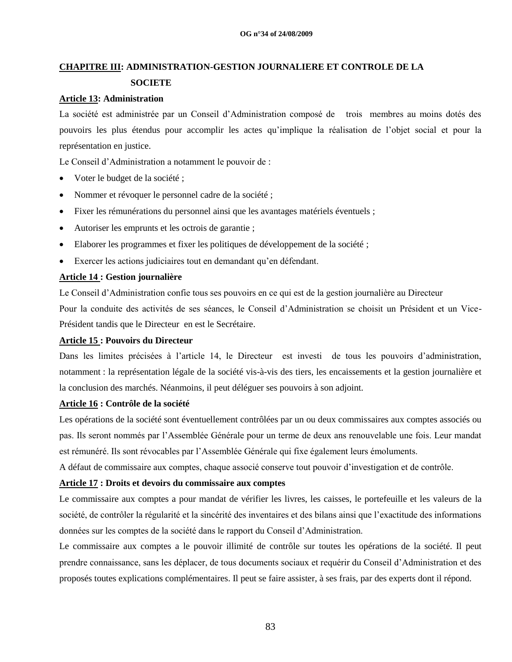# **CHAPITRE III: ADMINISTRATION-GESTION JOURNALIERE ET CONTROLE DE LA SOCIETE**

#### **Article 13: Administration**

La société est administrée par un Conseil d"Administration composé de trois membres au moins dotés des pouvoirs les plus étendus pour accomplir les actes qu"implique la réalisation de l"objet social et pour la représentation en justice.

Le Conseil d"Administration a notamment le pouvoir de :

- Voter le budget de la société ;
- Nommer et révoquer le personnel cadre de la société ;
- Fixer les rémunérations du personnel ainsi que les avantages matériels éventuels ;
- Autoriser les emprunts et les octrois de garantie ;
- Elaborer les programmes et fixer les politiques de développement de la société ;
- Exercer les actions judiciaires tout en demandant qu"en défendant.

#### **Article 14 : Gestion journalière**

Le Conseil d"Administration confie tous ses pouvoirs en ce qui est de la gestion journalière au Directeur Pour la conduite des activités de ses séances, le Conseil d"Administration se choisit un Président et un Vice-Président tandis que le Directeur en est le Secrétaire.

#### **Article 15 : Pouvoirs du Directeur**

Dans les limites précisées à l'article 14, le Directeur est investi de tous les pouvoirs d'administration, notamment : la représentation légale de la société vis-à-vis des tiers, les encaissements et la gestion journalière et la conclusion des marchés. Néanmoins, il peut déléguer ses pouvoirs à son adjoint.

#### **Article 16 : Contrôle de la société**

Les opérations de la société sont éventuellement contrôlées par un ou deux commissaires aux comptes associés ou pas. Ils seront nommés par l"Assemblée Générale pour un terme de deux ans renouvelable une fois. Leur mandat est rémunéré. Ils sont révocables par l"Assemblée Générale qui fixe également leurs émoluments.

A défaut de commissaire aux comptes, chaque associé conserve tout pouvoir d"investigation et de contrôle.

#### **Article 17 : Droits et devoirs du commissaire aux comptes**

Le commissaire aux comptes a pour mandat de vérifier les livres, les caisses, le portefeuille et les valeurs de la société, de contrôler la régularité et la sincérité des inventaires et des bilans ainsi que l"exactitude des informations données sur les comptes de la société dans le rapport du Conseil d"Administration.

Le commissaire aux comptes a le pouvoir illimité de contrôle sur toutes les opérations de la société. Il peut prendre connaissance, sans les déplacer, de tous documents sociaux et requérir du Conseil d"Administration et des proposés toutes explications complémentaires. Il peut se faire assister, à ses frais, par des experts dont il répond.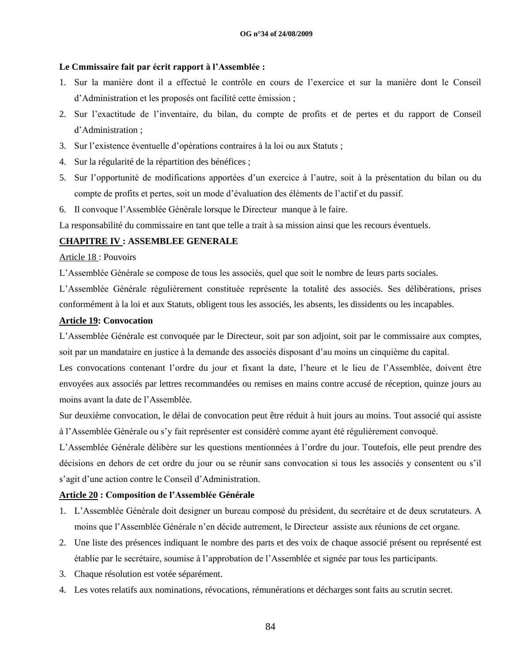#### **Le Cmmissaire fait par écrit rapport à l'Assemblée :**

- 1. Sur la manière dont il a effectué le contrôle en cours de l"exercice et sur la manière dont le Conseil d"Administration et les proposés ont facilité cette émission ;
- 2. Sur l"exactitude de l"inventaire, du bilan, du compte de profits et de pertes et du rapport de Conseil d"Administration ;
- 3. Sur l"existence éventuelle d"opérations contraires à la loi ou aux Statuts ;
- 4. Sur la régularité de la répartition des bénéfices ;
- 5. Sur l"opportunité de modifications apportées d"un exercice à l"autre, soit à la présentation du bilan ou du compte de profits et pertes, soit un mode d"évaluation des éléments de l"actif et du passif.
- 6. Il convoque l"Assemblée Générale lorsque le Directeur manque à le faire.

La responsabilité du commissaire en tant que telle a trait à sa mission ainsi que les recours éventuels.

#### **CHAPITRE IV : ASSEMBLEE GENERALE**

#### Article 18 : Pouvoirs

L"Assemblée Générale se compose de tous les associés, quel que soit le nombre de leurs parts sociales.

L"Assemblée Générale régulièrement constituée représente la totalité des associés. Ses délibérations, prises conformément à la loi et aux Statuts, obligent tous les associés, les absents, les dissidents ou les incapables.

#### **Article 19: Convocation**

L"Assemblée Générale est convoquée par le Directeur, soit par son adjoint, soit par le commissaire aux comptes, soit par un mandataire en justice à la demande des associés disposant d"au moins un cinquième du capital.

Les convocations contenant l"ordre du jour et fixant la date, l"heure et le lieu de l"Assemblée, doivent être envoyées aux associés par lettres recommandées ou remises en mains contre accusé de réception, quinze jours au moins avant la date de l"Assemblée.

Sur deuxième convocation, le délai de convocation peut être réduit à huit jours au moins. Tout associé qui assiste à l"Assemblée Générale ou s"y fait représenter est considéré comme ayant été régulièrement convoqué.

L"Assemblée Générale délibère sur les questions mentionnées à l"ordre du jour. Toutefois, elle peut prendre des décisions en dehors de cet ordre du jour ou se réunir sans convocation si tous les associés y consentent ou s"il s"agit d"une action contre le Conseil d"Administration.

#### **Article 20 : Composition de l'Assemblée Générale**

- 1. L"Assemblée Générale doit designer un bureau composé du président, du secrétaire et de deux scrutateurs. A moins que l"Assemblée Générale n"en décide autrement, le Directeur assiste aux réunions de cet organe.
- 2. Une liste des présences indiquant le nombre des parts et des voix de chaque associé présent ou représenté est établie par le secrétaire, soumise à l"approbation de l"Assemblée et signée par tous les participants.
- 3. Chaque résolution est votée séparément.
- 4. Les votes relatifs aux nominations, révocations, rémunérations et décharges sont faits au scrutin secret.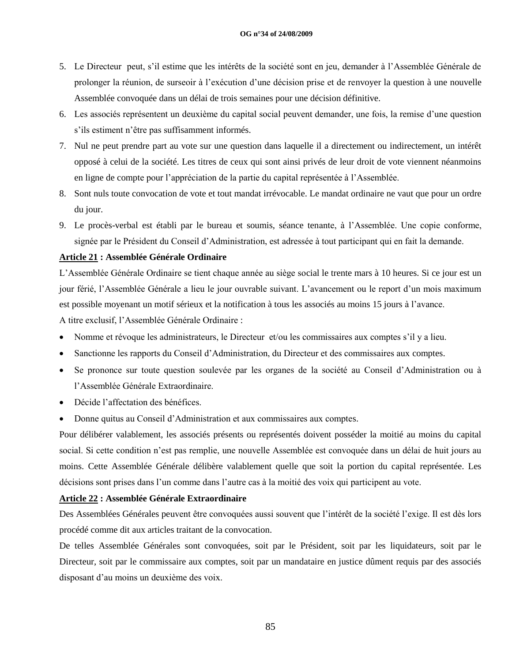#### **OG n°34 of 24/08/2009**

- 5. Le Directeur peut, s"il estime que les intérêts de la société sont en jeu, demander à l"Assemblée Générale de prolonger la réunion, de surseoir à l"exécution d"une décision prise et de renvoyer la question à une nouvelle Assemblée convoquée dans un délai de trois semaines pour une décision définitive.
- 6. Les associés représentent un deuxième du capital social peuvent demander, une fois, la remise d"une question s"ils estiment n"être pas suffisamment informés.
- 7. Nul ne peut prendre part au vote sur une question dans laquelle il a directement ou indirectement, un intérêt opposé à celui de la société. Les titres de ceux qui sont ainsi privés de leur droit de vote viennent néanmoins en ligne de compte pour l"appréciation de la partie du capital représentée à l"Assemblée.
- 8. Sont nuls toute convocation de vote et tout mandat irrévocable. Le mandat ordinaire ne vaut que pour un ordre du jour.
- 9. Le procès-verbal est établi par le bureau et soumis, séance tenante, à l"Assemblée. Une copie conforme, signée par le Président du Conseil d"Administration, est adressée à tout participant qui en fait la demande.

#### **Article 21 : Assemblée Générale Ordinaire**

L"Assemblée Générale Ordinaire se tient chaque année au siège social le trente mars à 10 heures. Si ce jour est un jour férié, l"Assemblée Générale a lieu le jour ouvrable suivant. L"avancement ou le report d"un mois maximum est possible moyenant un motif sérieux et la notification à tous les associés au moins 15 jours à l"avance. A titre exclusif, l"Assemblée Générale Ordinaire :

- Nomme et révoque les administrateurs, le Directeur et/ou les commissaires aux comptes s"il y a lieu.
- Sanctionne les rapports du Conseil d"Administration, du Directeur et des commissaires aux comptes.
- Se prononce sur toute question soulevée par les organes de la société au Conseil d"Administration ou à l"Assemblée Générale Extraordinaire.
- Décide l"affectation des bénéfices.
- Donne quitus au Conseil d"Administration et aux commissaires aux comptes.

Pour délibérer valablement, les associés présents ou représentés doivent posséder la moitié au moins du capital social. Si cette condition n'est pas remplie, une nouvelle Assemblée est convoquée dans un délai de huit jours au moins. Cette Assemblée Générale délibère valablement quelle que soit la portion du capital représentée. Les décisions sont prises dans l"un comme dans l"autre cas à la moitié des voix qui participent au vote.

#### **Article 22 : Assemblée Générale Extraordinaire**

Des Assemblées Générales peuvent être convoquées aussi souvent que l"intérêt de la société l"exige. Il est dès lors procédé comme dit aux articles traitant de la convocation.

De telles Assemblée Générales sont convoquées, soit par le Président, soit par les liquidateurs, soit par le Directeur, soit par le commissaire aux comptes, soit par un mandataire en justice dûment requis par des associés disposant d"au moins un deuxième des voix.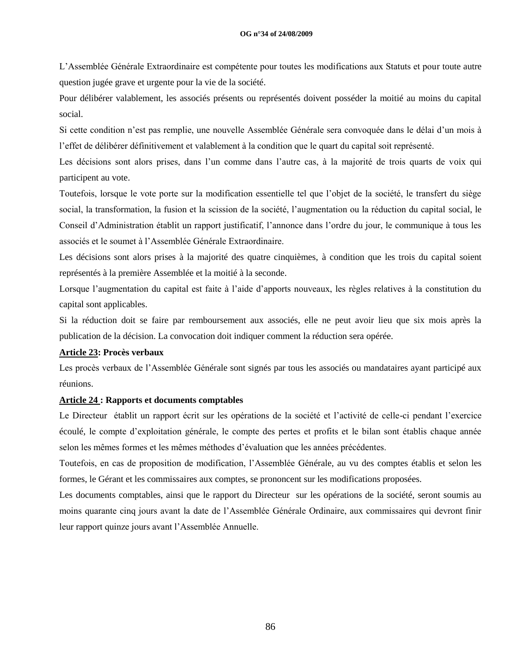L"Assemblée Générale Extraordinaire est compétente pour toutes les modifications aux Statuts et pour toute autre question jugée grave et urgente pour la vie de la société.

Pour délibérer valablement, les associés présents ou représentés doivent posséder la moitié au moins du capital social.

Si cette condition n"est pas remplie, une nouvelle Assemblée Générale sera convoquée dans le délai d"un mois à l"effet de délibérer définitivement et valablement à la condition que le quart du capital soit représenté.

Les décisions sont alors prises, dans l"un comme dans l"autre cas, à la majorité de trois quarts de voix qui participent au vote.

Toutefois, lorsque le vote porte sur la modification essentielle tel que l"objet de la société, le transfert du siège social, la transformation, la fusion et la scission de la société, l"augmentation ou la réduction du capital social, le Conseil d"Administration établit un rapport justificatif, l"annonce dans l"ordre du jour, le communique à tous les associés et le soumet à l"Assemblée Générale Extraordinaire.

Les décisions sont alors prises à la majorité des quatre cinquièmes, à condition que les trois du capital soient représentés à la première Assemblée et la moitié à la seconde.

Lorsque l"augmentation du capital est faite à l"aide d"apports nouveaux, les règles relatives à la constitution du capital sont applicables.

Si la réduction doit se faire par remboursement aux associés, elle ne peut avoir lieu que six mois après la publication de la décision. La convocation doit indiquer comment la réduction sera opérée.

#### **Article 23: Procès verbaux**

Les procès verbaux de l"Assemblée Générale sont signés par tous les associés ou mandataires ayant participé aux réunions.

#### **Article 24 : Rapports et documents comptables**

Le Directeur établit un rapport écrit sur les opérations de la société et l"activité de celle-ci pendant l"exercice écoulé, le compte d"exploitation générale, le compte des pertes et profits et le bilan sont établis chaque année selon les mêmes formes et les mêmes méthodes d"évaluation que les années précédentes.

Toutefois, en cas de proposition de modification, l"Assemblée Générale, au vu des comptes établis et selon les formes, le Gérant et les commissaires aux comptes, se prononcent sur les modifications proposées.

Les documents comptables, ainsi que le rapport du Directeur sur les opérations de la société, seront soumis au moins quarante cinq jours avant la date de l"Assemblée Générale Ordinaire, aux commissaires qui devront finir leur rapport quinze jours avant l"Assemblée Annuelle.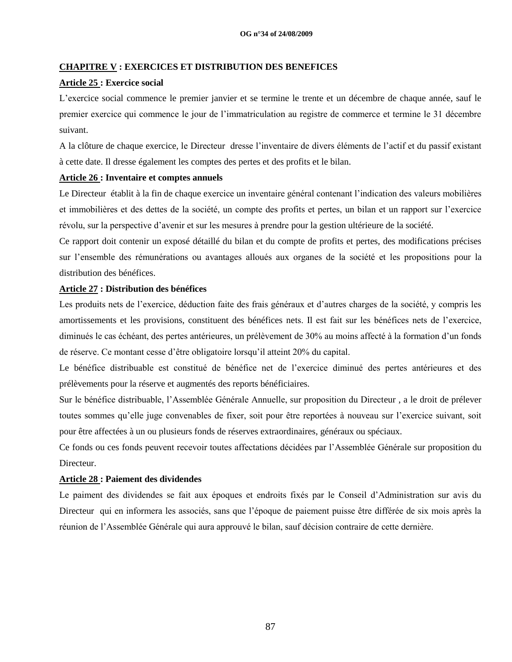## **CHAPITRE V : EXERCICES ET DISTRIBUTION DES BENEFICES**

## **Article 25 : Exercice social**

L"exercice social commence le premier janvier et se termine le trente et un décembre de chaque année, sauf le premier exercice qui commence le jour de l"immatriculation au registre de commerce et termine le 31 décembre suivant.

A la clôture de chaque exercice, le Directeur dresse l"inventaire de divers éléments de l"actif et du passif existant à cette date. Il dresse également les comptes des pertes et des profits et le bilan.

## **Article 26 : Inventaire et comptes annuels**

Le Directeur établit à la fin de chaque exercice un inventaire général contenant l"indication des valeurs mobilières et immobilières et des dettes de la société, un compte des profits et pertes, un bilan et un rapport sur l"exercice révolu, sur la perspective d"avenir et sur les mesures à prendre pour la gestion ultérieure de la société.

Ce rapport doit contenir un exposé détaillé du bilan et du compte de profits et pertes, des modifications précises sur l"ensemble des rémunérations ou avantages alloués aux organes de la société et les propositions pour la distribution des bénéfices.

## **Article 27 : Distribution des bénéfices**

Les produits nets de l'exercice, déduction faite des frais généraux et d'autres charges de la société, y compris les amortissements et les provisions, constituent des bénéfices nets. Il est fait sur les bénéfices nets de l"exercice, diminués le cas échéant, des pertes antérieures, un prélèvement de 30% au moins affecté à la formation d"un fonds de réserve. Ce montant cesse d"être obligatoire lorsqu"il atteint 20% du capital.

Le bénéfice distribuable est constitué de bénéfice net de l"exercice diminué des pertes antérieures et des prélèvements pour la réserve et augmentés des reports bénéficiaires.

Sur le bénéfice distribuable, l"Assemblée Générale Annuelle, sur proposition du Directeur , a le droit de prélever toutes sommes qu"elle juge convenables de fixer, soit pour être reportées à nouveau sur l"exercice suivant, soit pour être affectées à un ou plusieurs fonds de réserves extraordinaires, généraux ou spéciaux.

Ce fonds ou ces fonds peuvent recevoir toutes affectations décidées par l"Assemblée Générale sur proposition du Directeur.

## **Article 28 : Paiement des dividendes**

Le paiment des dividendes se fait aux époques et endroits fixés par le Conseil d"Administration sur avis du Directeur qui en informera les associés, sans que l"époque de paiement puisse être différée de six mois après la réunion de l"Assemblée Générale qui aura approuvé le bilan, sauf décision contraire de cette dernière.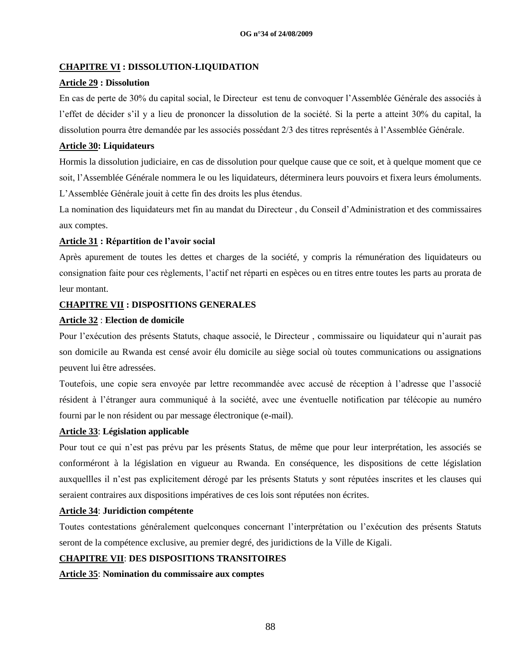## **CHAPITRE VI : DISSOLUTION-LIQUIDATION**

#### **Article 29 : Dissolution**

En cas de perte de 30% du capital social, le Directeur est tenu de convoquer l"Assemblée Générale des associés à l"effet de décider s"il y a lieu de prononcer la dissolution de la société. Si la perte a atteint 30% du capital, la dissolution pourra être demandée par les associés possédant 2/3 des titres représentés à l"Assemblée Générale.

#### **Article 30: Liquidateurs**

Hormis la dissolution judiciaire, en cas de dissolution pour quelque cause que ce soit, et à quelque moment que ce soit, l"Assemblée Générale nommera le ou les liquidateurs, déterminera leurs pouvoirs et fixera leurs émoluments. L"Assemblée Générale jouit à cette fin des droits les plus étendus.

La nomination des liquidateurs met fin au mandat du Directeur , du Conseil d"Administration et des commissaires aux comptes.

#### **Article 31 : Répartition de l'avoir social**

Après apurement de toutes les dettes et charges de la société, y compris la rémunération des liquidateurs ou consignation faite pour ces règlements, l"actif net réparti en espèces ou en titres entre toutes les parts au prorata de leur montant.

#### **CHAPITRE VII : DISPOSITIONS GENERALES**

#### **Article 32** : **Election de domicile**

Pour l"exécution des présents Statuts, chaque associé, le Directeur , commissaire ou liquidateur qui n"aurait pas son domicile au Rwanda est censé avoir élu domicile au siège social où toutes communications ou assignations peuvent lui être adressées.

Toutefois, une copie sera envoyée par lettre recommandée avec accusé de réception à l"adresse que l"associé résident à l"étranger aura communiqué à la société, avec une éventuelle notification par télécopie au numéro fourni par le non résident ou par message électronique (e-mail).

#### **Article 33**: **Législation applicable**

Pour tout ce qui n"est pas prévu par les présents Status, de même que pour leur interprétation, les associés se conforméront à la législation en vigueur au Rwanda. En conséquence, les dispositions de cette législation auxquellles il n"est pas explicitement dérogé par les présents Statuts y sont réputées inscrites et les clauses qui seraient contraires aux dispositions impératives de ces lois sont réputées non écrites.

#### **Article 34**: **Juridiction compétente**

Toutes contestations généralement quelconques concernant l"interprétation ou l"exécution des présents Statuts seront de la compétence exclusive, au premier degré, des juridictions de la Ville de Kigali.

#### **CHAPITRE VII**: **DES DISPOSITIONS TRANSITOIRES**

**Article 35**: **Nomination du commissaire aux comptes**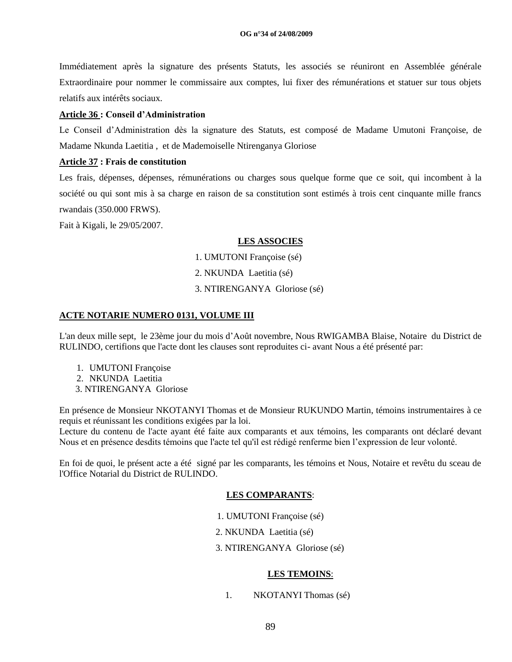Immédiatement après la signature des présents Statuts, les associés se réuniront en Assemblée générale Extraordinaire pour nommer le commissaire aux comptes, lui fixer des rémunérations et statuer sur tous objets relatifs aux intérêts sociaux.

#### **Article 36 : Conseil d'Administration**

Le Conseil d"Administration dès la signature des Statuts, est composé de Madame Umutoni Françoise, de Madame Nkunda Laetitia , et de Mademoiselle Ntirenganya Gloriose

#### **Article 37 : Frais de constitution**

Les frais, dépenses, dépenses, rémunérations ou charges sous quelque forme que ce soit, qui incombent à la société ou qui sont mis à sa charge en raison de sa constitution sont estimés à trois cent cinquante mille francs rwandais (350.000 FRWS).

Fait à Kigali, le 29/05/2007.

#### **LES ASSOCIES**

1. UMUTONI Françoise (sé)

- 2. NKUNDA Laetitia (sé)
- 3. NTIRENGANYA Gloriose (sé)

#### **ACTE NOTARIE NUMERO 0131, VOLUME III**

L'an deux mille sept, le 23ème jour du mois d"Août novembre, Nous RWIGAMBA Blaise, Notaire du District de RULINDO, certifions que l'acte dont les clauses sont reproduites ci- avant Nous a été présenté par:

- 1. UMUTONI Françoise
- 2. NKUNDA Laetitia
- 3. NTIRENGANYA Gloriose

En présence de Monsieur NKOTANYI Thomas et de Monsieur RUKUNDO Martin, témoins instrumentaires à ce requis et réunissant les conditions exigées par la loi.

Lecture du contenu de l'acte ayant été faite aux comparants et aux témoins, les comparants ont déclaré devant Nous et en présence desdits témoins que l'acte tel qu'il est rédigé renferme bien l"expression de leur volonté.

En foi de quoi, le présent acte a été signé par les comparants, les témoins et Nous, Notaire et revêtu du sceau de l'Office Notarial du District de RULINDO.

#### **LES COMPARANTS**:

- 1. UMUTONI Françoise (sé)
- 2. NKUNDA Laetitia (sé)
- 3. NTIRENGANYA Gloriose (sé)

#### **LES TEMOINS**:

1. NKOTANYI Thomas (sé)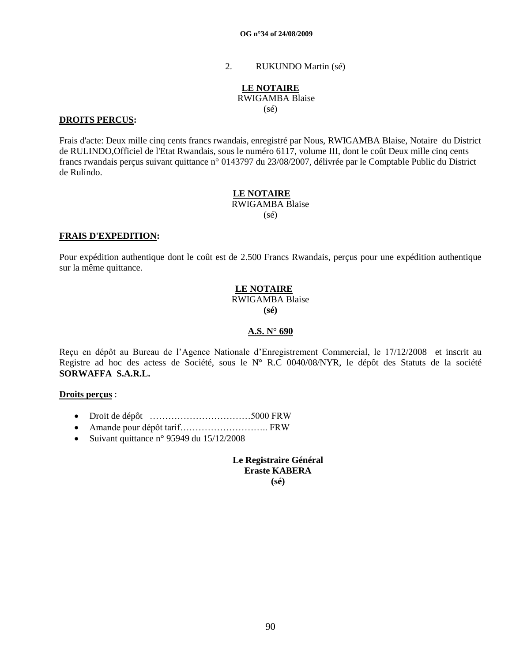2. RUKUNDO Martin (sé)

#### **LE NOTAIRE** RWIGAMBA Blaise (sé)

#### **DROITS PERCUS:**

Frais d'acte: Deux mille cinq cents francs rwandais, enregistré par Nous, RWIGAMBA Blaise, Notaire du District de RULINDO,Officiel de l'Etat Rwandais, sous le numéro 6117, volume III, dont le coût Deux mille cinq cents francs rwandais perçus suivant quittance n° 0143797 du 23/08/2007, délivrée par le Comptable Public du District de Rulindo.

## **LE NOTAIRE** RWIGAMBA Blaise

 $(sé)$ 

#### **FRAIS D'EXPEDITION:**

Pour expédition authentique dont le coût est de 2.500 Francs Rwandais, perçus pour une expédition authentique sur la même quittance.

#### **LE NOTAIRE** RWIGAMBA Blaise

**(sé)**

#### **A.S. N° 690**

Reçu en dépôt au Bureau de l"Agence Nationale d"Enregistrement Commercial, le 17/12/2008 et inscrit au Registre ad hoc des actess de Société, sous le N° R.C 0040/08/NYR, le dépôt des Statuts de la société **SORWAFFA S.A.R.L.**

#### **Droits perçus** :

- Droit de dépôt ……………………………5000 FRW
- Amande pour dépôt tarif……………………….. FRW
- Suivant quittance n° 95949 du  $15/12/2008$

**Le Registraire Général Eraste KABERA (sé)**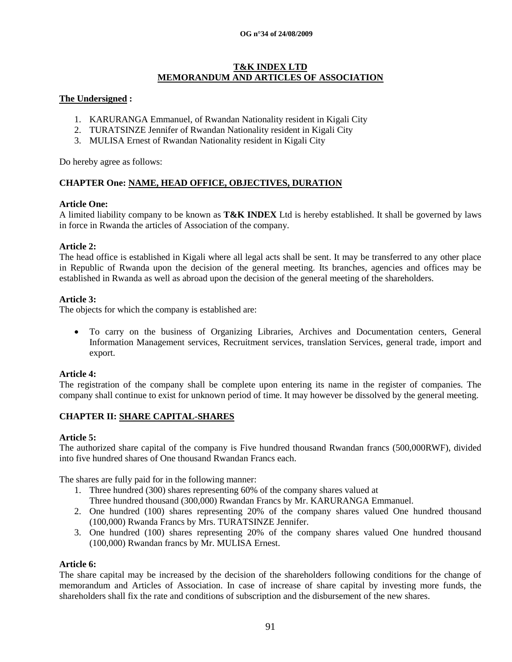#### **OG n°34 of 24/08/2009**

#### **T&K INDEX LTD MEMORANDUM AND ARTICLES OF ASSOCIATION**

#### **The Undersigned :**

- 1. KARURANGA Emmanuel, of Rwandan Nationality resident in Kigali City
- 2. TURATSINZE Jennifer of Rwandan Nationality resident in Kigali City
- 3. MULISA Ernest of Rwandan Nationality resident in Kigali City

Do hereby agree as follows:

## **CHAPTER One: NAME, HEAD OFFICE, OBJECTIVES, DURATION**

#### **Article One:**

A limited liability company to be known as **T&K INDEX** Ltd is hereby established. It shall be governed by laws in force in Rwanda the articles of Association of the company.

#### **Article 2:**

The head office is established in Kigali where all legal acts shall be sent. It may be transferred to any other place in Republic of Rwanda upon the decision of the general meeting. Its branches, agencies and offices may be established in Rwanda as well as abroad upon the decision of the general meeting of the shareholders.

#### **Article 3:**

The objects for which the company is established are:

 To carry on the business of Organizing Libraries, Archives and Documentation centers, General Information Management services, Recruitment services, translation Services, general trade, import and export.

#### **Article 4:**

The registration of the company shall be complete upon entering its name in the register of companies. The company shall continue to exist for unknown period of time. It may however be dissolved by the general meeting.

#### **CHAPTER II: SHARE CAPITAL-SHARES**

## **Article 5:**

The authorized share capital of the company is Five hundred thousand Rwandan francs (500,000RWF), divided into five hundred shares of One thousand Rwandan Francs each.

The shares are fully paid for in the following manner:

- 1. Three hundred (300) shares representing 60% of the company shares valued at Three hundred thousand (300,000) Rwandan Francs by Mr. KARURANGA Emmanuel.
- 2. One hundred (100) shares representing 20% of the company shares valued One hundred thousand (100,000) Rwanda Francs by Mrs. TURATSINZE Jennifer.
- 3. One hundred (100) shares representing 20% of the company shares valued One hundred thousand (100,000) Rwandan francs by Mr. MULISA Ernest.

#### **Article 6:**

The share capital may be increased by the decision of the shareholders following conditions for the change of memorandum and Articles of Association. In case of increase of share capital by investing more funds, the shareholders shall fix the rate and conditions of subscription and the disbursement of the new shares.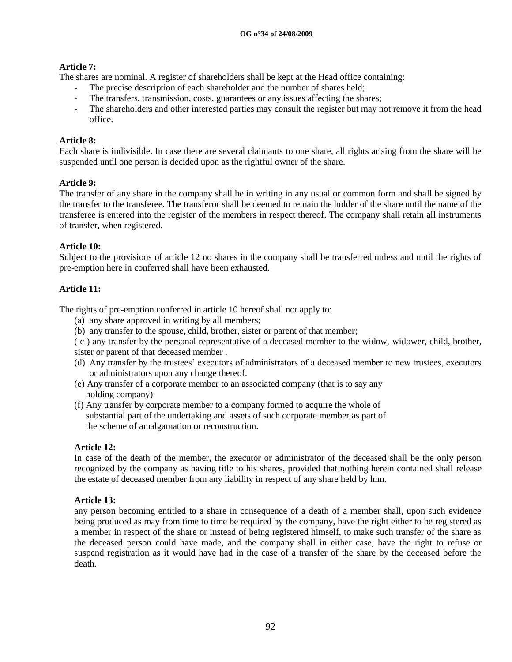## **Article 7:**

The shares are nominal. A register of shareholders shall be kept at the Head office containing:

- The precise description of each shareholder and the number of shares held;
- The transfers, transmission, costs, guarantees or any issues affecting the shares;
- The shareholders and other interested parties may consult the register but may not remove it from the head office.

## **Article 8:**

Each share is indivisible. In case there are several claimants to one share, all rights arising from the share will be suspended until one person is decided upon as the rightful owner of the share.

#### **Article 9:**

The transfer of any share in the company shall be in writing in any usual or common form and shall be signed by the transfer to the transferee. The transferor shall be deemed to remain the holder of the share until the name of the transferee is entered into the register of the members in respect thereof. The company shall retain all instruments of transfer, when registered.

## **Article 10:**

Subject to the provisions of article 12 no shares in the company shall be transferred unless and until the rights of pre-emption here in conferred shall have been exhausted.

## **Article 11:**

The rights of pre-emption conferred in article 10 hereof shall not apply to:

- (a) any share approved in writing by all members;
- (b) any transfer to the spouse, child, brother, sister or parent of that member;

( c ) any transfer by the personal representative of a deceased member to the widow, widower, child, brother, sister or parent of that deceased member .

- (d) Any transfer by the trustees" executors of administrators of a deceased member to new trustees, executors or administrators upon any change thereof.
- (e) Any transfer of a corporate member to an associated company (that is to say any holding company)
- (f) Any transfer by corporate member to a company formed to acquire the whole of substantial part of the undertaking and assets of such corporate member as part of the scheme of amalgamation or reconstruction.

#### **Article 12:**

In case of the death of the member, the executor or administrator of the deceased shall be the only person recognized by the company as having title to his shares, provided that nothing herein contained shall release the estate of deceased member from any liability in respect of any share held by him.

#### **Article 13:**

any person becoming entitled to a share in consequence of a death of a member shall, upon such evidence being produced as may from time to time be required by the company, have the right either to be registered as a member in respect of the share or instead of being registered himself, to make such transfer of the share as the deceased person could have made, and the company shall in either case, have the right to refuse or suspend registration as it would have had in the case of a transfer of the share by the deceased before the death.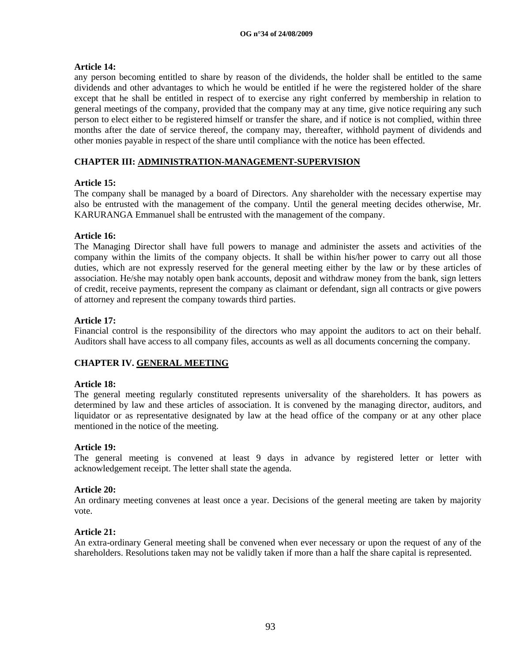## **Article 14:**

any person becoming entitled to share by reason of the dividends, the holder shall be entitled to the same dividends and other advantages to which he would be entitled if he were the registered holder of the share except that he shall be entitled in respect of to exercise any right conferred by membership in relation to general meetings of the company, provided that the company may at any time, give notice requiring any such person to elect either to be registered himself or transfer the share, and if notice is not complied, within three months after the date of service thereof, the company may, thereafter, withhold payment of dividends and other monies payable in respect of the share until compliance with the notice has been effected.

## **CHAPTER III: ADMINISTRATION-MANAGEMENT-SUPERVISION**

## **Article 15:**

The company shall be managed by a board of Directors. Any shareholder with the necessary expertise may also be entrusted with the management of the company. Until the general meeting decides otherwise, Mr. KARURANGA Emmanuel shall be entrusted with the management of the company.

## **Article 16:**

The Managing Director shall have full powers to manage and administer the assets and activities of the company within the limits of the company objects. It shall be within his/her power to carry out all those duties, which are not expressly reserved for the general meeting either by the law or by these articles of association. He/she may notably open bank accounts, deposit and withdraw money from the bank, sign letters of credit, receive payments, represent the company as claimant or defendant, sign all contracts or give powers of attorney and represent the company towards third parties.

#### **Article 17:**

Financial control is the responsibility of the directors who may appoint the auditors to act on their behalf. Auditors shall have access to all company files, accounts as well as all documents concerning the company.

## **CHAPTER IV. GENERAL MEETING**

#### **Article 18:**

The general meeting regularly constituted represents universality of the shareholders. It has powers as determined by law and these articles of association. It is convened by the managing director, auditors, and liquidator or as representative designated by law at the head office of the company or at any other place mentioned in the notice of the meeting.

#### **Article 19:**

The general meeting is convened at least 9 days in advance by registered letter or letter with acknowledgement receipt. The letter shall state the agenda.

#### **Article 20:**

An ordinary meeting convenes at least once a year. Decisions of the general meeting are taken by majority vote.

#### **Article 21:**

An extra-ordinary General meeting shall be convened when ever necessary or upon the request of any of the shareholders. Resolutions taken may not be validly taken if more than a half the share capital is represented.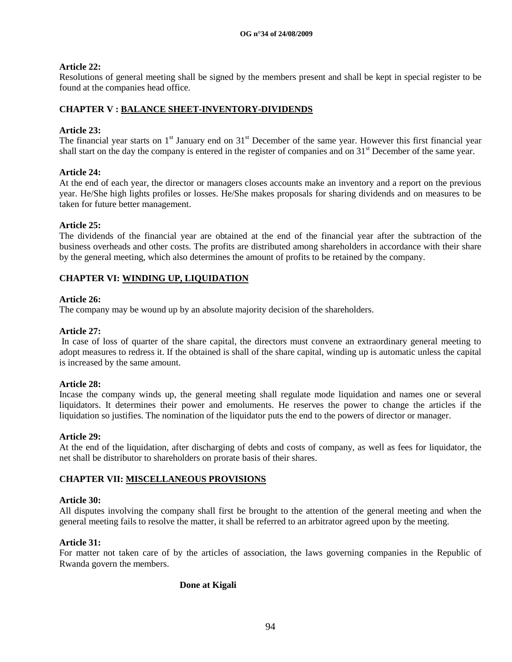## **Article 22:**

Resolutions of general meeting shall be signed by the members present and shall be kept in special register to be found at the companies head office.

## **CHAPTER V : BALANCE SHEET-INVENTORY-DIVIDENDS**

## **Article 23:**

The financial year starts on  $1<sup>st</sup>$  January end on  $31<sup>st</sup>$  December of the same year. However this first financial year shall start on the day the company is entered in the register of companies and on 31<sup>st</sup> December of the same year.

## **Article 24:**

At the end of each year, the director or managers closes accounts make an inventory and a report on the previous year. He/She high lights profiles or losses. He/She makes proposals for sharing dividends and on measures to be taken for future better management.

## **Article 25:**

The dividends of the financial year are obtained at the end of the financial year after the subtraction of the business overheads and other costs. The profits are distributed among shareholders in accordance with their share by the general meeting, which also determines the amount of profits to be retained by the company.

## **CHAPTER VI: WINDING UP, LIQUIDATION**

## **Article 26:**

The company may be wound up by an absolute majority decision of the shareholders.

## **Article 27:**

In case of loss of quarter of the share capital, the directors must convene an extraordinary general meeting to adopt measures to redress it. If the obtained is shall of the share capital, winding up is automatic unless the capital is increased by the same amount.

#### **Article 28:**

Incase the company winds up, the general meeting shall regulate mode liquidation and names one or several liquidators. It determines their power and emoluments. He reserves the power to change the articles if the liquidation so justifies. The nomination of the liquidator puts the end to the powers of director or manager.

#### **Article 29:**

At the end of the liquidation, after discharging of debts and costs of company, as well as fees for liquidator, the net shall be distributor to shareholders on prorate basis of their shares.

#### **CHAPTER VII: MISCELLANEOUS PROVISIONS**

#### **Article 30:**

All disputes involving the company shall first be brought to the attention of the general meeting and when the general meeting fails to resolve the matter, it shall be referred to an arbitrator agreed upon by the meeting.

#### **Article 31:**

For matter not taken care of by the articles of association, the laws governing companies in the Republic of Rwanda govern the members.

#### **Done at Kigali**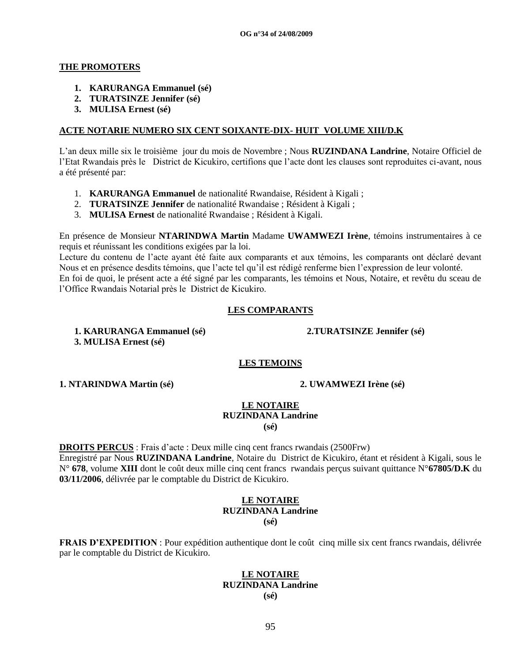#### **THE PROMOTERS**

- **1. KARURANGA Emmanuel (sé)**
- **2. TURATSINZE Jennifer (sé)**
- **3. MULISA Ernest (sé)**

#### **ACTE NOTARIE NUMERO SIX CENT SOIXANTE-DIX- HUIT VOLUME XIII/D.K**

L"an deux mille six le troisième jour du mois de Novembre ; Nous **RUZINDANA Landrine**, Notaire Officiel de l"Etat Rwandais près le District de Kicukiro, certifions que l"acte dont les clauses sont reproduites ci-avant, nous a été présenté par:

- 1. **KARURANGA Emmanuel** de nationalité Rwandaise, Résident à Kigali ;
- 2. **TURATSINZE Jennifer** de nationalité Rwandaise ; Résident à Kigali ;
- 3. **MULISA Ernest** de nationalité Rwandaise ; Résident à Kigali.

En présence de Monsieur **NTARINDWA Martin** Madame **UWAMWEZI Irène**, témoins instrumentaires à ce requis et réunissant les conditions exigées par la loi.

Lecture du contenu de l"acte ayant été faite aux comparants et aux témoins, les comparants ont déclaré devant Nous et en présence desdits témoins, que l"acte tel qu"il est rédigé renferme bien l"expression de leur volonté. En foi de quoi, le présent acte a été signé par les comparants, les témoins et Nous, Notaire, et revêtu du sceau de l"Office Rwandais Notarial près le District de Kicukiro.

#### **LES COMPARANTS**

**1. KARURANGA Emmanuel (sé) 2.TURATSINZE Jennifer (sé) 3. MULISA Ernest (sé)**

**LES TEMOINS**

**1. NTARINDWA Martin (sé) 2. UWAMWEZI Irène (sé)**

#### **LE NOTAIRE RUZINDANA Landrine (sé)**

**DROITS PERCUS** : Frais d"acte : Deux mille cinq cent francs rwandais (2500Frw) Enregistré par Nous **RUZINDANA Landrine**, Notaire du District de Kicukiro, étant et résident à Kigali, sous le N° **678**, volume **XIII** dont le coût deux mille cinq cent francs rwandais perçus suivant quittance N°**67805/D.K** du **03/11/2006**, délivrée par le comptable du District de Kicukiro.

#### **LE NOTAIRE RUZINDANA Landrine (sé)**

**FRAIS D'EXPEDITION** : Pour expédition authentique dont le coût cinq mille six cent francs rwandais, délivrée par le comptable du District de Kicukiro.

#### **LE NOTAIRE RUZINDANA Landrine (sé)**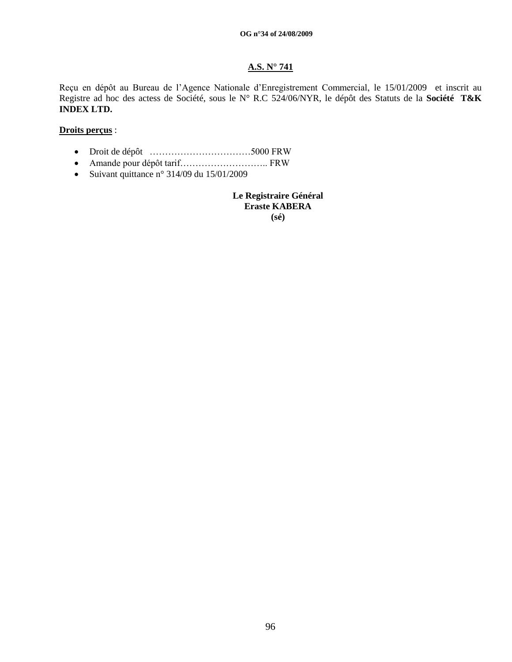#### **OG n°34 of 24/08/2009**

## **A.S. N° 741**

Reçu en dépôt au Bureau de l"Agence Nationale d"Enregistrement Commercial, le 15/01/2009 et inscrit au Registre ad hoc des actess de Société, sous le N° R.C 524/06/NYR, le dépôt des Statuts de la **Société T&K INDEX LTD.**

## **Droits perçus** :

- Droit de dépôt ……………………………5000 FRW
- Amande pour dépôt tarif……………………….. FRW
- Suivant quittance n° 314/09 du  $15/01/2009$

**Le Registraire Général Eraste KABERA (sé)**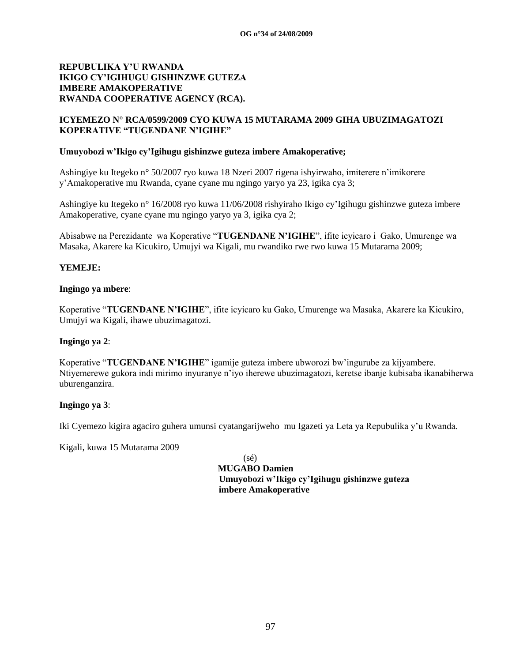## **ICYEMEZO N° RCA/0599/2009 CYO KUWA 15 MUTARAMA 2009 GIHA UBUZIMAGATOZI KOPERATIVE "TUGENDANE N'IGIHE"**

#### **Umuyobozi w'Ikigo cy'Igihugu gishinzwe guteza imbere Amakoperative;**

Ashingiye ku Itegeko n° 50/2007 ryo kuwa 18 Nzeri 2007 rigena ishyirwaho, imiterere n"imikorere y"Amakoperative mu Rwanda, cyane cyane mu ngingo yaryo ya 23, igika cya 3;

Ashingiye ku Itegeko n° 16/2008 ryo kuwa 11/06/2008 rishyiraho Ikigo cy"Igihugu gishinzwe guteza imbere Amakoperative, cyane cyane mu ngingo yaryo ya 3, igika cya 2;

Abisabwe na Perezidante wa Koperative "**TUGENDANE N'IGIHE**", ifite icyicaro i Gako, Umurenge wa Masaka, Akarere ka Kicukiro, Umujyi wa Kigali, mu rwandiko rwe rwo kuwa 15 Mutarama 2009;

#### **YEMEJE:**

#### **Ingingo ya mbere**:

Koperative "**TUGENDANE N'IGIHE**", ifite icyicaro ku Gako, Umurenge wa Masaka, Akarere ka Kicukiro, Umujyi wa Kigali, ihawe ubuzimagatozi.

#### **Ingingo ya 2**:

Koperative "**TUGENDANE N'IGIHE**" igamije guteza imbere ubworozi bw"ingurube za kijyambere. Ntiyemerewe gukora indi mirimo inyuranye n"iyo iherewe ubuzimagatozi, keretse ibanje kubisaba ikanabiherwa uburenganzira.

## **Ingingo ya 3**:

Iki Cyemezo kigira agaciro guhera umunsi cyatangarijweho mu Igazeti ya Leta ya Repubulika y"u Rwanda.

Kigali, kuwa 15 Mutarama 2009

(sé)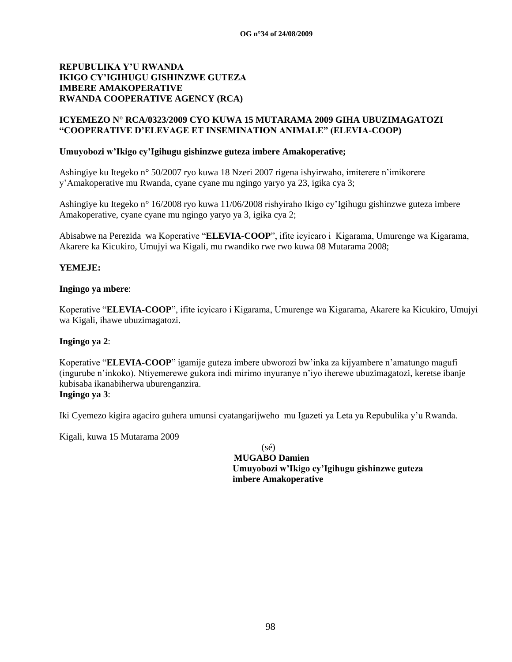## **ICYEMEZO N° RCA/0323/2009 CYO KUWA 15 MUTARAMA 2009 GIHA UBUZIMAGATOZI "COOPERATIVE D'ELEVAGE ET INSEMINATION ANIMALE" (ELEVIA-COOP)**

#### **Umuyobozi w'Ikigo cy'Igihugu gishinzwe guteza imbere Amakoperative;**

Ashingiye ku Itegeko n° 50/2007 ryo kuwa 18 Nzeri 2007 rigena ishyirwaho, imiterere n"imikorere y"Amakoperative mu Rwanda, cyane cyane mu ngingo yaryo ya 23, igika cya 3;

Ashingiye ku Itegeko n° 16/2008 ryo kuwa 11/06/2008 rishyiraho Ikigo cy"Igihugu gishinzwe guteza imbere Amakoperative, cyane cyane mu ngingo yaryo ya 3, igika cya 2;

Abisabwe na Perezida wa Koperative "**ELEVIA-COOP**", ifite icyicaro i Kigarama, Umurenge wa Kigarama, Akarere ka Kicukiro, Umujyi wa Kigali, mu rwandiko rwe rwo kuwa 08 Mutarama 2008;

#### **YEMEJE:**

#### **Ingingo ya mbere**:

Koperative "**ELEVIA-COOP**", ifite icyicaro i Kigarama, Umurenge wa Kigarama, Akarere ka Kicukiro, Umujyi wa Kigali, ihawe ubuzimagatozi.

#### **Ingingo ya 2**:

Koperative "**ELEVIA-COOP**" igamije guteza imbere ubworozi bw"inka za kijyambere n"amatungo magufi (ingurube n"inkoko). Ntiyemerewe gukora indi mirimo inyuranye n"iyo iherewe ubuzimagatozi, keretse ibanje kubisaba ikanabiherwa uburenganzira. **Ingingo ya 3**:

Iki Cyemezo kigira agaciro guhera umunsi cyatangarijweho mu Igazeti ya Leta ya Repubulika y"u Rwanda.

Kigali, kuwa 15 Mutarama 2009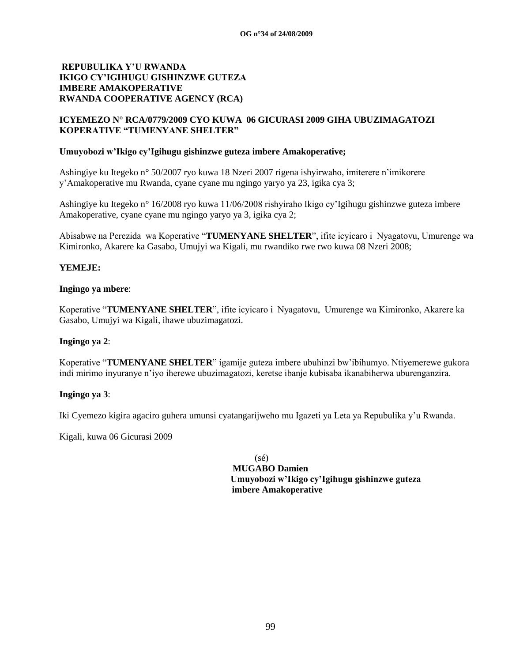## **ICYEMEZO N° RCA/0779/2009 CYO KUWA 06 GICURASI 2009 GIHA UBUZIMAGATOZI KOPERATIVE "TUMENYANE SHELTER"**

#### **Umuyobozi w'Ikigo cy'Igihugu gishinzwe guteza imbere Amakoperative;**

Ashingiye ku Itegeko n° 50/2007 ryo kuwa 18 Nzeri 2007 rigena ishyirwaho, imiterere n"imikorere y"Amakoperative mu Rwanda, cyane cyane mu ngingo yaryo ya 23, igika cya 3;

Ashingiye ku Itegeko n° 16/2008 ryo kuwa 11/06/2008 rishyiraho Ikigo cy"Igihugu gishinzwe guteza imbere Amakoperative, cyane cyane mu ngingo yaryo ya 3, igika cya 2;

Abisabwe na Perezida wa Koperative "**TUMENYANE SHELTER**", ifite icyicaro i Nyagatovu, Umurenge wa Kimironko, Akarere ka Gasabo, Umujyi wa Kigali, mu rwandiko rwe rwo kuwa 08 Nzeri 2008;

## **YEMEJE:**

#### **Ingingo ya mbere**:

Koperative "**TUMENYANE SHELTER**", ifite icyicaro i Nyagatovu, Umurenge wa Kimironko, Akarere ka Gasabo, Umujyi wa Kigali, ihawe ubuzimagatozi.

#### **Ingingo ya 2**:

Koperative "**TUMENYANE SHELTER**" igamije guteza imbere ubuhinzi bw"ibihumyo. Ntiyemerewe gukora indi mirimo inyuranye n"iyo iherewe ubuzimagatozi, keretse ibanje kubisaba ikanabiherwa uburenganzira.

#### **Ingingo ya 3**:

Iki Cyemezo kigira agaciro guhera umunsi cyatangarijweho mu Igazeti ya Leta ya Repubulika y"u Rwanda.

Kigali, kuwa 06 Gicurasi 2009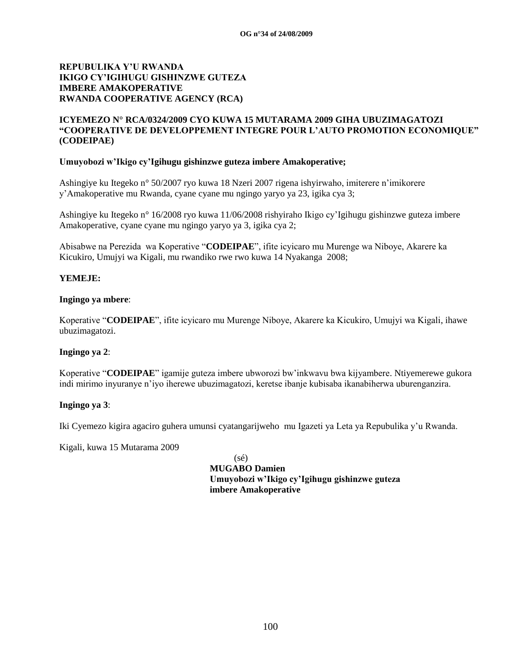## **ICYEMEZO N° RCA/0324/2009 CYO KUWA 15 MUTARAMA 2009 GIHA UBUZIMAGATOZI "COOPERATIVE DE DEVELOPPEMENT INTEGRE POUR L'AUTO PROMOTION ECONOMIQUE" (CODEIPAE)**

#### **Umuyobozi w'Ikigo cy'Igihugu gishinzwe guteza imbere Amakoperative;**

Ashingiye ku Itegeko n° 50/2007 ryo kuwa 18 Nzeri 2007 rigena ishyirwaho, imiterere n"imikorere y"Amakoperative mu Rwanda, cyane cyane mu ngingo yaryo ya 23, igika cya 3;

Ashingiye ku Itegeko n° 16/2008 ryo kuwa 11/06/2008 rishyiraho Ikigo cy"Igihugu gishinzwe guteza imbere Amakoperative, cyane cyane mu ngingo yaryo ya 3, igika cya 2;

Abisabwe na Perezida wa Koperative "**CODEIPAE**", ifite icyicaro mu Murenge wa Niboye, Akarere ka Kicukiro, Umujyi wa Kigali, mu rwandiko rwe rwo kuwa 14 Nyakanga 2008;

## **YEMEJE:**

#### **Ingingo ya mbere**:

Koperative "**CODEIPAE**", ifite icyicaro mu Murenge Niboye, Akarere ka Kicukiro, Umujyi wa Kigali, ihawe ubuzimagatozi.

#### **Ingingo ya 2**:

Koperative "**CODEIPAE**" igamije guteza imbere ubworozi bw"inkwavu bwa kijyambere. Ntiyemerewe gukora indi mirimo inyuranye n"iyo iherewe ubuzimagatozi, keretse ibanje kubisaba ikanabiherwa uburenganzira.

#### **Ingingo ya 3**:

Iki Cyemezo kigira agaciro guhera umunsi cyatangarijweho mu Igazeti ya Leta ya Repubulika y"u Rwanda.

Kigali, kuwa 15 Mutarama 2009

(sé)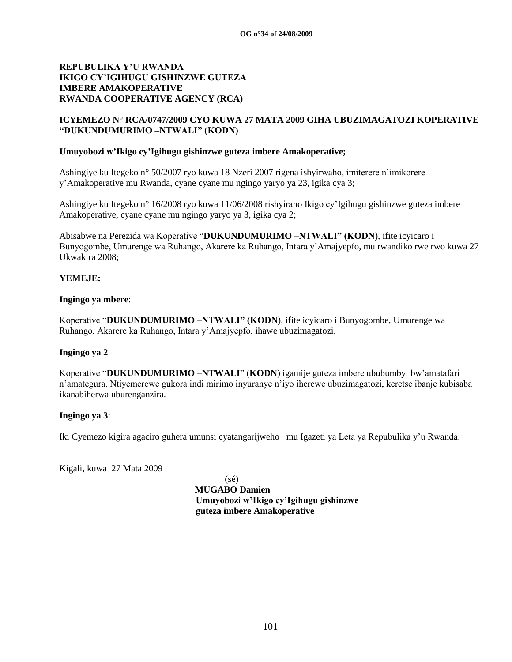## **ICYEMEZO N° RCA/0747/2009 CYO KUWA 27 MATA 2009 GIHA UBUZIMAGATOZI KOPERATIVE "DUKUNDUMURIMO –NTWALI" (KODN)**

#### **Umuyobozi w'Ikigo cy'Igihugu gishinzwe guteza imbere Amakoperative;**

Ashingiye ku Itegeko n° 50/2007 ryo kuwa 18 Nzeri 2007 rigena ishyirwaho, imiterere n"imikorere y"Amakoperative mu Rwanda, cyane cyane mu ngingo yaryo ya 23, igika cya 3;

Ashingiye ku Itegeko n° 16/2008 ryo kuwa 11/06/2008 rishyiraho Ikigo cy"Igihugu gishinzwe guteza imbere Amakoperative, cyane cyane mu ngingo yaryo ya 3, igika cya 2;

Abisabwe na Perezida wa Koperative "**DUKUNDUMURIMO –NTWALI" (KODN**), ifite icyicaro i Bunyogombe, Umurenge wa Ruhango, Akarere ka Ruhango, Intara y"Amajyepfo, mu rwandiko rwe rwo kuwa 27 Ukwakira 2008;

#### **YEMEJE:**

#### **Ingingo ya mbere**:

Koperative "**DUKUNDUMURIMO –NTWALI" (KODN**), ifite icyicaro i Bunyogombe, Umurenge wa Ruhango, Akarere ka Ruhango, Intara y"Amajyepfo, ihawe ubuzimagatozi.

#### **Ingingo ya 2**

Koperative "**DUKUNDUMURIMO –NTWALI**" (**KODN**) igamije guteza imbere ububumbyi bw"amatafari n"amategura. Ntiyemerewe gukora indi mirimo inyuranye n"iyo iherewe ubuzimagatozi, keretse ibanje kubisaba ikanabiherwa uburenganzira.

## **Ingingo ya 3**:

Iki Cyemezo kigira agaciro guhera umunsi cyatangarijweho mu Igazeti ya Leta ya Repubulika y"u Rwanda.

Kigali, kuwa 27 Mata 2009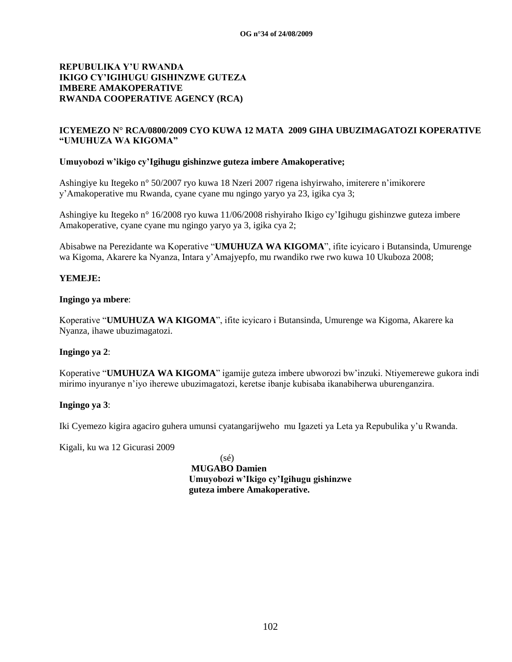## **ICYEMEZO N° RCA/0800/2009 CYO KUWA 12 MATA 2009 GIHA UBUZIMAGATOZI KOPERATIVE "UMUHUZA WA KIGOMA"**

#### **Umuyobozi w'ikigo cy'Igihugu gishinzwe guteza imbere Amakoperative;**

Ashingiye ku Itegeko n° 50/2007 ryo kuwa 18 Nzeri 2007 rigena ishyirwaho, imiterere n"imikorere y"Amakoperative mu Rwanda, cyane cyane mu ngingo yaryo ya 23, igika cya 3;

Ashingiye ku Itegeko n° 16/2008 ryo kuwa 11/06/2008 rishyiraho Ikigo cy"Igihugu gishinzwe guteza imbere Amakoperative, cyane cyane mu ngingo yaryo ya 3, igika cya 2;

Abisabwe na Perezidante wa Koperative "**UMUHUZA WA KIGOMA**", ifite icyicaro i Butansinda, Umurenge wa Kigoma, Akarere ka Nyanza, Intara y"Amajyepfo, mu rwandiko rwe rwo kuwa 10 Ukuboza 2008;

#### **YEMEJE:**

#### **Ingingo ya mbere**:

Koperative "**UMUHUZA WA KIGOMA**", ifite icyicaro i Butansinda, Umurenge wa Kigoma, Akarere ka Nyanza, ihawe ubuzimagatozi.

#### **Ingingo ya 2**:

Koperative "**UMUHUZA WA KIGOMA**" igamije guteza imbere ubworozi bw"inzuki. Ntiyemerewe gukora indi mirimo inyuranye n"iyo iherewe ubuzimagatozi, keretse ibanje kubisaba ikanabiherwa uburenganzira.

#### **Ingingo ya 3**:

Iki Cyemezo kigira agaciro guhera umunsi cyatangarijweho mu Igazeti ya Leta ya Repubulika y"u Rwanda.

Kigali, ku wa 12 Gicurasi 2009

(sé)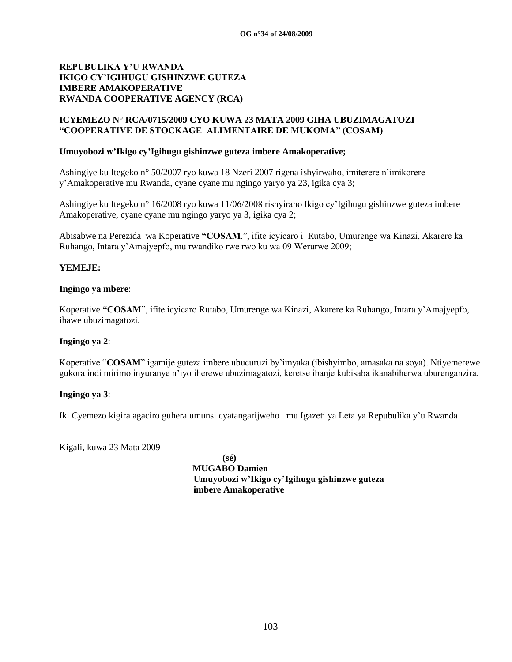## **ICYEMEZO N° RCA/0715/2009 CYO KUWA 23 MATA 2009 GIHA UBUZIMAGATOZI "COOPERATIVE DE STOCKAGE ALIMENTAIRE DE MUKOMA" (COSAM)**

#### **Umuyobozi w'Ikigo cy'Igihugu gishinzwe guteza imbere Amakoperative;**

Ashingiye ku Itegeko n° 50/2007 ryo kuwa 18 Nzeri 2007 rigena ishyirwaho, imiterere n"imikorere y"Amakoperative mu Rwanda, cyane cyane mu ngingo yaryo ya 23, igika cya 3;

Ashingiye ku Itegeko n° 16/2008 ryo kuwa 11/06/2008 rishyiraho Ikigo cy"Igihugu gishinzwe guteza imbere Amakoperative, cyane cyane mu ngingo yaryo ya 3, igika cya 2;

Abisabwe na Perezida wa Koperative **"COSAM**.", ifite icyicaro i Rutabo, Umurenge wa Kinazi, Akarere ka Ruhango, Intara y"Amajyepfo, mu rwandiko rwe rwo ku wa 09 Werurwe 2009;

#### **YEMEJE:**

#### **Ingingo ya mbere**:

Koperative **"COSAM**", ifite icyicaro Rutabo, Umurenge wa Kinazi, Akarere ka Ruhango, Intara y"Amajyepfo, ihawe ubuzimagatozi.

#### **Ingingo ya 2**:

Koperative "**COSAM**" igamije guteza imbere ubucuruzi by"imyaka (ibishyimbo, amasaka na soya). Ntiyemerewe gukora indi mirimo inyuranye n"iyo iherewe ubuzimagatozi, keretse ibanje kubisaba ikanabiherwa uburenganzira.

#### **Ingingo ya 3**:

Iki Cyemezo kigira agaciro guhera umunsi cyatangarijweho mu Igazeti ya Leta ya Repubulika y"u Rwanda.

Kigali, kuwa 23 Mata 2009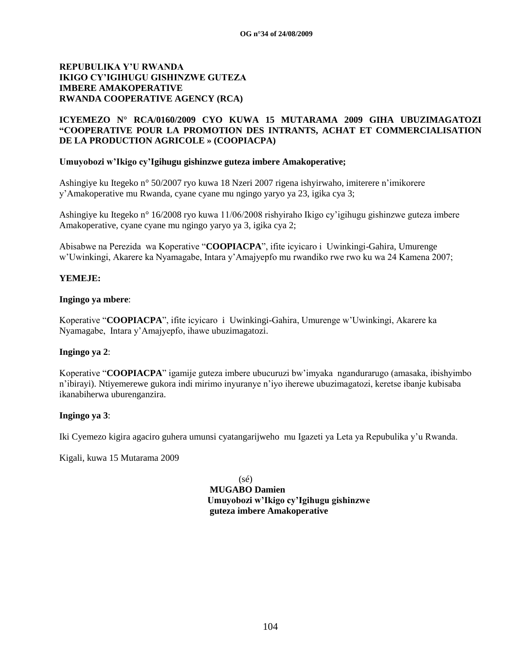## **ICYEMEZO N° RCA/0160/2009 CYO KUWA 15 MUTARAMA 2009 GIHA UBUZIMAGATOZI "COOPERATIVE POUR LA PROMOTION DES INTRANTS, ACHAT ET COMMERCIALISATION DE LA PRODUCTION AGRICOLE » (COOPIACPA)**

#### **Umuyobozi w'Ikigo cy'Igihugu gishinzwe guteza imbere Amakoperative;**

Ashingiye ku Itegeko n° 50/2007 ryo kuwa 18 Nzeri 2007 rigena ishyirwaho, imiterere n"imikorere y"Amakoperative mu Rwanda, cyane cyane mu ngingo yaryo ya 23, igika cya 3;

Ashingiye ku Itegeko n° 16/2008 ryo kuwa 11/06/2008 rishyiraho Ikigo cy"igihugu gishinzwe guteza imbere Amakoperative, cyane cyane mu ngingo yaryo ya 3, igika cya 2;

Abisabwe na Perezida wa Koperative "**COOPIACPA**", ifite icyicaro i Uwinkingi-Gahira, Umurenge w"Uwinkingi, Akarere ka Nyamagabe, Intara y"Amajyepfo mu rwandiko rwe rwo ku wa 24 Kamena 2007;

#### **YEMEJE:**

#### **Ingingo ya mbere**:

Koperative "**COOPIACPA**", ifite icyicaro i Uwinkingi-Gahira, Umurenge w"Uwinkingi, Akarere ka Nyamagabe, Intara y"Amajyepfo, ihawe ubuzimagatozi.

#### **Ingingo ya 2**:

Koperative "**COOPIACPA**" igamije guteza imbere ubucuruzi bw"imyaka ngandurarugo (amasaka, ibishyimbo n"ibirayi). Ntiyemerewe gukora indi mirimo inyuranye n"iyo iherewe ubuzimagatozi, keretse ibanje kubisaba ikanabiherwa uburenganzira.

#### **Ingingo ya 3**:

Iki Cyemezo kigira agaciro guhera umunsi cyatangarijweho mu Igazeti ya Leta ya Repubulika y"u Rwanda.

Kigali, kuwa 15 Mutarama 2009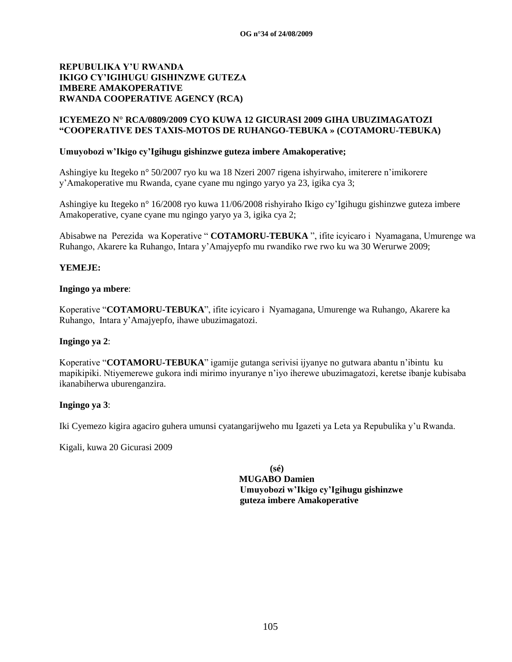#### **ICYEMEZO N° RCA/0809/2009 CYO KUWA 12 GICURASI 2009 GIHA UBUZIMAGATOZI "COOPERATIVE DES TAXIS-MOTOS DE RUHANGO-TEBUKA » (COTAMORU-TEBUKA)**

#### **Umuyobozi w'Ikigo cy'Igihugu gishinzwe guteza imbere Amakoperative;**

Ashingiye ku Itegeko n° 50/2007 ryo ku wa 18 Nzeri 2007 rigena ishyirwaho, imiterere n"imikorere y"Amakoperative mu Rwanda, cyane cyane mu ngingo yaryo ya 23, igika cya 3;

Ashingiye ku Itegeko n° 16/2008 ryo kuwa 11/06/2008 rishyiraho Ikigo cy"Igihugu gishinzwe guteza imbere Amakoperative, cyane cyane mu ngingo yaryo ya 3, igika cya 2;

Abisabwe na Perezida wa Koperative " **COTAMORU-TEBUKA** ", ifite icyicaro i Nyamagana, Umurenge wa Ruhango, Akarere ka Ruhango, Intara y"Amajyepfo mu rwandiko rwe rwo ku wa 30 Werurwe 2009;

#### **YEMEJE:**

#### **Ingingo ya mbere**:

Koperative "**COTAMORU-TEBUKA**", ifite icyicaro i Nyamagana, Umurenge wa Ruhango, Akarere ka Ruhango, Intara y"Amajyepfo, ihawe ubuzimagatozi.

#### **Ingingo ya 2**:

Koperative "**COTAMORU-TEBUKA**" igamije gutanga serivisi ijyanye no gutwara abantu n"ibintu ku mapikipiki. Ntiyemerewe gukora indi mirimo inyuranye n"iyo iherewe ubuzimagatozi, keretse ibanje kubisaba ikanabiherwa uburenganzira.

## **Ingingo ya 3**:

Iki Cyemezo kigira agaciro guhera umunsi cyatangarijweho mu Igazeti ya Leta ya Repubulika y"u Rwanda.

Kigali, kuwa 20 Gicurasi 2009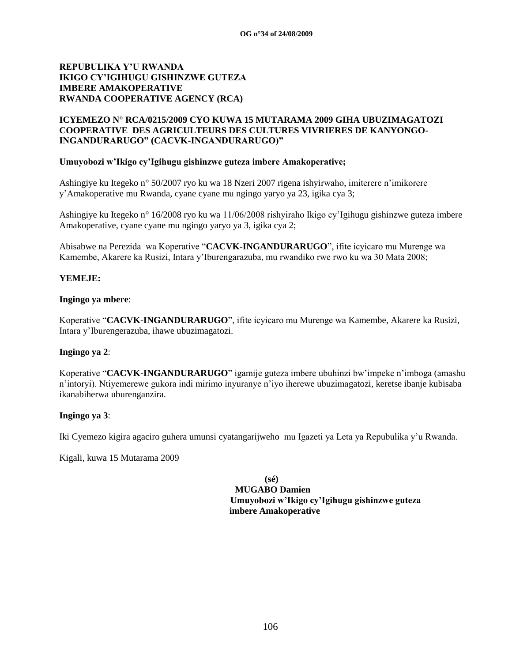## **ICYEMEZO N° RCA/0215/2009 CYO KUWA 15 MUTARAMA 2009 GIHA UBUZIMAGATOZI COOPERATIVE DES AGRICULTEURS DES CULTURES VIVRIERES DE KANYONGO-INGANDURARUGO" (CACVK-INGANDURARUGO)"**

#### **Umuyobozi w'Ikigo cy'Igihugu gishinzwe guteza imbere Amakoperative;**

Ashingiye ku Itegeko n° 50/2007 ryo ku wa 18 Nzeri 2007 rigena ishyirwaho, imiterere n"imikorere y"Amakoperative mu Rwanda, cyane cyane mu ngingo yaryo ya 23, igika cya 3;

Ashingiye ku Itegeko n° 16/2008 ryo ku wa 11/06/2008 rishyiraho Ikigo cy"Igihugu gishinzwe guteza imbere Amakoperative, cyane cyane mu ngingo yaryo ya 3, igika cya 2;

Abisabwe na Perezida wa Koperative "**CACVK-INGANDURARUGO**", ifite icyicaro mu Murenge wa Kamembe, Akarere ka Rusizi, Intara y"Iburengarazuba, mu rwandiko rwe rwo ku wa 30 Mata 2008;

## **YEMEJE:**

#### **Ingingo ya mbere**:

Koperative "**CACVK-INGANDURARUGO**", ifite icyicaro mu Murenge wa Kamembe, Akarere ka Rusizi, Intara y"Iburengerazuba, ihawe ubuzimagatozi.

#### **Ingingo ya 2**:

Koperative "**CACVK-INGANDURARUGO**" igamije guteza imbere ubuhinzi bw"impeke n"imboga (amashu n"intoryi). Ntiyemerewe gukora indi mirimo inyuranye n"iyo iherewe ubuzimagatozi, keretse ibanje kubisaba ikanabiherwa uburenganzira.

#### **Ingingo ya 3**:

Iki Cyemezo kigira agaciro guhera umunsi cyatangarijweho mu Igazeti ya Leta ya Repubulika y"u Rwanda.

Kigali, kuwa 15 Mutarama 2009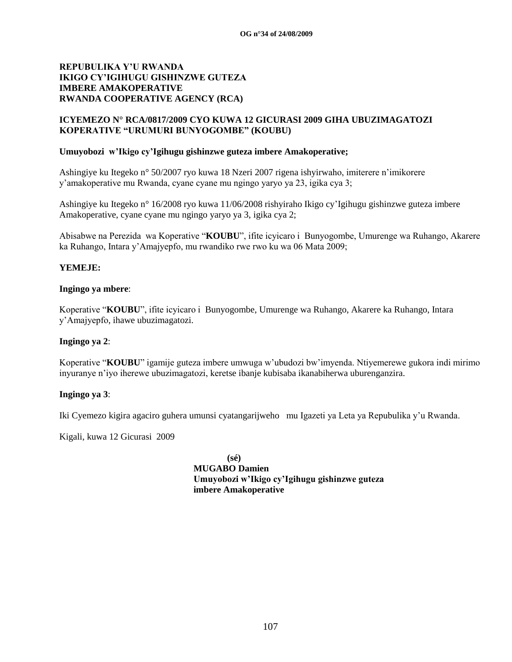## **ICYEMEZO N° RCA/0817/2009 CYO KUWA 12 GICURASI 2009 GIHA UBUZIMAGATOZI KOPERATIVE "URUMURI BUNYOGOMBE" (KOUBU)**

#### **Umuyobozi w'Ikigo cy'Igihugu gishinzwe guteza imbere Amakoperative;**

Ashingiye ku Itegeko n° 50/2007 ryo kuwa 18 Nzeri 2007 rigena ishyirwaho, imiterere n"imikorere y"amakoperative mu Rwanda, cyane cyane mu ngingo yaryo ya 23, igika cya 3;

Ashingiye ku Itegeko n° 16/2008 ryo kuwa 11/06/2008 rishyiraho Ikigo cy"Igihugu gishinzwe guteza imbere Amakoperative, cyane cyane mu ngingo yaryo ya 3, igika cya 2;

Abisabwe na Perezida wa Koperative "**KOUBU**", ifite icyicaro i Bunyogombe, Umurenge wa Ruhango, Akarere ka Ruhango, Intara y"Amajyepfo, mu rwandiko rwe rwo ku wa 06 Mata 2009;

#### **YEMEJE:**

#### **Ingingo ya mbere**:

Koperative "**KOUBU**", ifite icyicaro i Bunyogombe, Umurenge wa Ruhango, Akarere ka Ruhango, Intara y"Amajyepfo, ihawe ubuzimagatozi.

#### **Ingingo ya 2**:

Koperative "**KOUBU**" igamije guteza imbere umwuga w"ubudozi bw"imyenda. Ntiyemerewe gukora indi mirimo inyuranye n"iyo iherewe ubuzimagatozi, keretse ibanje kubisaba ikanabiherwa uburenganzira.

#### **Ingingo ya 3**:

Iki Cyemezo kigira agaciro guhera umunsi cyatangarijweho mu Igazeti ya Leta ya Repubulika y"u Rwanda.

Kigali, kuwa 12 Gicurasi 2009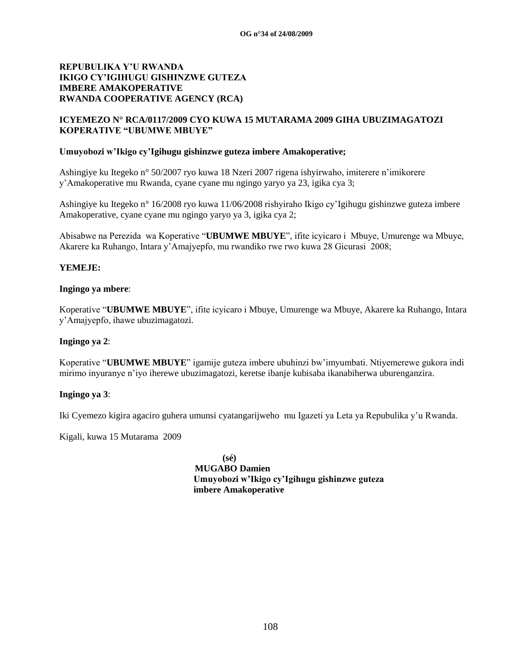## **ICYEMEZO N° RCA/0117/2009 CYO KUWA 15 MUTARAMA 2009 GIHA UBUZIMAGATOZI KOPERATIVE "UBUMWE MBUYE"**

#### **Umuyobozi w'Ikigo cy'Igihugu gishinzwe guteza imbere Amakoperative;**

Ashingiye ku Itegeko n° 50/2007 ryo kuwa 18 Nzeri 2007 rigena ishyirwaho, imiterere n"imikorere y"Amakoperative mu Rwanda, cyane cyane mu ngingo yaryo ya 23, igika cya 3;

Ashingiye ku Itegeko n° 16/2008 ryo kuwa 11/06/2008 rishyiraho Ikigo cy"Igihugu gishinzwe guteza imbere Amakoperative, cyane cyane mu ngingo yaryo ya 3, igika cya 2;

Abisabwe na Perezida wa Koperative "**UBUMWE MBUYE**", ifite icyicaro i Mbuye, Umurenge wa Mbuye, Akarere ka Ruhango, Intara y"Amajyepfo, mu rwandiko rwe rwo kuwa 28 Gicurasi 2008;

#### **YEMEJE:**

#### **Ingingo ya mbere**:

Koperative "**UBUMWE MBUYE**", ifite icyicaro i Mbuye, Umurenge wa Mbuye, Akarere ka Ruhango, Intara y"Amajyepfo, ihawe ubuzimagatozi.

#### **Ingingo ya 2**:

Koperative "**UBUMWE MBUYE**" igamije guteza imbere ubuhinzi bw"imyumbati. Ntiyemerewe gukora indi mirimo inyuranye n"iyo iherewe ubuzimagatozi, keretse ibanje kubisaba ikanabiherwa uburenganzira.

#### **Ingingo ya 3**:

Iki Cyemezo kigira agaciro guhera umunsi cyatangarijweho mu Igazeti ya Leta ya Repubulika y"u Rwanda.

Kigali, kuwa 15 Mutarama 2009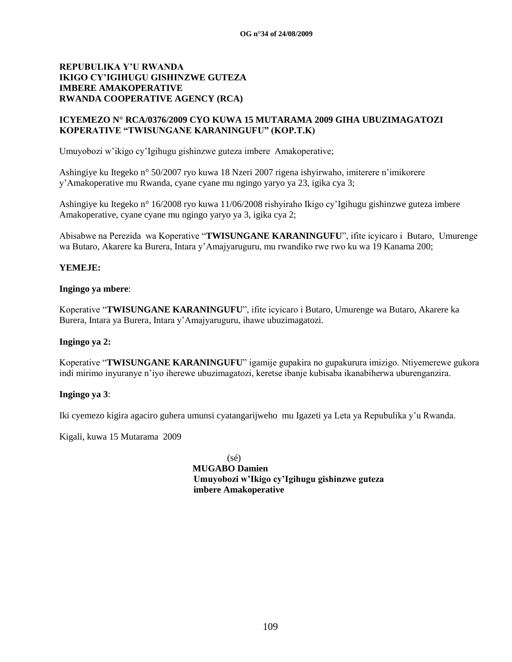## **ICYEMEZO N° RCA/0376/2009 CYO KUWA 15 MUTARAMA 2009 GIHA UBUZIMAGATOZI KOPERATIVE "TWISUNGANE KARANINGUFU" (KOP.T.K)**

Umuyobozi w"ikigo cy"Igihugu gishinzwe guteza imbere Amakoperative;

Ashingiye ku Itegeko n° 50/2007 ryo kuwa 18 Nzeri 2007 rigena ishyirwaho, imiterere n"imikorere y"Amakoperative mu Rwanda, cyane cyane mu ngingo yaryo ya 23, igika cya 3;

Ashingiye ku Itegeko n° 16/2008 ryo kuwa 11/06/2008 rishyiraho Ikigo cy"Igihugu gishinzwe guteza imbere Amakoperative, cyane cyane mu ngingo yaryo ya 3, igika cya 2;

Abisabwe na Perezida wa Koperative "**TWISUNGANE KARANINGUFU**", ifite icyicaro i Butaro, Umurenge wa Butaro, Akarere ka Burera, Intara y"Amajyaruguru, mu rwandiko rwe rwo ku wa 19 Kanama 200;

## **YEMEJE:**

#### **Ingingo ya mbere**:

Koperative "**TWISUNGANE KARANINGUFU**", ifite icyicaro i Butaro, Umurenge wa Butaro, Akarere ka Burera, Intara ya Burera, Intara y"Amajyaruguru, ihawe ubuzimagatozi.

## **Ingingo ya 2:**

Koperative "**TWISUNGANE KARANINGUFU**" igamije gupakira no gupakurura imizigo. Ntiyemerewe gukora indi mirimo inyuranye n"iyo iherewe ubuzimagatozi, keretse ibanje kubisaba ikanabiherwa uburenganzira.

#### **Ingingo ya 3**:

Iki cyemezo kigira agaciro guhera umunsi cyatangarijweho mu Igazeti ya Leta ya Repubulika y"u Rwanda.

Kigali, kuwa 15 Mutarama 2009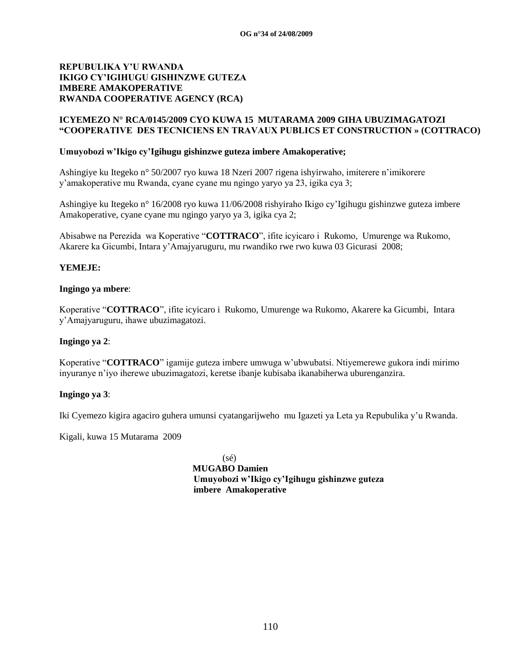## **ICYEMEZO N° RCA/0145/2009 CYO KUWA 15 MUTARAMA 2009 GIHA UBUZIMAGATOZI "COOPERATIVE DES TECNICIENS EN TRAVAUX PUBLICS ET CONSTRUCTION » (COTTRACO)**

#### **Umuyobozi w'Ikigo cy'Igihugu gishinzwe guteza imbere Amakoperative;**

Ashingiye ku Itegeko n° 50/2007 ryo kuwa 18 Nzeri 2007 rigena ishyirwaho, imiterere n"imikorere y"amakoperative mu Rwanda, cyane cyane mu ngingo yaryo ya 23, igika cya 3;

Ashingiye ku Itegeko n° 16/2008 ryo kuwa 11/06/2008 rishyiraho Ikigo cy"Igihugu gishinzwe guteza imbere Amakoperative, cyane cyane mu ngingo yaryo ya 3, igika cya 2;

Abisabwe na Perezida wa Koperative "**COTTRACO**", ifite icyicaro i Rukomo, Umurenge wa Rukomo, Akarere ka Gicumbi, Intara y"Amajyaruguru, mu rwandiko rwe rwo kuwa 03 Gicurasi 2008;

## **YEMEJE:**

#### **Ingingo ya mbere**:

Koperative "**COTTRACO**", ifite icyicaro i Rukomo, Umurenge wa Rukomo, Akarere ka Gicumbi, Intara y"Amajyaruguru, ihawe ubuzimagatozi.

## **Ingingo ya 2**:

Koperative "**COTTRACO**" igamije guteza imbere umwuga w"ubwubatsi. Ntiyemerewe gukora indi mirimo inyuranye n"iyo iherewe ubuzimagatozi, keretse ibanje kubisaba ikanabiherwa uburenganzira.

## **Ingingo ya 3**:

Iki Cyemezo kigira agaciro guhera umunsi cyatangarijweho mu Igazeti ya Leta ya Repubulika y"u Rwanda.

Kigali, kuwa 15 Mutarama 2009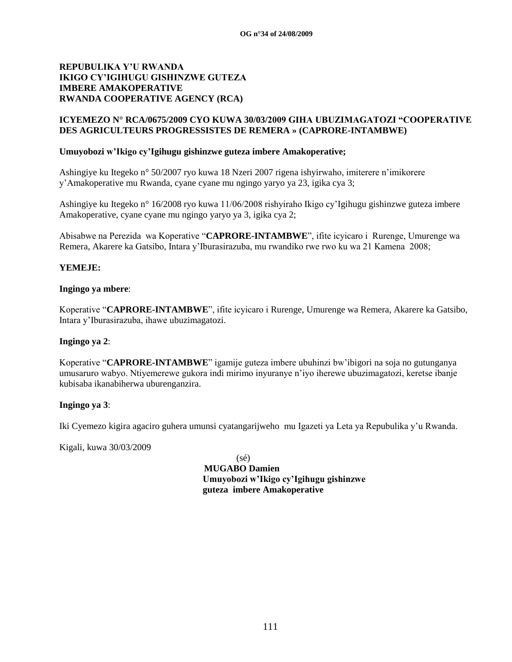## **ICYEMEZO N° RCA/0675/2009 CYO KUWA 30/03/2009 GIHA UBUZIMAGATOZI "COOPERATIVE DES AGRICULTEURS PROGRESSISTES DE REMERA » (CAPRORE-INTAMBWE)**

## **Umuyobozi w'Ikigo cy'Igihugu gishinzwe guteza imbere Amakoperative;**

Ashingiye ku Itegeko n° 50/2007 ryo kuwa 18 Nzeri 2007 rigena ishyirwaho, imiterere n"imikorere y"Amakoperative mu Rwanda, cyane cyane mu ngingo yaryo ya 23, igika cya 3;

Ashingiye ku Itegeko n° 16/2008 ryo kuwa 11/06/2008 rishyiraho Ikigo cy"Igihugu gishinzwe guteza imbere Amakoperative, cyane cyane mu ngingo yaryo ya 3, igika cya 2;

Abisabwe na Perezida wa Koperative "**CAPRORE-INTAMBWE**", ifite icyicaro i Rurenge, Umurenge wa Remera, Akarere ka Gatsibo, Intara y"Iburasirazuba, mu rwandiko rwe rwo ku wa 21 Kamena 2008;

## **YEMEJE:**

#### **Ingingo ya mbere**:

Koperative "**CAPRORE-INTAMBWE**", ifite icyicaro i Rurenge, Umurenge wa Remera, Akarere ka Gatsibo, Intara y"Iburasirazuba, ihawe ubuzimagatozi.

#### **Ingingo ya 2**:

Koperative "**CAPRORE-INTAMBWE**" igamije guteza imbere ubuhinzi bw"ibigori na soja no gutunganya umusaruro wabyo. Ntiyemerewe gukora indi mirimo inyuranye n"iyo iherewe ubuzimagatozi, keretse ibanje kubisaba ikanabiherwa uburenganzira.

## **Ingingo ya 3**:

Iki Cyemezo kigira agaciro guhera umunsi cyatangarijweho mu Igazeti ya Leta ya Repubulika y"u Rwanda.

Kigali, kuwa 30/03/2009

(sé)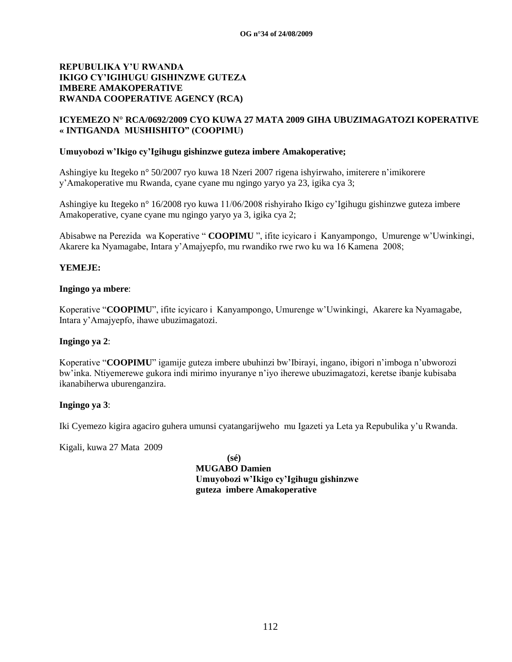## **ICYEMEZO N° RCA/0692/2009 CYO KUWA 27 MATA 2009 GIHA UBUZIMAGATOZI KOPERATIVE « INTIGANDA MUSHISHITO" (COOPIMU)**

#### **Umuyobozi w'Ikigo cy'Igihugu gishinzwe guteza imbere Amakoperative;**

Ashingiye ku Itegeko n° 50/2007 ryo kuwa 18 Nzeri 2007 rigena ishyirwaho, imiterere n"imikorere y"Amakoperative mu Rwanda, cyane cyane mu ngingo yaryo ya 23, igika cya 3;

Ashingiye ku Itegeko n° 16/2008 ryo kuwa 11/06/2008 rishyiraho Ikigo cy"Igihugu gishinzwe guteza imbere Amakoperative, cyane cyane mu ngingo yaryo ya 3, igika cya 2;

Abisabwe na Perezida wa Koperative " **COOPIMU** ", ifite icyicaro i Kanyampongo, Umurenge w"Uwinkingi, Akarere ka Nyamagabe, Intara y"Amajyepfo, mu rwandiko rwe rwo ku wa 16 Kamena 2008;

#### **YEMEJE:**

#### **Ingingo ya mbere**:

Koperative "**COOPIMU**", ifite icyicaro i Kanyampongo, Umurenge w"Uwinkingi, Akarere ka Nyamagabe, Intara y"Amajyepfo, ihawe ubuzimagatozi.

#### **Ingingo ya 2**:

Koperative "**COOPIMU**" igamije guteza imbere ubuhinzi bw"Ibirayi, ingano, ibigori n"imboga n"ubworozi bw"inka. Ntiyemerewe gukora indi mirimo inyuranye n"iyo iherewe ubuzimagatozi, keretse ibanje kubisaba ikanabiherwa uburenganzira.

## **Ingingo ya 3**:

Iki Cyemezo kigira agaciro guhera umunsi cyatangarijweho mu Igazeti ya Leta ya Repubulika y"u Rwanda.

Kigali, kuwa 27 Mata 2009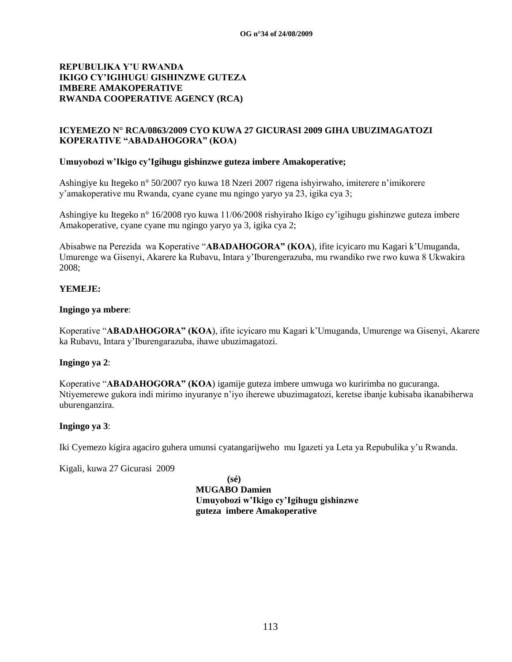## **ICYEMEZO N° RCA/0863/2009 CYO KUWA 27 GICURASI 2009 GIHA UBUZIMAGATOZI KOPERATIVE "ABADAHOGORA" (KOA)**

## **Umuyobozi w'Ikigo cy'Igihugu gishinzwe guteza imbere Amakoperative;**

Ashingiye ku Itegeko n° 50/2007 ryo kuwa 18 Nzeri 2007 rigena ishyirwaho, imiterere n"imikorere y"amakoperative mu Rwanda, cyane cyane mu ngingo yaryo ya 23, igika cya 3;

Ashingiye ku Itegeko n° 16/2008 ryo kuwa 11/06/2008 rishyiraho Ikigo cy"igihugu gishinzwe guteza imbere Amakoperative, cyane cyane mu ngingo yaryo ya 3, igika cya 2;

Abisabwe na Perezida wa Koperative "**ABADAHOGORA" (KOA**), ifite icyicaro mu Kagari k"Umuganda, Umurenge wa Gisenyi, Akarere ka Rubavu, Intara y"Iburengerazuba, mu rwandiko rwe rwo kuwa 8 Ukwakira 2008;

## **YEMEJE:**

## **Ingingo ya mbere**:

Koperative "**ABADAHOGORA" (KOA**), ifite icyicaro mu Kagari k"Umuganda, Umurenge wa Gisenyi, Akarere ka Rubavu, Intara y"Iburengarazuba, ihawe ubuzimagatozi.

## **Ingingo ya 2**:

Koperative "**ABADAHOGORA" (KOA**) igamije guteza imbere umwuga wo kuririmba no gucuranga. Ntiyemerewe gukora indi mirimo inyuranye n"iyo iherewe ubuzimagatozi, keretse ibanje kubisaba ikanabiherwa uburenganzira.

## **Ingingo ya 3**:

Iki Cyemezo kigira agaciro guhera umunsi cyatangarijweho mu Igazeti ya Leta ya Repubulika y"u Rwanda.

Kigali, kuwa 27 Gicurasi 2009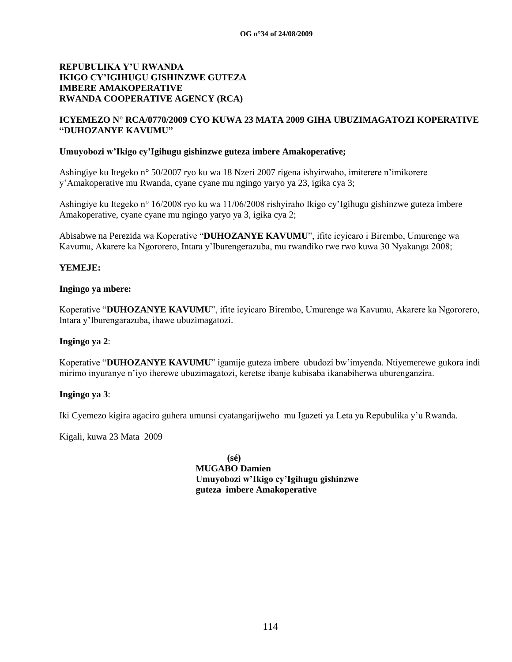## **ICYEMEZO N° RCA/0770/2009 CYO KUWA 23 MATA 2009 GIHA UBUZIMAGATOZI KOPERATIVE "DUHOZANYE KAVUMU"**

#### **Umuyobozi w'Ikigo cy'Igihugu gishinzwe guteza imbere Amakoperative;**

Ashingiye ku Itegeko n° 50/2007 ryo ku wa 18 Nzeri 2007 rigena ishyirwaho, imiterere n"imikorere y"Amakoperative mu Rwanda, cyane cyane mu ngingo yaryo ya 23, igika cya 3;

Ashingiye ku Itegeko n° 16/2008 ryo ku wa 11/06/2008 rishyiraho Ikigo cy"Igihugu gishinzwe guteza imbere Amakoperative, cyane cyane mu ngingo yaryo ya 3, igika cya 2;

Abisabwe na Perezida wa Koperative "**DUHOZANYE KAVUMU**", ifite icyicaro i Birembo, Umurenge wa Kavumu, Akarere ka Ngororero, Intara y"Iburengerazuba, mu rwandiko rwe rwo kuwa 30 Nyakanga 2008;

## **YEMEJE:**

#### **Ingingo ya mbere:**

Koperative "**DUHOZANYE KAVUMU**", ifite icyicaro Birembo, Umurenge wa Kavumu, Akarere ka Ngororero, Intara y"Iburengarazuba, ihawe ubuzimagatozi.

## **Ingingo ya 2**:

Koperative "**DUHOZANYE KAVUMU**" igamije guteza imbere ubudozi bw"imyenda. Ntiyemerewe gukora indi mirimo inyuranye n"iyo iherewe ubuzimagatozi, keretse ibanje kubisaba ikanabiherwa uburenganzira.

## **Ingingo ya 3**:

Iki Cyemezo kigira agaciro guhera umunsi cyatangarijweho mu Igazeti ya Leta ya Repubulika y"u Rwanda.

Kigali, kuwa 23 Mata 2009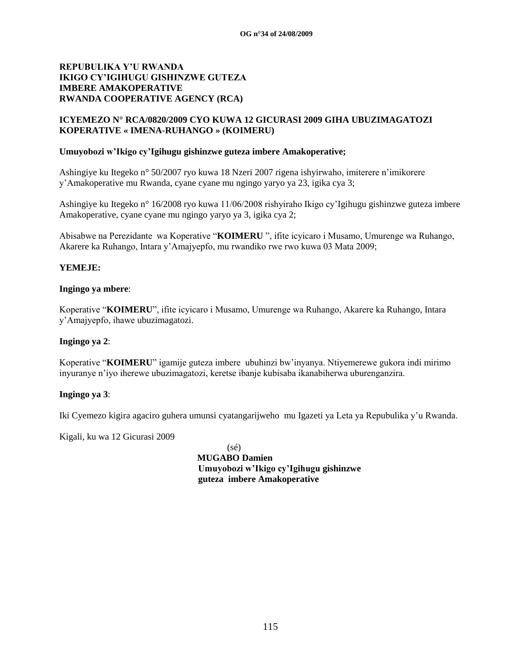## **ICYEMEZO N° RCA/0820/2009 CYO KUWA 12 GICURASI 2009 GIHA UBUZIMAGATOZI KOPERATIVE « IMENA-RUHANGO » (KOIMERU)**

#### **Umuyobozi w'Ikigo cy'Igihugu gishinzwe guteza imbere Amakoperative;**

Ashingiye ku Itegeko n° 50/2007 ryo kuwa 18 Nzeri 2007 rigena ishyirwaho, imiterere n"imikorere y"Amakoperative mu Rwanda, cyane cyane mu ngingo yaryo ya 23, igika cya 3;

Ashingiye ku Itegeko n° 16/2008 ryo kuwa 11/06/2008 rishyiraho Ikigo cy"Igihugu gishinzwe guteza imbere Amakoperative, cyane cyane mu ngingo yaryo ya 3, igika cya 2;

Abisabwe na Perezidante wa Koperative "**KOIMERU** ", ifite icyicaro i Musamo, Umurenge wa Ruhango, Akarere ka Ruhango, Intara y"Amajyepfo, mu rwandiko rwe rwo kuwa 03 Mata 2009;

## **YEMEJE:**

#### **Ingingo ya mbere**:

Koperative "**KOIMERU**", ifite icyicaro i Musamo, Umurenge wa Ruhango, Akarere ka Ruhango, Intara y"Amajyepfo, ihawe ubuzimagatozi.

## **Ingingo ya 2**:

Koperative "**KOIMERU**" igamije guteza imbere ubuhinzi bw"inyanya. Ntiyemerewe gukora indi mirimo inyuranye n"iyo iherewe ubuzimagatozi, keretse ibanje kubisaba ikanabiherwa uburenganzira.

## **Ingingo ya 3**:

Iki Cyemezo kigira agaciro guhera umunsi cyatangarijweho mu Igazeti ya Leta ya Repubulika y"u Rwanda.

Kigali, ku wa 12 Gicurasi 2009

(sé)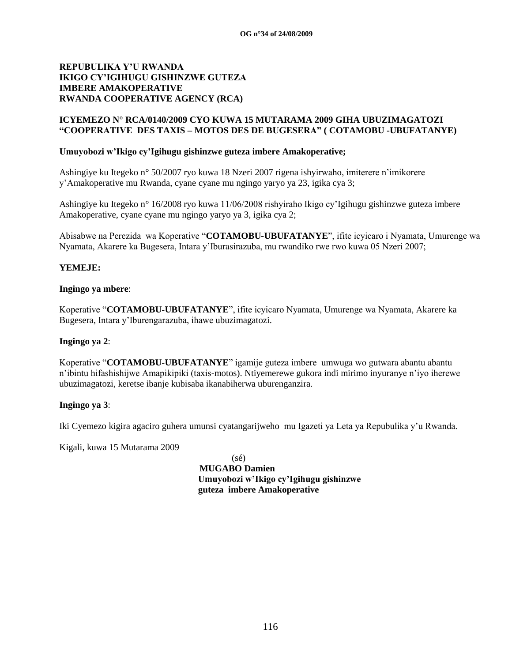## **ICYEMEZO N° RCA/0140/2009 CYO KUWA 15 MUTARAMA 2009 GIHA UBUZIMAGATOZI "COOPERATIVE DES TAXIS – MOTOS DES DE BUGESERA" ( COTAMOBU -UBUFATANYE)**

## **Umuyobozi w'Ikigo cy'Igihugu gishinzwe guteza imbere Amakoperative;**

Ashingiye ku Itegeko n° 50/2007 ryo kuwa 18 Nzeri 2007 rigena ishyirwaho, imiterere n"imikorere y"Amakoperative mu Rwanda, cyane cyane mu ngingo yaryo ya 23, igika cya 3;

Ashingiye ku Itegeko n° 16/2008 ryo kuwa 11/06/2008 rishyiraho Ikigo cy"Igihugu gishinzwe guteza imbere Amakoperative, cyane cyane mu ngingo yaryo ya 3, igika cya 2;

Abisabwe na Perezida wa Koperative "**COTAMOBU-UBUFATANYE**", ifite icyicaro i Nyamata, Umurenge wa Nyamata, Akarere ka Bugesera, Intara y"Iburasirazuba, mu rwandiko rwe rwo kuwa 05 Nzeri 2007;

## **YEMEJE:**

#### **Ingingo ya mbere**:

Koperative "**COTAMOBU-UBUFATANYE**", ifite icyicaro Nyamata, Umurenge wa Nyamata, Akarere ka Bugesera, Intara y"Iburengarazuba, ihawe ubuzimagatozi.

## **Ingingo ya 2**:

Koperative "**COTAMOBU-UBUFATANYE**" igamije guteza imbere umwuga wo gutwara abantu abantu n"ibintu hifashishijwe Amapikipiki (taxis-motos). Ntiyemerewe gukora indi mirimo inyuranye n"iyo iherewe ubuzimagatozi, keretse ibanje kubisaba ikanabiherwa uburenganzira.

## **Ingingo ya 3**:

Iki Cyemezo kigira agaciro guhera umunsi cyatangarijweho mu Igazeti ya Leta ya Repubulika y"u Rwanda.

Kigali, kuwa 15 Mutarama 2009

(sé)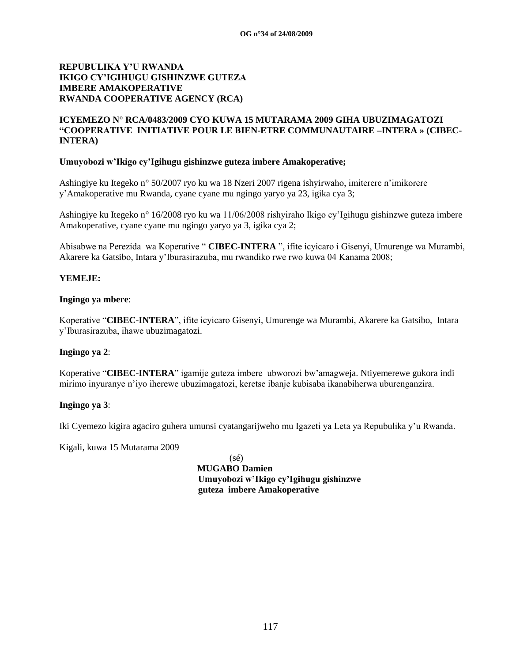## **ICYEMEZO N° RCA/0483/2009 CYO KUWA 15 MUTARAMA 2009 GIHA UBUZIMAGATOZI "COOPERATIVE INITIATIVE POUR LE BIEN-ETRE COMMUNAUTAIRE –INTERA » (CIBEC-INTERA)**

## **Umuyobozi w'Ikigo cy'Igihugu gishinzwe guteza imbere Amakoperative;**

Ashingiye ku Itegeko n° 50/2007 ryo ku wa 18 Nzeri 2007 rigena ishyirwaho, imiterere n"imikorere y"Amakoperative mu Rwanda, cyane cyane mu ngingo yaryo ya 23, igika cya 3;

Ashingiye ku Itegeko n° 16/2008 ryo ku wa 11/06/2008 rishyiraho Ikigo cy"Igihugu gishinzwe guteza imbere Amakoperative, cyane cyane mu ngingo yaryo ya 3, igika cya 2;

Abisabwe na Perezida wa Koperative " **CIBEC-INTERA** ", ifite icyicaro i Gisenyi, Umurenge wa Murambi, Akarere ka Gatsibo, Intara y"Iburasirazuba, mu rwandiko rwe rwo kuwa 04 Kanama 2008;

## **YEMEJE:**

## **Ingingo ya mbere**:

Koperative "**CIBEC-INTERA**", ifite icyicaro Gisenyi, Umurenge wa Murambi, Akarere ka Gatsibo, Intara y"Iburasirazuba, ihawe ubuzimagatozi.

## **Ingingo ya 2**:

Koperative "**CIBEC-INTERA**" igamije guteza imbere ubworozi bw"amagweja. Ntiyemerewe gukora indi mirimo inyuranye n"iyo iherewe ubuzimagatozi, keretse ibanje kubisaba ikanabiherwa uburenganzira.

## **Ingingo ya 3**:

Iki Cyemezo kigira agaciro guhera umunsi cyatangarijweho mu Igazeti ya Leta ya Repubulika y"u Rwanda.

Kigali, kuwa 15 Mutarama 2009

(sé)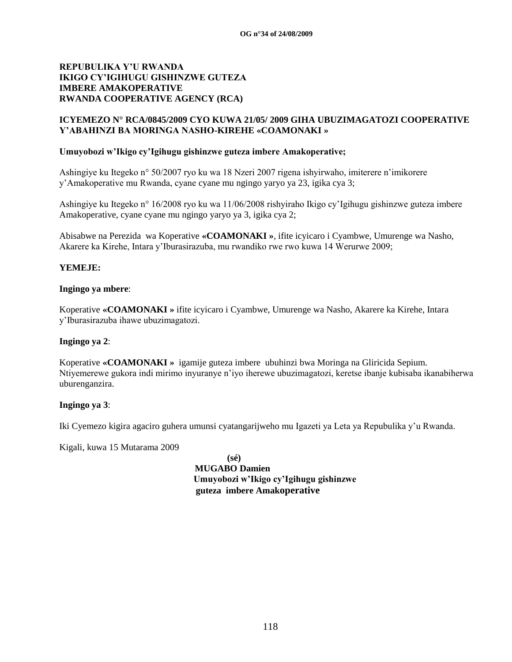## **ICYEMEZO N° RCA/0845/2009 CYO KUWA 21/05/ 2009 GIHA UBUZIMAGATOZI COOPERATIVE Y'ABAHINZI BA MORINGA NASHO-KIREHE «COAMONAKI »**

## **Umuyobozi w'Ikigo cy'Igihugu gishinzwe guteza imbere Amakoperative;**

Ashingiye ku Itegeko n° 50/2007 ryo ku wa 18 Nzeri 2007 rigena ishyirwaho, imiterere n"imikorere y"Amakoperative mu Rwanda, cyane cyane mu ngingo yaryo ya 23, igika cya 3;

Ashingiye ku Itegeko n° 16/2008 ryo ku wa 11/06/2008 rishyiraho Ikigo cy"Igihugu gishinzwe guteza imbere Amakoperative, cyane cyane mu ngingo yaryo ya 3, igika cya 2;

Abisabwe na Perezida wa Koperative **«COAMONAKI »**, ifite icyicaro i Cyambwe, Umurenge wa Nasho, Akarere ka Kirehe, Intara y"Iburasirazuba, mu rwandiko rwe rwo kuwa 14 Werurwe 2009;

## **YEMEJE:**

## **Ingingo ya mbere**:

Koperative **«COAMONAKI »** ifite icyicaro i Cyambwe, Umurenge wa Nasho, Akarere ka Kirehe, Intara y"Iburasirazuba ihawe ubuzimagatozi.

## **Ingingo ya 2**:

Koperative **«COAMONAKI »** igamije guteza imbere ubuhinzi bwa Moringa na Gliricida Sepium. Ntiyemerewe gukora indi mirimo inyuranye n"iyo iherewe ubuzimagatozi, keretse ibanje kubisaba ikanabiherwa uburenganzira.

## **Ingingo ya 3**:

Iki Cyemezo kigira agaciro guhera umunsi cyatangarijweho mu Igazeti ya Leta ya Repubulika y"u Rwanda.

Kigali, kuwa 15 Mutarama 2009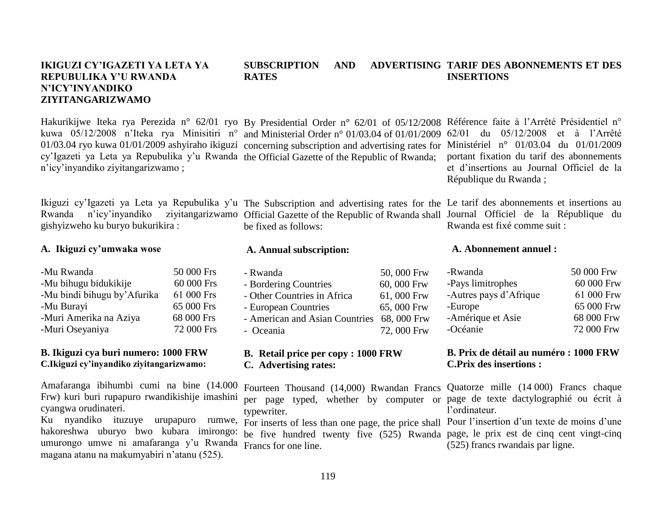## **IKIGUZI CY'IGAZETI YA LETA YA REPUBULIKA Y'U RWANDA N'ICY'INYANDIKO ZIYITANGARIZWAMO**

Hakurikijwe Iteka rya Perezida n° 62/01 ryo By Presidential Order n° 62/01 of 05/12/2008 Référence faite à l'Arrêté Présidentiel n° kuwa 05/12/2008 n"Iteka rya Minisitiri n° and Ministerial Order n° 01/03.04 of 01/01/2009 62/01 du 05/12/2008 et à l"Arrêté 01/03.04 ryo kuwa 01/01/2009 ashyiraho ikiguzi concerning subscription and advertising rates for cy'Igazeti ya Leta ya Repubulika y'u Rwanda the Official Gazette of the Republic of Rwanda; n"icy"inyandiko ziyitangarizwamo ;

Ikiguzi cy'Igazeti ya Leta ya Repubulika y'u The Subscription and advertising rates for the Le tarif des abonnements et insertions au Rwanda n"icy"inyandiko ziyitangarizwamo Official Gazette of the Republic of Rwanda shall gishyizweho ku buryo bukurikira :

## **A. Ikiguzi cy'umwaka wose**

-Mu Rwanda 50 000 Frs -Mu bihugu bidukikije 60 000 Frs -Mu bindi bihugu by"Afurika 61 000 Frs -Mu Burayi 65 000 Frs -Muri Amerika na Aziya 68 000 Frs -Muri Oseyaniya 72 000 Frs

## **B. Ikiguzi cya buri numero: 1000 FRW C.Ikiguzi cy'inyandiko ziyitangarizwamo:**

Amafaranga ibihumbi cumi na bine (14.000 Frw) kuri buri rupapuro rwandikishije imashini cyangwa orudinateri.

Ku nyandiko ituzuye urupapuro rumwe, hakoreshwa uburyo bwo kubara imirongo: umurongo umwe ni amafaranga y"u Rwanda Francs for one line. magana atanu na makumyabiri n"atanu (525).

# **A. Annual subscription:**

be fixed as follows:

| - Rwanda                                   | 50,000 Frw |
|--------------------------------------------|------------|
| - Bordering Countries                      | 60,000 Frw |
| - Other Countries in Africa                | 61,000 Frw |
| - European Countries                       | 65,000 Frw |
| - American and Asian Countries 68, 000 Frw |            |
| - Oceania                                  | 72,000 Frw |

## **B. Retail price per copy : 1000 FRW C. Advertising rates:**

Fourteen Thousand (14,000) Rwandan Francs per page typed, whether by computer or typewriter.

be five hundred twenty five (525) Rwanda page, le prix est de cinq cent vingt-cinq

#### **SUBSCRIPTION AND RATES ADVERTISING TARIF DES ABONNEMENTS ET DES INSERTIONS**

Ministériel n° 01/03.04 du 01/01/2009 portant fixation du tarif des abonnements et d"insertions au Journal Officiel de la République du Rwanda ;

Journal Officiel de la République du Rwanda est fixé comme suit :

## **A. Abonnement annuel :**

| -Rwanda                | 50 000 Frw |
|------------------------|------------|
| -Pays limitrophes      | 60 000 Frw |
| -Autres pays d'Afrique | 61 000 Frw |
| -Europe                | 65 000 Frw |
| -Amérique et Asie      | 68 000 Frw |
| -Océanie               | 72 000 Frw |
|                        |            |

## **B. Prix de détail au numéro : 1000 FRW C.Prix des insertions :**

Quatorze mille (14 000) Francs chaque page de texte dactylographié ou écrit à l"ordinateur.

For inserts of less than one page, the price shall Pour l'insertion d'un texte de moins d'une (525) francs rwandais par ligne.